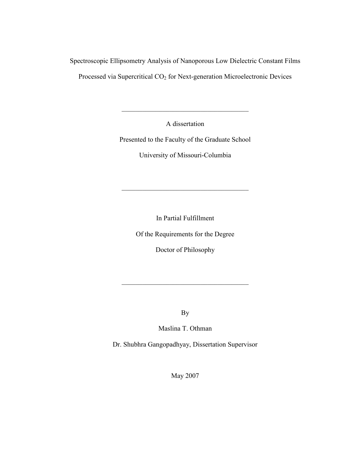Spectroscopic Ellipsometry Analysis of Nanoporous Low Dielectric Constant Films Processed via Supercritical CO<sub>2</sub> for Next-generation Microelectronic Devices

A dissertation

 $\_$  . The contribution of the contribution of  $\mathcal{L}_\mathcal{L}$ 

Presented to the Faculty of the Graduate School

University of Missouri-Columbia

 $\_$  . The contribution of the contribution of  $\mathcal{L}_\mathcal{L}$ 

In Partial Fulfillment

Of the Requirements for the Degree

Doctor of Philosophy

By

\_\_\_\_\_\_\_\_\_\_\_\_\_\_\_\_\_\_\_\_\_\_\_\_\_\_\_\_\_\_\_\_\_\_\_\_\_

Maslina T. Othman

Dr. Shubhra Gangopadhyay, Dissertation Supervisor

May 2007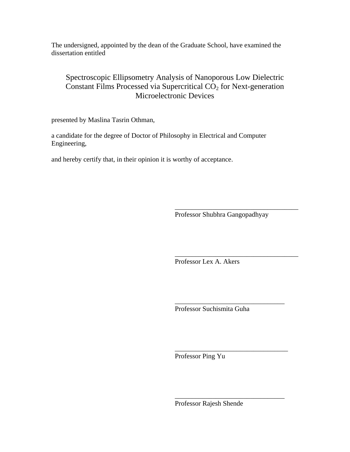The undersigned, appointed by the dean of the Graduate School, have examined the dissertation entitled

#### Spectroscopic Ellipsometry Analysis of Nanoporous Low Dielectric Constant Films Processed via Supercritical  $\overline{CO}_2$  for Next-generation Microelectronic Devices

presented by Maslina Tasrin Othman,

a candidate for the degree of Doctor of Philosophy in Electrical and Computer Engineering,

and hereby certify that, in their opinion it is worthy of acceptance.

Professor Shubhra Gangopadhyay

\_\_\_\_\_\_\_\_\_\_\_\_\_\_\_\_\_\_\_\_\_\_\_\_\_\_\_\_\_\_\_\_\_\_\_\_

\_\_\_\_\_\_\_\_\_\_\_\_\_\_\_\_\_\_\_\_\_\_\_\_\_\_\_\_\_\_\_\_\_\_\_\_

\_\_\_\_\_\_\_\_\_\_\_\_\_\_\_\_\_\_\_\_\_\_\_\_\_\_\_\_\_\_\_\_

\_\_\_\_\_\_\_\_\_\_\_\_\_\_\_\_\_\_\_\_\_\_\_\_\_\_\_\_\_\_\_\_\_

\_\_\_\_\_\_\_\_\_\_\_\_\_\_\_\_\_\_\_\_\_\_\_\_\_\_\_\_\_\_\_\_

Professor Lex A. Akers

Professor Suchismita Guha

Professor Ping Yu

Professor Rajesh Shende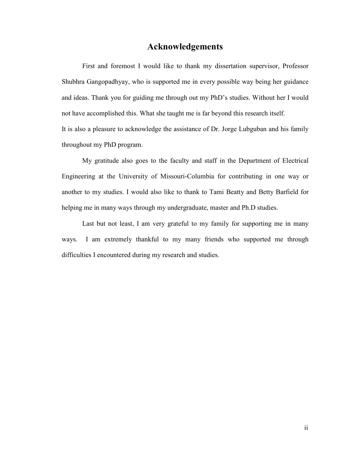#### Acknowledgements

First and foremost I would like to thank my dissertation supervisor, Professor Shubhra Gangopadhyay, who is supported me in every possible way being her guidance and ideas. Thank you for guiding me through out my PhD's studies. Without her I would not have accomplished this. What she taught me is far beyond this research itself.

It is also a pleasure to acknowledge the assistance of Dr. Jorge Lubguban and his family throughout my PhD program.

My gratitude also goes to the faculty and staff in the Department of Electrical Engineering at the University of Missouri-Columbia for contributing in one way or another to my studies. I would also like to thank to Tami Beatty and Betty Barfield for helping me in many ways through my undergraduate, master and Ph.D studies.

Last but not least, I am very grateful to my family for supporting me in many ways. I am extremely thankful to my many friends who supported me through difficulties I encountered during my research and studies.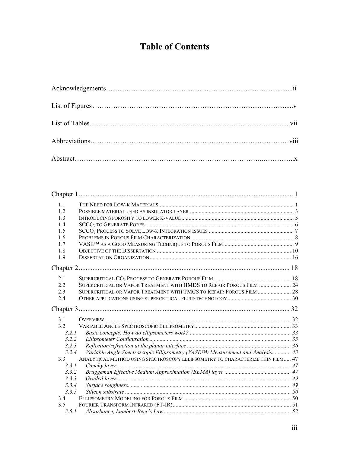# Table of Contents

| 11    |                                                                                             |  |
|-------|---------------------------------------------------------------------------------------------|--|
| 12    |                                                                                             |  |
| 1.3   |                                                                                             |  |
| 1.4   |                                                                                             |  |
| 1.5   |                                                                                             |  |
| 1.6   |                                                                                             |  |
| 1.7   |                                                                                             |  |
| 1.8   |                                                                                             |  |
| 1.9   |                                                                                             |  |
|       |                                                                                             |  |
| 2.1   |                                                                                             |  |
| 22    | SUPERCRITICAL OR VAPOR TREATMENT WITH HMDS TO REPAIR POROUS FILM  24                        |  |
| 2.3   | SUPERCRITICAL OR VAPOR TREATMENT WITH TMCS TO REPAIR POROUS FILM  28                        |  |
| 2.4   |                                                                                             |  |
|       |                                                                                             |  |
| 3.1   |                                                                                             |  |
| 32    |                                                                                             |  |
| 3.2.1 |                                                                                             |  |
| 3.2.2 |                                                                                             |  |
| 3.2.3 |                                                                                             |  |
| 3.2.4 | Variable Angle Spectroscopic Ellipsometry (VASE <sup>TM</sup> ) Measurement and Analysis 43 |  |
| 3.3   | ANALYTICAL METHOD USING SPECTROSCOPY ELLIPSOMETRY TO CHARACTERIZE THIN FILM 47              |  |
| 3.3.1 |                                                                                             |  |
| 3.3.2 |                                                                                             |  |
| 3.3.3 |                                                                                             |  |
| 3.3.4 |                                                                                             |  |
| 3.3.5 |                                                                                             |  |
| 3.4   |                                                                                             |  |
| 3.5   |                                                                                             |  |
| 3.5.1 |                                                                                             |  |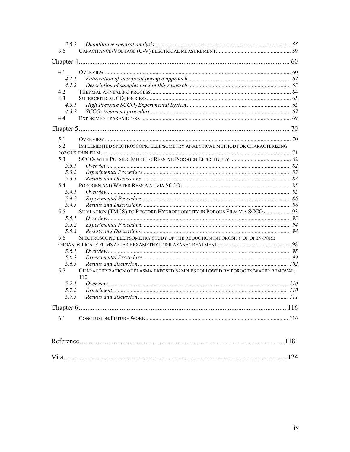| 3.5.2   |                                                                                      |  |
|---------|--------------------------------------------------------------------------------------|--|
| 3.6     |                                                                                      |  |
|         |                                                                                      |  |
| 4.1     |                                                                                      |  |
| 4. L. L |                                                                                      |  |
| 4.1.2   |                                                                                      |  |
| 4.2     |                                                                                      |  |
| 4.3     |                                                                                      |  |
| 4.3.1   |                                                                                      |  |
| 4.3.2   |                                                                                      |  |
| 4.4     |                                                                                      |  |
|         |                                                                                      |  |
| 5.1     |                                                                                      |  |
| 52      | IMPLEMENTED SPECTROSCOPIC ELLIPSOMETRY ANALYTICAL METHOD FOR CHARACTERIZING          |  |
|         |                                                                                      |  |
| 5.3     |                                                                                      |  |
| 5.3.1   |                                                                                      |  |
| 5.3.2   |                                                                                      |  |
| 5.3.3   |                                                                                      |  |
| 5.4     |                                                                                      |  |
| 541     |                                                                                      |  |
| 5.4.2   |                                                                                      |  |
| 5.4.3   |                                                                                      |  |
| 5.5     | SILYLATION (TMCS) TO RESTORE HYDROPHOBICITY IN POROUS FILM VIA SCCO2 93              |  |
| 5.5.1   |                                                                                      |  |
| 5.5.2   |                                                                                      |  |
| 5.5.3   |                                                                                      |  |
| 5.6     | SPECTROSCOPIC ELLIPSOMETRY STUDY OF THE REDUCTION IN POROSITY OF OPEN-PORE           |  |
|         |                                                                                      |  |
| 5.6.1   |                                                                                      |  |
| 5.6.2   |                                                                                      |  |
| 5.6.3   |                                                                                      |  |
| 5.7     | CHARACTERIZATION OF PLASMA EXPOSED SAMPLES FOLLOWED BY POROGEN/WATER REMOVAL.<br>110 |  |
| 5.7.1   |                                                                                      |  |
| 5.7.2   |                                                                                      |  |
| 5.7.3   |                                                                                      |  |
|         |                                                                                      |  |
|         |                                                                                      |  |
| 6.1     |                                                                                      |  |
|         |                                                                                      |  |
|         |                                                                                      |  |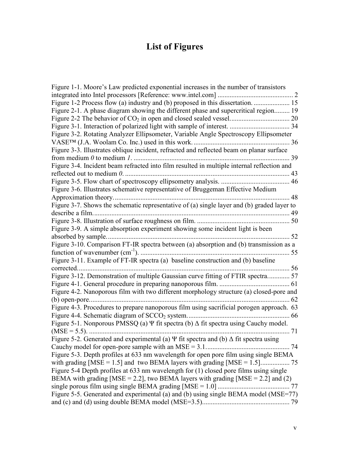# List of Figures

| Figure 1-1. Moore's Law predicted exponential increases in the number of transistors             |    |
|--------------------------------------------------------------------------------------------------|----|
|                                                                                                  |    |
|                                                                                                  |    |
| Figure 2-1. A phase diagram showing the different phase and supercritical region 19              |    |
|                                                                                                  |    |
|                                                                                                  |    |
| Figure 3-2. Rotating Analyzer Ellipsometer, Variable Angle Spectroscopy Ellipsometer             |    |
|                                                                                                  |    |
| Figure 3-3. Illustrates oblique incident, refracted and reflected beam on planar surface         |    |
|                                                                                                  |    |
| Figure 3-4. Incident beam refracted into film resulted in multiple internal reflection and       |    |
| reflected out to medium $\theta$ .                                                               | 43 |
|                                                                                                  |    |
| Figure 3-6. Illustrates schemative representative of Bruggeman Effective Medium                  |    |
|                                                                                                  |    |
| Figure 3-7. Shows the schematic representative of (a) single layer and (b) graded layer to       |    |
|                                                                                                  |    |
|                                                                                                  |    |
| Figure 3-9. A simple absorption experiment showing some incident light is been                   |    |
|                                                                                                  |    |
| Figure 3-10. Comparison FT-IR spectra between (a) absorption and (b) transmission as a           |    |
| . 55                                                                                             |    |
| Figure 3-11. Example of FT-IR spectra (a) baseline construction and (b) baseline                 |    |
|                                                                                                  |    |
| Figure 3-12. Demonstration of multiple Gaussian curve fitting of FTIR spectra 57                 |    |
|                                                                                                  |    |
| Figure 4-2. Nanoporous film with two different morphology structure (a) closed-pore and          |    |
|                                                                                                  | 62 |
| Figure 4-3. Procedures to prepare nanoporous film using sacrificial porogen approach. 63         |    |
|                                                                                                  |    |
| Figure 5-1. Nonporous PMSSQ (a) $\Psi$ fit spectra (b) $\Delta$ fit spectra using Cauchy model.  |    |
|                                                                                                  |    |
| Figure 5-2. Generated and experimental (a) $\Psi$ fit spectra and (b) $\Delta$ fit spectra using |    |
|                                                                                                  |    |
| Figure 5-3. Depth profiles at 633 nm wavelength for open pore film using single BEMA             |    |
|                                                                                                  |    |
| Figure 5-4 Depth profiles at 633 nm wavelength for (1) closed pore films using single            |    |
| BEMA with grading [MSE = 2.2], two BEMA layers with grading [MSE = 2.2] and (2)                  |    |
|                                                                                                  |    |
| Figure 5-5. Generated and experimental (a) and (b) using single BEMA model (MSE=77)              |    |
|                                                                                                  |    |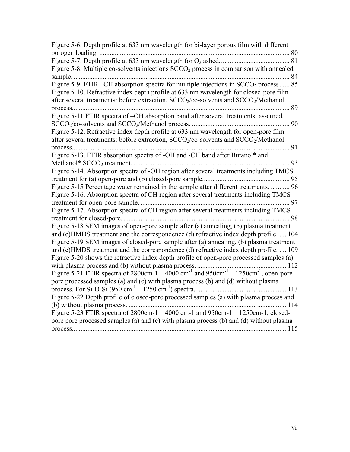| Figure 5-6. Depth profile at 633 nm wavelength for bi-layer porous film with different                                                                                                               |  |
|------------------------------------------------------------------------------------------------------------------------------------------------------------------------------------------------------|--|
|                                                                                                                                                                                                      |  |
| Figure 5-8. Multiple co-solvents injections $SCCO2$ process in comparison with annealed<br>84                                                                                                        |  |
| Figure 5-9. FTIR –CH absorption spectra for multiple injections in SCCO <sub>2</sub> process 85                                                                                                      |  |
| Figure 5-10. Refractive index depth profile at 633 nm wavelength for closed-pore film<br>after several treatments: before extraction, SCCO <sub>2</sub> /co-solvents and SCCO <sub>2</sub> /Methanol |  |
| 89                                                                                                                                                                                                   |  |
| Figure 5-11 FTIR spectra of -OH absorption band after several treatments: as-cured,<br>$\dots$ 90                                                                                                    |  |
| Figure 5-12. Refractive index depth profile at 633 nm wavelength for open-pore film                                                                                                                  |  |
| after several treatments: before extraction, SCCO <sub>2</sub> /co-solvents and SCCO <sub>2</sub> /Methanol                                                                                          |  |
| 91                                                                                                                                                                                                   |  |
| Figure 5-13. FTIR absorption spectra of -OH and -CH band after Butanol* and                                                                                                                          |  |
| 93                                                                                                                                                                                                   |  |
| Figure 5-14. Absorption spectra of -OH region after several treatments including TMCS                                                                                                                |  |
|                                                                                                                                                                                                      |  |
| Figure 5-15 Percentage water remained in the sample after different treatments.  96                                                                                                                  |  |
| Figure 5-16. Absorption spectra of CH region after several treatments including TMCS                                                                                                                 |  |
| 97                                                                                                                                                                                                   |  |
| Figure 5-17. Absorption spectra of CH region after several treatments including TMCS                                                                                                                 |  |
| 98                                                                                                                                                                                                   |  |
| Figure 5-18 SEM images of open-pore sample after (a) annealing, (b) plasma treatment                                                                                                                 |  |
| and (c)HMDS treatment and the correspondence (d) refractive index depth profile.  104                                                                                                                |  |
| Figure 5-19 SEM images of closed-pore sample after (a) annealing, (b) plasma treatment<br>and (c)HMDS treatment and the correspondence (d) refractive index depth profile.  109                      |  |
| Figure 5-20 shows the refractive index depth profile of open-pore processed samples (a)                                                                                                              |  |
|                                                                                                                                                                                                      |  |
| Figure 5-21 FTIR spectra of 2800cm-1 – 4000 cm <sup>-1</sup> and 950cm <sup>-1</sup> – 1250cm <sup>-1</sup> , open-pore                                                                              |  |
| pore processed samples (a) and (c) with plasma process (b) and (d) without plasma                                                                                                                    |  |
|                                                                                                                                                                                                      |  |
| Figure 5-22 Depth profile of closed-pore processed samples (a) with plasma process and                                                                                                               |  |
|                                                                                                                                                                                                      |  |
| Figure 5-23 FTIR spectra of 2800cm-1 - 4000 cm-1 and 950cm-1 - 1250cm-1, closed-                                                                                                                     |  |
| pore pore processed samples (a) and (c) with plasma process (b) and (d) without plasma                                                                                                               |  |
|                                                                                                                                                                                                      |  |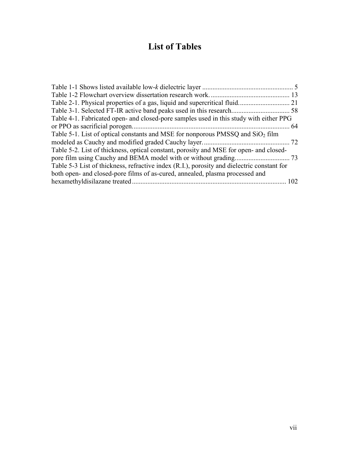# List of Tables

| Table 2-1. Physical properties of a gas, liquid and supercritical fluid.<br>21<br>.        |  |
|--------------------------------------------------------------------------------------------|--|
| Table 3-1. Selected FT-IR active band peaks used in this research.<br>$\dots$ 58           |  |
| Table 4-1. Fabricated open- and closed-pore samples used in this study with either PPG     |  |
| 64                                                                                         |  |
| Table 5-1. List of optical constants and MSE for nonporous PMSSQ and $SiO2$ film           |  |
| . 72                                                                                       |  |
| Table 5-2. List of thickness, optical constant, porosity and MSE for open- and closed-     |  |
| 73                                                                                         |  |
| Table 5-3 List of thickness, refractive index (R.I.), porosity and dielectric constant for |  |
| both open- and closed-pore films of as-cured, annealed, plasma processed and               |  |
| hexamethyldisilazane treated<br>102                                                        |  |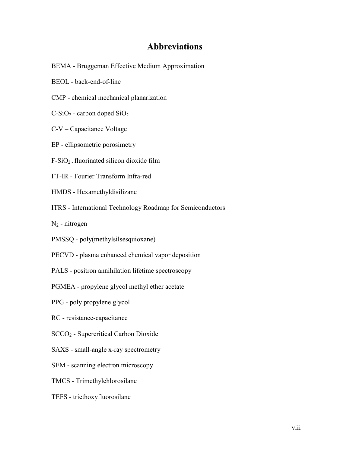# Abbreviations

- BEMA Bruggeman Effective Medium Approximation
- BEOL back-end-of-line
- CMP chemical mechanical planarization
- $C-SiO<sub>2</sub>$  carbon doped  $SiO<sub>2</sub>$
- C-V Capacitance Voltage
- EP ellipsometric porosimetry
- $F-SiO<sub>2</sub>$ . fluorinated silicon dioxide film
- FT-IR Fourier Transform Infra-red
- HMDS Hexamethyldisilizane
- ITRS International Technology Roadmap for Semiconductors
- $N_2$  nitrogen
- PMSSQ poly(methylsilsesquioxane)
- PECVD plasma enhanced chemical vapor deposition
- PALS positron annihilation lifetime spectroscopy
- PGMEA propylene glycol methyl ether acetate
- PPG poly propylene glycol
- RC resistance-capacitance
- SCCO2 Supercritical Carbon Dioxide
- SAXS small-angle x-ray spectrometry
- SEM scanning electron microscopy
- TMCS Trimethylchlorosilane
- TEFS triethoxyfluorosilane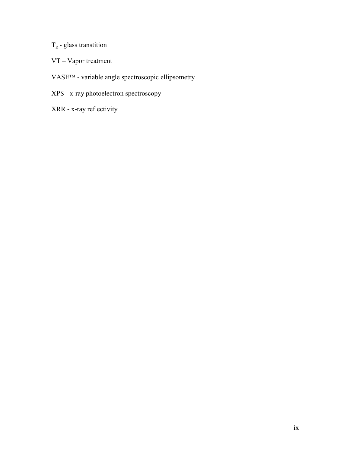# Tg - glass transtition

- VT Vapor treatment
- VASE<sup>TM</sup> variable angle spectroscopic ellipsometry
- XPS x-ray photoelectron spectroscopy
- XRR x-ray reflectivity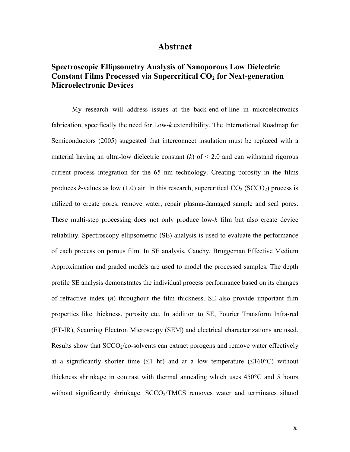#### Abstract

## Spectroscopic Ellipsometry Analysis of Nanoporous Low Dielectric Constant Films Processed via Supercritical  $CO<sub>2</sub>$  for Next-generation Microelectronic Devices

My research will address issues at the back-end-of-line in microelectronics fabrication, specifically the need for Low-k extendibility. The International Roadmap for Semiconductors (2005) suggested that interconnect insulation must be replaced with a material having an ultra-low dielectric constant  $(k)$  of  $\leq 2.0$  and can withstand rigorous current process integration for the 65 nm technology. Creating porosity in the films produces k-values as low (1.0) air. In this research, supercritical  $CO_2$  (SCCO<sub>2</sub>) process is utilized to create pores, remove water, repair plasma-damaged sample and seal pores. These multi-step processing does not only produce low-k film but also create device reliability. Spectroscopy ellipsometric (SE) analysis is used to evaluate the performance of each process on porous film. In SE analysis, Cauchy, Bruggeman Effective Medium Approximation and graded models are used to model the processed samples. The depth profile SE analysis demonstrates the individual process performance based on its changes of refractive index  $(n)$  throughout the film thickness. SE also provide important film properties like thickness, porosity etc. In addition to SE, Fourier Transform Infra-red (FT-IR), Scanning Electron Microscopy (SEM) and electrical characterizations are used. Results show that  $SCCO<sub>2</sub>/CO<sub>2</sub>$  solvents can extract porogens and remove water effectively at a significantly shorter time  $(1 \text{ hr})$  and at a low temperature  $(160^{\circ}C)$  without thickness shrinkage in contrast with thermal annealing which uses 450°C and 5 hours without significantly shrinkage. SCCO<sub>2</sub>/TMCS removes water and terminates silanol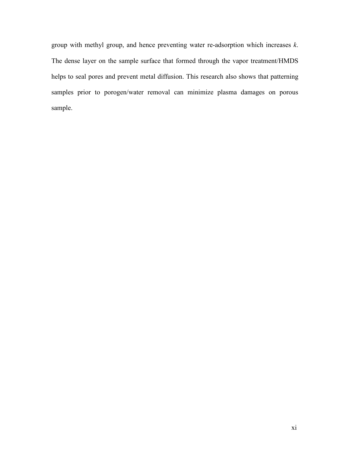group with methyl group, and hence preventing water re-adsorption which increases  $k$ . The dense layer on the sample surface that formed through the vapor treatment/HMDS helps to seal pores and prevent metal diffusion. This research also shows that patterning samples prior to porogen/water removal can minimize plasma damages on porous sample.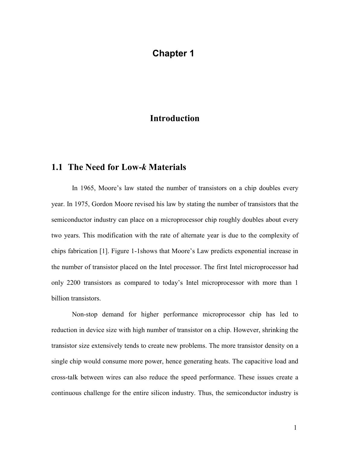# Chapter 1

# Introduction

### 1.1 The Need for Low-k Materials

In 1965, Moore's law stated the number of transistors on a chip doubles every year. In 1975, Gordon Moore revised his law by stating the number of transistors that the semiconductor industry can place on a microprocessor chip roughly doubles about every two years. This modification with the rate of alternate year is due to the complexity of chips fabrication [1]. Figure 1-1shows that Moore's Law predicts exponential increase in the number of transistor placed on the Intel processor. The first Intel microprocessor had only 2200 transistors as compared to today's Intel microprocessor with more than 1 billion transistors.

Non-stop demand for higher performance microprocessor chip has led to reduction in device size with high number of transistor on a chip. However, shrinking the transistor size extensively tends to create new problems. The more transistor density on a single chip would consume more power, hence generating heats. The capacitive load and cross-talk between wires can also reduce the speed performance. These issues create a continuous challenge for the entire silicon industry. Thus, the semiconductor industry is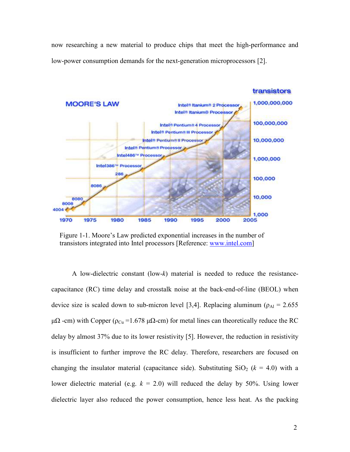now researching a new material to produce chips that meet the high-performance and low-power consumption demands for the next-generation microprocessors [2].



Figure 1-1. Moore's Law predicted exponential increases in the number of transistors integrated into Intel processors [Reference: www.intel.com]

A low-dielectric constant  $(low-k)$  material is needed to reduce the resistancecapacitance (RC) time delay and crosstalk noise at the back-end-of-line (BEOL) when device size is scaled down to sub-micron level [3,4]. Replacing aluminum ( $\rho_{Al} = 2.655$ )  $\mu\Omega$  -cm) with Copper ( $\rho_{Cu}$  =1.678  $\mu\Omega$ -cm) for metal lines can theoretically reduce the RC delay by almost 37% due to its lower resistivity [5]. However, the reduction in resistivity is insufficient to further improve the RC delay. Therefore, researchers are focused on changing the insulator material (capacitance side). Substituting  $SiO_2$  ( $k = 4.0$ ) with a lower dielectric material (e.g.  $k = 2.0$ ) will reduced the delay by 50%. Using lower dielectric layer also reduced the power consumption, hence less heat. As the packing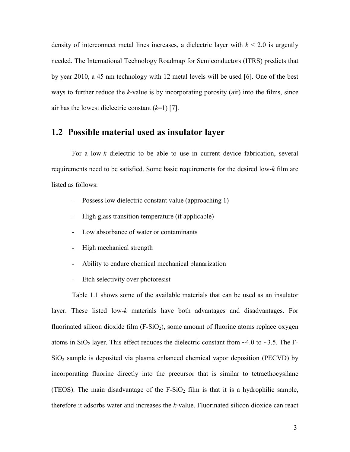density of interconnect metal lines increases, a dielectric layer with  $k \le 2.0$  is urgently needed. The International Technology Roadmap for Semiconductors (ITRS) predicts that by year 2010, a 45 nm technology with 12 metal levels will be used [6]. One of the best ways to further reduce the k-value is by incorporating porosity (air) into the films, since air has the lowest dielectric constant  $(k=1)$  [7].

#### 1.2 Possible material used as insulator layer

 For a low-k dielectric to be able to use in current device fabrication, several requirements need to be satisfied. Some basic requirements for the desired low-k film are listed as follows:

- Possess low dielectric constant value (approaching 1)
- High glass transition temperature (if applicable)
- Low absorbance of water or contaminants
- High mechanical strength
- Ability to endure chemical mechanical planarization
- Etch selectivity over photoresist

Table 1.1 shows some of the available materials that can be used as an insulator layer. These listed low-k materials have both advantages and disadvantages. For fluorinated silicon dioxide film  $(F-SiO<sub>2</sub>)$ , some amount of fluorine atoms replace oxygen atoms in SiO<sub>2</sub> layer. This effect reduces the dielectric constant from  $\sim$ 4.0 to  $\sim$ 3.5. The F- $SiO<sub>2</sub>$  sample is deposited via plasma enhanced chemical vapor deposition (PECVD) by incorporating fluorine directly into the precursor that is similar to tetraethocysilane (TEOS). The main disadvantage of the  $F-SiO<sub>2</sub>$  film is that it is a hydrophilic sample, therefore it adsorbs water and increases the k-value. Fluorinated silicon dioxide can react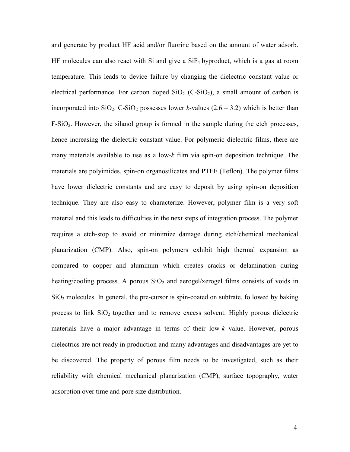and generate by product HF acid and/or fluorine based on the amount of water adsorb. HF molecules can also react with Si and give a  $SiF<sub>4</sub>$  byproduct, which is a gas at room temperature. This leads to device failure by changing the dielectric constant value or electrical performance. For carbon doped  $SiO<sub>2</sub>$  (C-SiO<sub>2</sub>), a small amount of carbon is incorporated into  $SiO_2$ . C-SiO<sub>2</sub> possesses lower k-values (2.6 – 3.2) which is better than  $F-SiO<sub>2</sub>$ . However, the silanol group is formed in the sample during the etch processes, hence increasing the dielectric constant value. For polymeric dielectric films, there are many materials available to use as a low-k film via spin-on deposition technique. The materials are polyimides, spin-on organosilicates and PTFE (Teflon). The polymer films have lower dielectric constants and are easy to deposit by using spin-on deposition technique. They are also easy to characterize. However, polymer film is a very soft material and this leads to difficulties in the next steps of integration process. The polymer requires a etch-stop to avoid or minimize damage during etch/chemical mechanical planarization (CMP). Also, spin-on polymers exhibit high thermal expansion as compared to copper and aluminum which creates cracks or delamination during heating/cooling process. A porous  $SiO<sub>2</sub>$  and aerogel/xerogel films consists of voids in  $SiO<sub>2</sub>$  molecules. In general, the pre-cursor is spin-coated on subtrate, followed by baking process to link  $SiO<sub>2</sub>$  together and to remove excess solvent. Highly porous dielectric materials have a major advantage in terms of their low-k value. However, porous dielectrics are not ready in production and many advantages and disadvantages are yet to be discovered. The property of porous film needs to be investigated, such as their reliability with chemical mechanical planarization (CMP), surface topography, water adsorption over time and pore size distribution.

4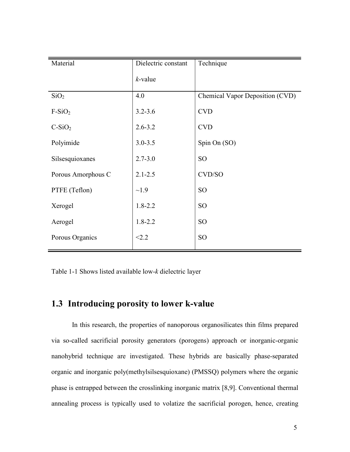| Material           | Dielectric constant | Technique                       |
|--------------------|---------------------|---------------------------------|
|                    | $k$ -value          |                                 |
| SiO <sub>2</sub>   | 4.0                 | Chemical Vapor Deposition (CVD) |
| $F-SiO2$           | $3.2 - 3.6$         | <b>CVD</b>                      |
| $C-SiO2$           | $2.6 - 3.2$         | <b>CVD</b>                      |
| Polyimide          | $3.0 - 3.5$         | Spin On (SO)                    |
| Silsesquioxanes    | $2.7 - 3.0$         | SO <sub>1</sub>                 |
| Porous Amorphous C | $2.1 - 2.5$         | CVD/SO                          |
| PTFE (Teflon)      | $\sim$ 1.9          | SO <sub>1</sub>                 |
| Xerogel            | $1.8 - 2.2$         | SO <sub>1</sub>                 |
| Aerogel            | $1.8 - 2.2$         | SO <sub>1</sub>                 |
| Porous Organics    | < 2.2               | SO <sub>1</sub>                 |

Table 1-1 Shows listed available low-k dielectric layer

# 1.3 Introducing porosity to lower k-value

In this research, the properties of nanoporous organosilicates thin films prepared via so-called sacrificial porosity generators (porogens) approach or inorganic-organic nanohybrid technique are investigated. These hybrids are basically phase-separated organic and inorganic poly(methylsilsesquioxane) (PMSSQ) polymers where the organic phase is entrapped between the crosslinking inorganic matrix [8,9]. Conventional thermal annealing process is typically used to volatize the sacrificial porogen, hence, creating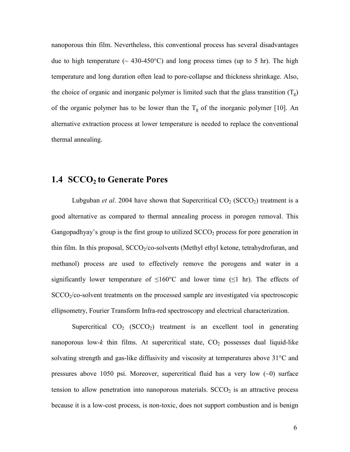nanoporous thin film. Nevertheless, this conventional process has several disadvantages due to high temperature ( $\sim$  430-450°C) and long process times (up to 5 hr). The high temperature and long duration often lead to pore-collapse and thickness shrinkage. Also, the choice of organic and inorganic polymer is limited such that the glass transtition  $(T<sub>s</sub>)$ of the organic polymer has to be lower than the  $T<sub>g</sub>$  of the inorganic polymer [10]. An alternative extraction process at lower temperature is needed to replace the conventional thermal annealing.

## 1.4 SCCO<sub>2</sub> to Generate Pores

Lubguban et al. 2004 have shown that Supercritical  $CO_2$  (SCCO<sub>2</sub>) treatment is a good alternative as compared to thermal annealing process in porogen removal. This Gangopadhyay's group is the first group to utilized  $SCCO<sub>2</sub>$  process for pore generation in thin film. In this proposal,  $SCCO<sub>2</sub>/CO$ -solvents (Methyl ethyl ketone, tetrahydrofuran, and methanol) process are used to effectively remove the porogens and water in a significantly lower temperature of  $\leq 160^{\circ}$ C and lower time ( $\leq 1$  hr). The effects of  $SCCO<sub>2</sub>/CO$ -solvent treatments on the processed sample are investigated via spectroscopic ellipsometry, Fourier Transform Infra-red spectroscopy and electrical characterization.

Supercritical  $CO_2$  (SCCO<sub>2</sub>) treatment is an excellent tool in generating nanoporous low-k thin films. At supercritical state,  $CO<sub>2</sub>$  possesses dual liquid-like solvating strength and gas-like diffusivity and viscosity at temperatures above 31°C and pressures above 1050 psi. Moreover, supercritical fluid has a very low  $(\sim 0)$  surface tension to allow penetration into nanoporous materials.  $SCCO<sub>2</sub>$  is an attractive process because it is a low-cost process, is non-toxic, does not support combustion and is benign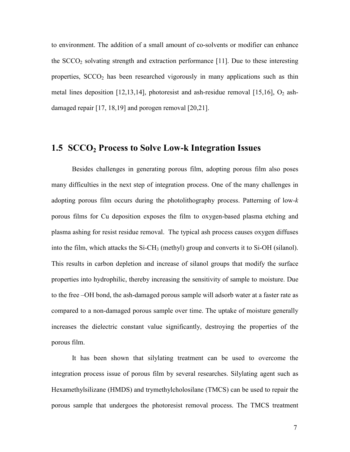to environment. The addition of a small amount of co-solvents or modifier can enhance the  $SCCO<sub>2</sub>$  solvating strength and extraction performance [11]. Due to these interesting properties, SCCO<sub>2</sub> has been researched vigorously in many applications such as thin metal lines deposition  $[12,13,14]$ , photoresist and ash-residue removal  $[15,16]$ ,  $O_2$  ashdamaged repair [17, 18,19] and porogen removal [20,21].

### 1.5 SCCO<sub>2</sub> Process to Solve Low-k Integration Issues

 Besides challenges in generating porous film, adopting porous film also poses many difficulties in the next step of integration process. One of the many challenges in adopting porous film occurs during the photolithography process. Patterning of low-k porous films for Cu deposition exposes the film to oxygen-based plasma etching and plasma ashing for resist residue removal. The typical ash process causes oxygen diffuses into the film, which attacks the Si-CH<sub>3</sub> (methyl) group and converts it to Si-OH (silanol). This results in carbon depletion and increase of silanol groups that modify the surface properties into hydrophilic, thereby increasing the sensitivity of sample to moisture. Due to the free –OH bond, the ash-damaged porous sample will adsorb water at a faster rate as compared to a non-damaged porous sample over time. The uptake of moisture generally increases the dielectric constant value significantly, destroying the properties of the porous film.

 It has been shown that silylating treatment can be used to overcome the integration process issue of porous film by several researches. Silylating agent such as Hexamethylsilizane (HMDS) and trymethylcholosilane (TMCS) can be used to repair the porous sample that undergoes the photoresist removal process. The TMCS treatment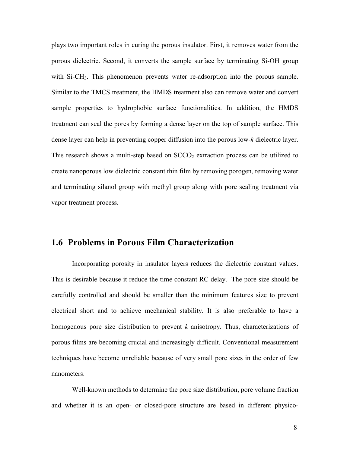plays two important roles in curing the porous insulator. First, it removes water from the porous dielectric. Second, it converts the sample surface by terminating Si-OH group with Si-CH<sub>3</sub>. This phenomenon prevents water re-adsorption into the porous sample. Similar to the TMCS treatment, the HMDS treatment also can remove water and convert sample properties to hydrophobic surface functionalities. In addition, the HMDS treatment can seal the pores by forming a dense layer on the top of sample surface. This dense layer can help in preventing copper diffusion into the porous low-k dielectric layer. This research shows a multi-step based on  $SCCO<sub>2</sub>$  extraction process can be utilized to create nanoporous low dielectric constant thin film by removing porogen, removing water and terminating silanol group with methyl group along with pore sealing treatment via vapor treatment process.

# 1.6 Problems in Porous Film Characterization

Incorporating porosity in insulator layers reduces the dielectric constant values. This is desirable because it reduce the time constant RC delay. The pore size should be carefully controlled and should be smaller than the minimum features size to prevent electrical short and to achieve mechanical stability. It is also preferable to have a homogenous pore size distribution to prevent  $k$  anisotropy. Thus, characterizations of porous films are becoming crucial and increasingly difficult. Conventional measurement techniques have become unreliable because of very small pore sizes in the order of few nanometers.

Well-known methods to determine the pore size distribution, pore volume fraction and whether it is an open- or closed-pore structure are based in different physico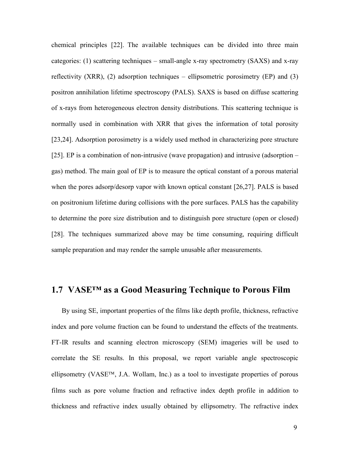chemical principles [22]. The available techniques can be divided into three main categories: (1) scattering techniques – small-angle x-ray spectrometry (SAXS) and x-ray reflectivity (XRR), (2) adsorption techniques – ellipsometric porosimetry (EP) and (3) positron annihilation lifetime spectroscopy (PALS). SAXS is based on diffuse scattering of x-rays from heterogeneous electron density distributions. This scattering technique is normally used in combination with XRR that gives the information of total porosity [23,24]. Adsorption porosimetry is a widely used method in characterizing pore structure [25]. EP is a combination of non-intrusive (wave propagation) and intrusive (adsorption – gas) method. The main goal of EP is to measure the optical constant of a porous material when the pores adsorp/desorp vapor with known optical constant [26,27]. PALS is based on positronium lifetime during collisions with the pore surfaces. PALS has the capability to determine the pore size distribution and to distinguish pore structure (open or closed) [28]. The techniques summarized above may be time consuming, requiring difficult sample preparation and may render the sample unusable after measurements.

# 1.7 VASE™ as a Good Measuring Technique to Porous Film

By using SE, important properties of the films like depth profile, thickness, refractive index and pore volume fraction can be found to understand the effects of the treatments. FT-IR results and scanning electron microscopy (SEM) imageries will be used to correlate the SE results. In this proposal, we report variable angle spectroscopic ellipsometry (VASE<sup>TM</sup>, J.A. Wollam, Inc.) as a tool to investigate properties of porous films such as pore volume fraction and refractive index depth profile in addition to thickness and refractive index usually obtained by ellipsometry. The refractive index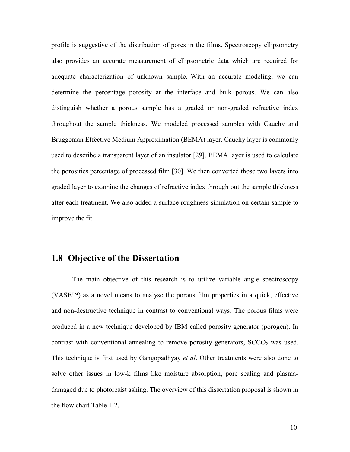profile is suggestive of the distribution of pores in the films. Spectroscopy ellipsometry also provides an accurate measurement of ellipsometric data which are required for adequate characterization of unknown sample. With an accurate modeling, we can determine the percentage porosity at the interface and bulk porous. We can also distinguish whether a porous sample has a graded or non-graded refractive index throughout the sample thickness. We modeled processed samples with Cauchy and Bruggeman Effective Medium Approximation (BEMA) layer. Cauchy layer is commonly used to describe a transparent layer of an insulator [29]. BEMA layer is used to calculate the porosities percentage of processed film [30]. We then converted those two layers into graded layer to examine the changes of refractive index through out the sample thickness after each treatment. We also added a surface roughness simulation on certain sample to improve the fit.

## 1.8 Objective of the Dissertation

The main objective of this research is to utilize variable angle spectroscopy (VASE™) as a novel means to analyse the porous film properties in a quick, effective and non-destructive technique in contrast to conventional ways. The porous films were produced in a new technique developed by IBM called porosity generator (porogen). In contrast with conventional annealing to remove porosity generators,  $SCCO<sub>2</sub>$  was used. This technique is first used by Gangopadhyay et al. Other treatments were also done to solve other issues in low-k films like moisture absorption, pore sealing and plasmadamaged due to photoresist ashing. The overview of this dissertation proposal is shown in the flow chart Table 1-2.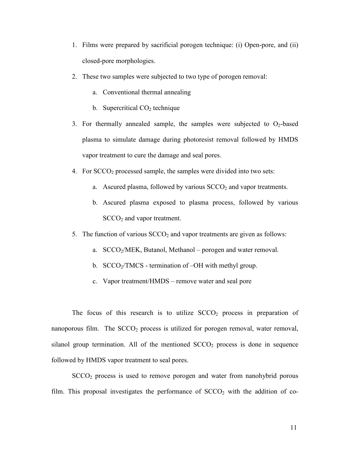- 1. Films were prepared by sacrificial porogen technique: (i) Open-pore, and (ii) closed-pore morphologies.
- 2. These two samples were subjected to two type of porogen removal:
	- a. Conventional thermal annealing
	- b. Supercritical  $CO<sub>2</sub>$  technique
- 3. For thermally annealed sample, the samples were subjected to  $O<sub>2</sub>$ -based plasma to simulate damage during photoresist removal followed by HMDS vapor treatment to cure the damage and seal pores.
- 4. For  $SCCO<sub>2</sub>$  processed sample, the samples were divided into two sets:
	- a. Ascured plasma, followed by various  $SCCO<sub>2</sub>$  and vapor treatments.
	- b. Ascured plasma exposed to plasma process, followed by various  $SCCO<sub>2</sub>$  and vapor treatment.
- 5. The function of various  $SCCO<sub>2</sub>$  and vapor treatments are given as follows:
	- a. SCCO2/MEK, Butanol, Methanol porogen and water removal.
	- b.  $SCCO<sub>2</sub>/TMCS$  termination of  $-OH$  with methyl group.
	- c. Vapor treatment/HMDS remove water and seal pore

The focus of this research is to utilize  $SCCO<sub>2</sub>$  process in preparation of nanoporous film. The  $SCCO<sub>2</sub>$  process is utilized for porogen removal, water removal, silanol group termination. All of the mentioned  $SCCO<sub>2</sub>$  process is done in sequence followed by HMDS vapor treatment to seal pores.

SCCO<sub>2</sub> process is used to remove porogen and water from nanohybrid porous film. This proposal investigates the performance of  $SCCO<sub>2</sub>$  with the addition of co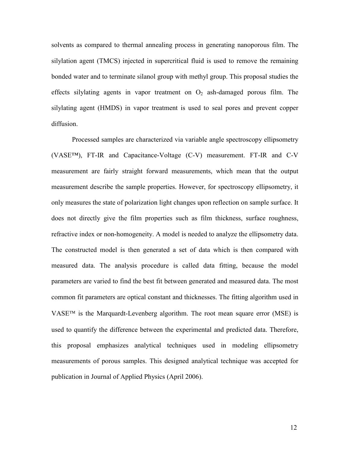solvents as compared to thermal annealing process in generating nanoporous film. The silylation agent (TMCS) injected in supercritical fluid is used to remove the remaining bonded water and to terminate silanol group with methyl group. This proposal studies the effects silylating agents in vapor treatment on  $O_2$  ash-damaged porous film. The silylating agent (HMDS) in vapor treatment is used to seal pores and prevent copper diffusion.

Processed samples are characterized via variable angle spectroscopy ellipsometry (VASE™), FT-IR and Capacitance-Voltage (C-V) measurement. FT-IR and C-V measurement are fairly straight forward measurements, which mean that the output measurement describe the sample properties. However, for spectroscopy ellipsometry, it only measures the state of polarization light changes upon reflection on sample surface. It does not directly give the film properties such as film thickness, surface roughness, refractive index or non-homogeneity. A model is needed to analyze the ellipsometry data. The constructed model is then generated a set of data which is then compared with measured data. The analysis procedure is called data fitting, because the model parameters are varied to find the best fit between generated and measured data. The most common fit parameters are optical constant and thicknesses. The fitting algorithm used in  $VASE^{TM}$  is the Marquardt-Levenberg algorithm. The root mean square error (MSE) is used to quantify the difference between the experimental and predicted data. Therefore, this proposal emphasizes analytical techniques used in modeling ellipsometry measurements of porous samples. This designed analytical technique was accepted for publication in Journal of Applied Physics (April 2006).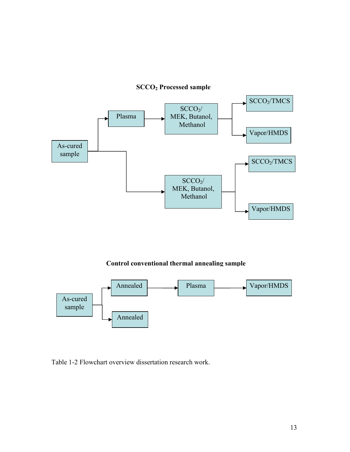

#### Control conventional thermal annealing sample



Table 1-2 Flowchart overview dissertation research work.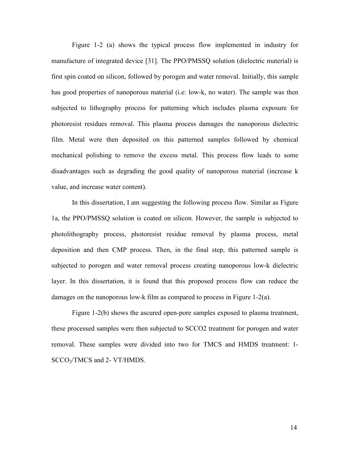Figure 1-2 (a) shows the typical process flow implemented in industry for manufacture of integrated device [31]. The PPO/PMSSQ solution (dielectric material) is first spin coated on silicon, followed by porogen and water removal. Initially, this sample has good properties of nanoporous material (i.e: low-k, no water). The sample was then subjected to lithography process for patterning which includes plasma exposure for photoresist residues removal. This plasma process damages the nanoporous dielectric film. Metal were then deposited on this patterned samples followed by chemical mechanical polishing to remove the excess metal. This process flow leads to some disadvantages such as degrading the good quality of nanoporous material (increase k value, and increase water content).

In this dissertation, I am suggesting the following process flow. Similar as Figure 1a, the PPO/PMSSQ solution is coated on silicon. However, the sample is subjected to photolithography process, photoresist residue removal by plasma process, metal deposition and then CMP process. Then, in the final step, this patterned sample is subjected to porogen and water removal process creating nanoporous low-k dielectric layer. In this dissertation, it is found that this proposed process flow can reduce the damages on the nanoporous low-k film as compared to process in Figure 1-2(a).

Figure 1-2(b) shows the ascured open-pore samples exposed to plasma treatment, these processed samples were then subjected to SCCO2 treatment for porogen and water removal. These samples were divided into two for TMCS and HMDS treatment: 1- SCCO<sub>2</sub>/TMCS and 2- VT/HMDS.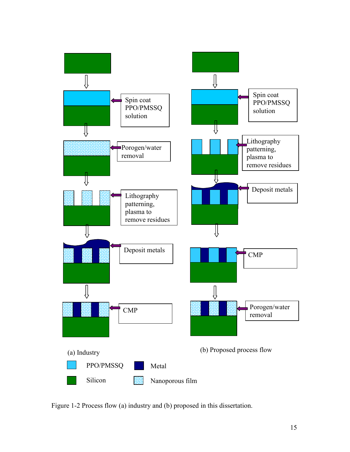

Figure 1-2 Process flow (a) industry and (b) proposed in this dissertation.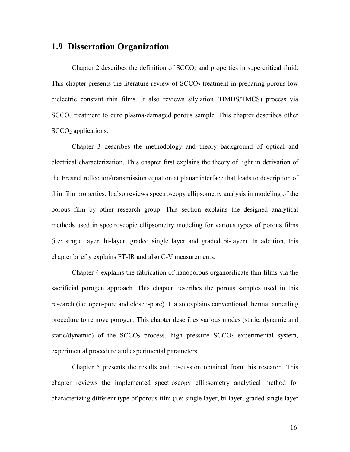#### 1.9 Dissertation Organization

Chapter 2 describes the definition of  $SCCO<sub>2</sub>$  and properties in supercritical fluid. This chapter presents the literature review of  $SCCO<sub>2</sub>$  treatment in preparing porous low dielectric constant thin films. It also reviews silylation (HMDS/TMCS) process via  $SCCO<sub>2</sub>$  treatment to cure plasma-damaged porous sample. This chapter describes other  $SCCO<sub>2</sub>$  applications.

Chapter 3 describes the methodology and theory background of optical and electrical characterization. This chapter first explains the theory of light in derivation of the Fresnel reflection/transmission equation at planar interface that leads to description of thin film properties. It also reviews spectroscopy ellipsometry analysis in modeling of the porous film by other research group. This section explains the designed analytical methods used in spectroscopic ellipsometry modeling for various types of porous films (i.e: single layer, bi-layer, graded single layer and graded bi-layer). In addition, this chapter briefly explains FT-IR and also C-V measurements.

Chapter 4 explains the fabrication of nanoporous organosilicate thin films via the sacrificial porogen approach. This chapter describes the porous samples used in this research (i.e: open-pore and closed-pore). It also explains conventional thermal annealing procedure to remove porogen. This chapter describes various modes (static, dynamic and static/dynamic) of the  $SCCO<sub>2</sub>$  process, high pressure  $SCCO<sub>2</sub>$  experimental system, experimental procedure and experimental parameters.

Chapter 5 presents the results and discussion obtained from this research. This chapter reviews the implemented spectroscopy ellipsometry analytical method for characterizing different type of porous film (i.e: single layer, bi-layer, graded single layer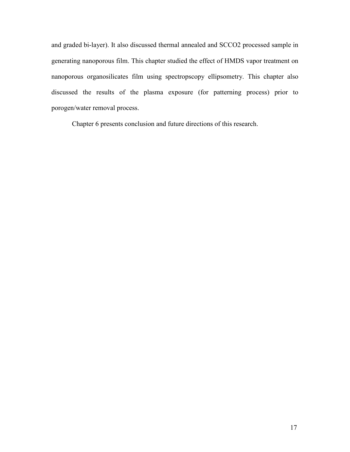and graded bi-layer). It also discussed thermal annealed and SCCO2 processed sample in generating nanoporous film. This chapter studied the effect of HMDS vapor treatment on nanoporous organosilicates film using spectropscopy ellipsometry. This chapter also discussed the results of the plasma exposure (for patterning process) prior to porogen/water removal process.

Chapter 6 presents conclusion and future directions of this research.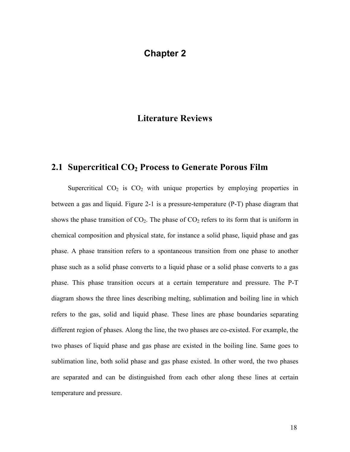# Chapter 2

# Literature Reviews

#### 2.1 Supercritical  $CO<sub>2</sub>$  Process to Generate Porous Film

Supercritical  $CO<sub>2</sub>$  is  $CO<sub>2</sub>$  with unique properties by employing properties in between a gas and liquid. Figure 2-1 is a pressure-temperature (P-T) phase diagram that shows the phase transition of  $CO<sub>2</sub>$ . The phase of  $CO<sub>2</sub>$  refers to its form that is uniform in chemical composition and physical state, for instance a solid phase, liquid phase and gas phase. A phase transition refers to a spontaneous transition from one phase to another phase such as a solid phase converts to a liquid phase or a solid phase converts to a gas phase. This phase transition occurs at a certain temperature and pressure. The P-T diagram shows the three lines describing melting, sublimation and boiling line in which refers to the gas, solid and liquid phase. These lines are phase boundaries separating different region of phases. Along the line, the two phases are co-existed. For example, the two phases of liquid phase and gas phase are existed in the boiling line. Same goes to sublimation line, both solid phase and gas phase existed. In other word, the two phases are separated and can be distinguished from each other along these lines at certain temperature and pressure.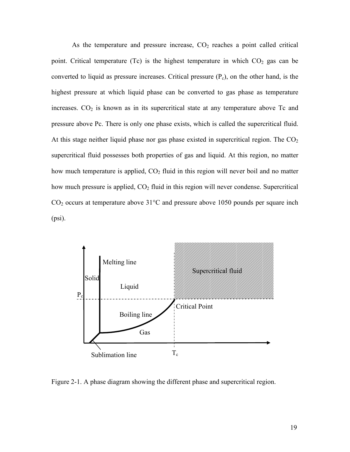As the temperature and pressure increase,  $CO<sub>2</sub>$  reaches a point called critical point. Critical temperature (Tc) is the highest temperature in which  $CO<sub>2</sub>$  gas can be converted to liquid as pressure increases. Critical pressure  $(P_c)$ , on the other hand, is the highest pressure at which liquid phase can be converted to gas phase as temperature increases.  $CO<sub>2</sub>$  is known as in its supercritical state at any temperature above Tc and pressure above Pc. There is only one phase exists, which is called the supercritical fluid. At this stage neither liquid phase nor gas phase existed in supercritical region. The  $CO<sub>2</sub>$ supercritical fluid possesses both properties of gas and liquid. At this region, no matter how much temperature is applied, CO<sub>2</sub> fluid in this region will never boil and no matter how much pressure is applied,  $CO<sub>2</sub>$  fluid in this region will never condense. Supercritical  $CO<sub>2</sub>$  occurs at temperature above 31 $\degree$ C and pressure above 1050 pounds per square inch (psi).



Figure 2-1. A phase diagram showing the different phase and supercritical region.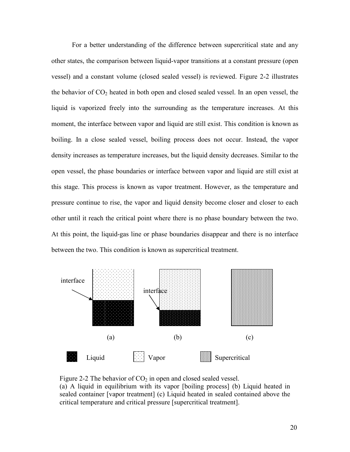For a better understanding of the difference between supercritical state and any other states, the comparison between liquid-vapor transitions at a constant pressure (open vessel) and a constant volume (closed sealed vessel) is reviewed. Figure 2-2 illustrates the behavior of  $CO<sub>2</sub>$  heated in both open and closed sealed vessel. In an open vessel, the liquid is vaporized freely into the surrounding as the temperature increases. At this moment, the interface between vapor and liquid are still exist. This condition is known as boiling. In a close sealed vessel, boiling process does not occur. Instead, the vapor density increases as temperature increases, but the liquid density decreases. Similar to the open vessel, the phase boundaries or interface between vapor and liquid are still exist at this stage. This process is known as vapor treatment. However, as the temperature and pressure continue to rise, the vapor and liquid density become closer and closer to each other until it reach the critical point where there is no phase boundary between the two. At this point, the liquid-gas line or phase boundaries disappear and there is no interface between the two. This condition is known as supercritical treatment.



Figure 2-2 The behavior of  $CO<sub>2</sub>$  in open and closed sealed vessel. (a) A liquid in equilibrium with its vapor [boiling process] (b) Liquid heated in sealed container [vapor treatment] (c) Liquid heated in sealed contained above the critical temperature and critical pressure [supercritical treatment].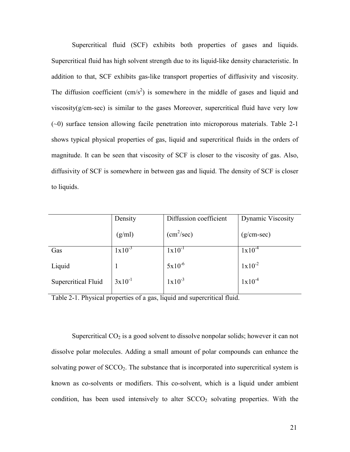Supercritical fluid (SCF) exhibits both properties of gases and liquids. Supercritical fluid has high solvent strength due to its liquid-like density characteristic. In addition to that, SCF exhibits gas-like transport properties of diffusivity and viscosity. The diffusion coefficient  $(cm/s^2)$  is somewhere in the middle of gases and liquid and viscosity( $g/cm$ -sec) is similar to the gases Moreover, supercritical fluid have very low (~0) surface tension allowing facile penetration into microporous materials. Table 2-1 shows typical physical properties of gas, liquid and supercritical fluids in the orders of magnitude. It can be seen that viscosity of SCF is closer to the viscosity of gas. Also, diffusivity of SCF is somewhere in between gas and liquid. The density of SCF is closer to liquids.

|                     | Density     | Diffussion coefficient | <b>Dynamic Viscosity</b> |
|---------------------|-------------|------------------------|--------------------------|
|                     | (g/ml)      | (cm <sup>2</sup> /sec) | $(g/cm\text{-}sec)$      |
| Gas                 | $1x10^{-3}$ | $1x10^{-1}$            | $1x10^{-4}$              |
| Liquid              |             | $5x10^{-6}$            | $1x10^{-2}$              |
| Supercritical Fluid | $3x10^{-1}$ | $1x10^{-3}$            | $1x10^{-4}$              |
|                     |             |                        |                          |

Table 2-1. Physical properties of a gas, liquid and supercritical fluid.

Supercritical  $CO<sub>2</sub>$  is a good solvent to dissolve nonpolar solids; however it can not dissolve polar molecules. Adding a small amount of polar compounds can enhance the solvating power of  $SCCO<sub>2</sub>$ . The substance that is incorporated into supercritical system is known as co-solvents or modifiers. This co-solvent, which is a liquid under ambient condition, has been used intensively to alter  $SCCO<sub>2</sub>$  solvating properties. With the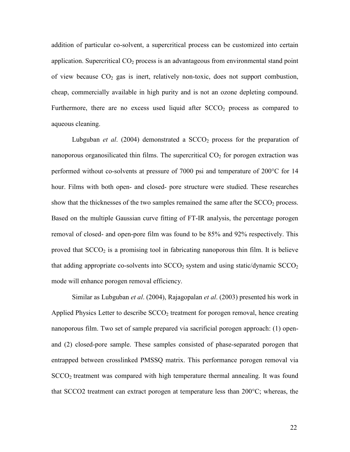addition of particular co-solvent, a supercritical process can be customized into certain application. Supercritical  $CO<sub>2</sub>$  process is an advantageous from environmental stand point of view because  $CO<sub>2</sub>$  gas is inert, relatively non-toxic, does not support combustion, cheap, commercially available in high purity and is not an ozone depleting compound. Furthermore, there are no excess used liquid after  $SCCO<sub>2</sub>$  process as compared to aqueous cleaning.

Lubguban *et al.* (2004) demonstrated a  $SCCO<sub>2</sub>$  process for the preparation of nanoporous organosilicated thin films. The supercritical  $CO<sub>2</sub>$  for porogen extraction was performed without co-solvents at pressure of 7000 psi and temperature of 200°C for 14 hour. Films with both open- and closed- pore structure were studied. These researches show that the thicknesses of the two samples remained the same after the  $SCCO<sub>2</sub>$  process. Based on the multiple Gaussian curve fitting of FT-IR analysis, the percentage porogen removal of closed- and open-pore film was found to be 85% and 92% respectively. This proved that  $SCCO<sub>2</sub>$  is a promising tool in fabricating nanoporous thin film. It is believe that adding appropriate co-solvents into  $SCCO<sub>2</sub>$  system and using static/dynamic  $SCCO<sub>2</sub>$ mode will enhance porogen removal efficiency.

Similar as Lubguban *et al.* (2004), Rajagopalan *et al.* (2003) presented his work in Applied Physics Letter to describe  $SCCO<sub>2</sub>$  treatment for porogen removal, hence creating nanoporous film. Two set of sample prepared via sacrificial porogen approach: (1) openand (2) closed-pore sample. These samples consisted of phase-separated porogen that entrapped between crosslinked PMSSQ matrix. This performance porogen removal via  $SCCO<sub>2</sub>$  treatment was compared with high temperature thermal annealing. It was found that SCCO2 treatment can extract porogen at temperature less than 200°C; whereas, the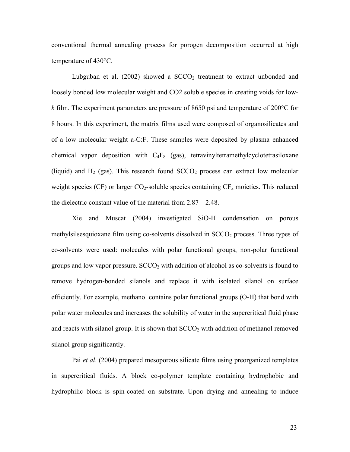conventional thermal annealing process for porogen decomposition occurred at high temperature of 430°C.

Lubguban et al.  $(2002)$  showed a  $SCCO<sub>2</sub>$  treatment to extract unbonded and loosely bonded low molecular weight and CO2 soluble species in creating voids for lowk film. The experiment parameters are pressure of 8650 psi and temperature of 200 $^{\circ}$ C for 8 hours. In this experiment, the matrix films used were composed of organosilicates and of a low molecular weight a-C:F. These samples were deposited by plasma enhanced chemical vapor deposition with  $C_4F_8$  (gas), tetravinyltetramethylcyclotetrasiloxane (liquid) and  $H_2$  (gas). This research found  $SCCO<sub>2</sub>$  process can extract low molecular weight species (CF) or larger  $CO_2$ -soluble species containing  $CF_x$  moieties. This reduced the dielectric constant value of the material from 2.87 – 2.48.

Xie and Muscat (2004) investigated SiO-H condensation on porous methylsilsesquioxane film using co-solvents dissolved in  $SCCO<sub>2</sub>$  process. Three types of co-solvents were used: molecules with polar functional groups, non-polar functional groups and low vapor pressure.  $SCCO<sub>2</sub>$  with addition of alcohol as co-solvents is found to remove hydrogen-bonded silanols and replace it with isolated silanol on surface efficiently. For example, methanol contains polar functional groups (O-H) that bond with polar water molecules and increases the solubility of water in the supercritical fluid phase and reacts with silanol group. It is shown that  $SCCO<sub>2</sub>$  with addition of methanol removed silanol group significantly.

Pai et al. (2004) prepared mesoporous silicate films using preorganized templates in supercritical fluids. A block co-polymer template containing hydrophobic and hydrophilic block is spin-coated on substrate. Upon drying and annealing to induce

23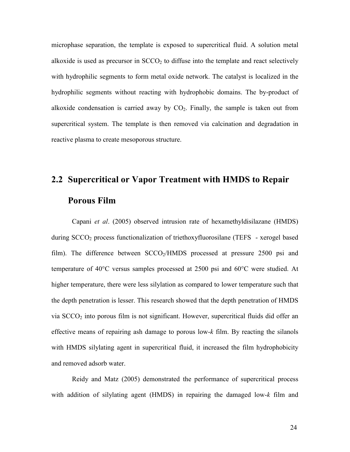microphase separation, the template is exposed to supercritical fluid. A solution metal alkoxide is used as precursor in  $SCCO<sub>2</sub>$  to diffuse into the template and react selectively with hydrophilic segments to form metal oxide network. The catalyst is localized in the hydrophilic segments without reacting with hydrophobic domains. The by-product of alkoxide condensation is carried away by  $CO<sub>2</sub>$ . Finally, the sample is taken out from supercritical system. The template is then removed via calcination and degradation in reactive plasma to create mesoporous structure.

# 2.2 Supercritical or Vapor Treatment with HMDS to Repair Porous Film

Capani et al. (2005) observed intrusion rate of hexamethyldisilazane (HMDS) during  $SCCO<sub>2</sub>$  process functionalization of triethoxyfluorosilane (TEFS - xerogel based film). The difference between  $SCCO<sub>2</sub>/HMDS$  processed at pressure 2500 psi and temperature of 40°C versus samples processed at 2500 psi and 60°C were studied. At higher temperature, there were less silylation as compared to lower temperature such that the depth penetration is lesser. This research showed that the depth penetration of HMDS via  $SCCO<sub>2</sub>$  into porous film is not significant. However, supercritical fluids did offer an effective means of repairing ash damage to porous low- $k$  film. By reacting the silanols with HMDS silylating agent in supercritical fluid, it increased the film hydrophobicity and removed adsorb water.

Reidy and Matz (2005) demonstrated the performance of supercritical process with addition of silylating agent (HMDS) in repairing the damaged low-k film and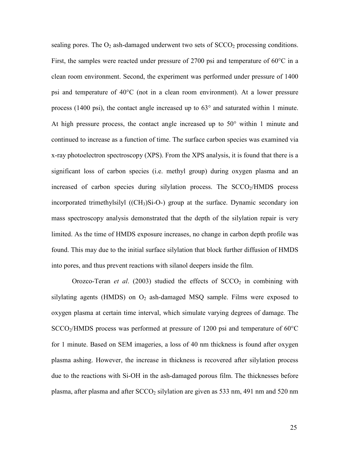sealing pores. The  $O_2$  ash-damaged underwent two sets of  $SCCO_2$  processing conditions. First, the samples were reacted under pressure of 2700 psi and temperature of 60<sup>o</sup>C in a clean room environment. Second, the experiment was performed under pressure of 1400 psi and temperature of 40°C (not in a clean room environment). At a lower pressure process (1400 psi), the contact angle increased up to 63° and saturated within 1 minute. At high pressure process, the contact angle increased up to 50° within 1 minute and continued to increase as a function of time. The surface carbon species was examined via x-ray photoelectron spectroscopy (XPS). From the XPS analysis, it is found that there is a significant loss of carbon species (i.e. methyl group) during oxygen plasma and an increased of carbon species during silylation process. The  $SCCO<sub>2</sub>/HMDS$  process incorporated trimethylsilyl  $((CH<sub>3</sub>)Si-O-)$  group at the surface. Dynamic secondary ion mass spectroscopy analysis demonstrated that the depth of the silylation repair is very limited. As the time of HMDS exposure increases, no change in carbon depth profile was found. This may due to the initial surface silylation that block further diffusion of HMDS into pores, and thus prevent reactions with silanol deepers inside the film.

Orozco-Teran et al. (2003) studied the effects of  $SCCO<sub>2</sub>$  in combining with silylating agents (HMDS) on  $O_2$  ash-damaged MSQ sample. Films were exposed to oxygen plasma at certain time interval, which simulate varying degrees of damage. The  $SCCO<sub>2</sub>/HMDS$  process was performed at pressure of 1200 psi and temperature of 60 $\degree$ C for 1 minute. Based on SEM imageries, a loss of 40 nm thickness is found after oxygen plasma ashing. However, the increase in thickness is recovered after silylation process due to the reactions with Si-OH in the ash-damaged porous film. The thicknesses before plasma, after plasma and after  $SCCO<sub>2</sub>$  silylation are given as 533 nm, 491 nm and 520 nm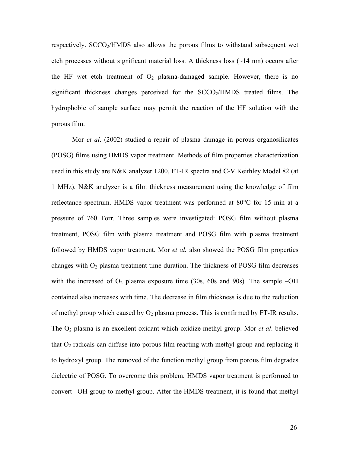respectively. SCCO2/HMDS also allows the porous films to withstand subsequent wet etch processes without significant material loss. A thickness loss  $(\sim 14 \text{ nm})$  occurs after the HF wet etch treatment of  $O_2$  plasma-damaged sample. However, there is no significant thickness changes perceived for the  $SCCO<sub>2</sub>/HMDS$  treated films. The hydrophobic of sample surface may permit the reaction of the HF solution with the porous film.

Mor *et al.* (2002) studied a repair of plasma damage in porous organosilicates (POSG) films using HMDS vapor treatment. Methods of film properties characterization used in this study are N&K analyzer 1200, FT-IR spectra and C-V Keithley Model 82 (at 1 MHz). N&K analyzer is a film thickness measurement using the knowledge of film reflectance spectrum. HMDS vapor treatment was performed at 80°C for 15 min at a pressure of 760 Torr. Three samples were investigated: POSG film without plasma treatment, POSG film with plasma treatment and POSG film with plasma treatment followed by HMDS vapor treatment. Mor *et al.* also showed the POSG film properties changes with  $O_2$  plasma treatment time duration. The thickness of POSG film decreases with the increased of  $O_2$  plasma exposure time (30s, 60s and 90s). The sample –OH contained also increases with time. The decrease in film thickness is due to the reduction of methyl group which caused by  $O_2$  plasma process. This is confirmed by FT-IR results. The  $O_2$  plasma is an excellent oxidant which oxidize methyl group. Mor *et al.* believed that  $O<sub>2</sub>$  radicals can diffuse into porous film reacting with methyl group and replacing it to hydroxyl group. The removed of the function methyl group from porous film degrades dielectric of POSG. To overcome this problem, HMDS vapor treatment is performed to convert –OH group to methyl group. After the HMDS treatment, it is found that methyl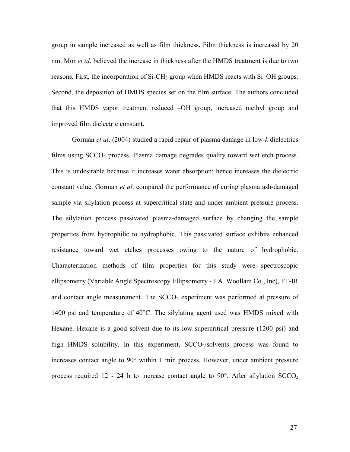group in sample increased as well as film thickness. Film thickness is increased by 20 nm. Mor *et al.* believed the increase in thickness after the HMDS treatment is due to two reasons. First, the incorporation of  $Si$ -CH<sub>3</sub> group when HMDS reacts with  $Si$ -OH groups. Second, the deposition of HMDS species set on the film surface. The authors concluded that this HMDS vapor treatment reduced –OH group, increased methyl group and improved film dielectric constant.

Gorman et al. (2004) studied a rapid repair of plasma damage in low-k dielectrics films using  $SCCO<sub>2</sub>$  process. Plasma damage degrades quality toward wet etch process. This is undesirable because it increases water absorption; hence increases the dielectric constant value. Gorman *et al.* compared the performance of curing plasma ash-damaged sample via silylation process at supercritical state and under ambient pressure process. The silylation process passivated plasma-damaged surface by changing the sample properties from hydrophilic to hydrophobic. This passivated surface exhibits enhanced resistance toward wet etches processes owing to the nature of hydrophobic. Characterization methods of film properties for this study were spectroscopic ellipsometry (Variable Angle Spectroscopy Ellipsometry - J.A. Woollam Co., Inc), FT-IR and contact angle measurement. The  $SCCO<sub>2</sub>$  experiment was performed at pressure of 1400 psi and temperature of 40°C. The silylating agent used was HMDS mixed with Hexane. Hexane is a good solvent due to its low supercritical pressure (1200 psi) and high HMDS solubility. In this experiment,  $SCCO<sub>2</sub>/solvents$  process was found to increases contact angle to 90° within 1 min process. However, under ambient pressure process required 12 - 24 h to increase contact angle to 90 $^{\circ}$ . After silylation SCCO<sub>2</sub>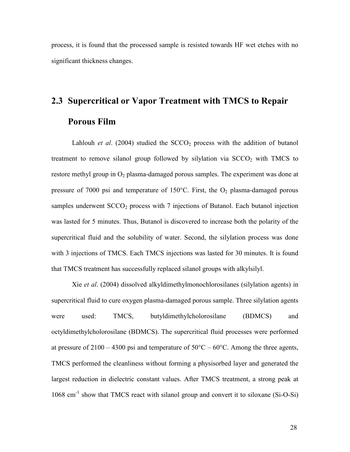process, it is found that the processed sample is resisted towards HF wet etches with no significant thickness changes.

# 2.3 Supercritical or Vapor Treatment with TMCS to Repair Porous Film

Lahlouh *et al.* (2004) studied the  $SCCO<sub>2</sub>$  process with the addition of butanol treatment to remove silanol group followed by silylation via  $SCCO<sub>2</sub>$  with TMCS to restore methyl group in  $O_2$  plasma-damaged porous samples. The experiment was done at pressure of 7000 psi and temperature of 150 $^{\circ}$ C. First, the O<sub>2</sub> plasma-damaged porous samples underwent  $SCCO<sub>2</sub>$  process with 7 injections of Butanol. Each butanol injection was lasted for 5 minutes. Thus, Butanol is discovered to increase both the polarity of the supercritical fluid and the solubility of water. Second, the silylation process was done with 3 injections of TMCS. Each TMCS injections was lasted for 30 minutes. It is found that TMCS treatment has successfully replaced silanol groups with alkylsilyl.

Xie et al. (2004) dissolved alkyldimethylmonochlorosilanes (silylation agents) in supercritical fluid to cure oxygen plasma-damaged porous sample. Three silylation agents were used: TMCS, butyldimethylcholorosilane (BDMCS) and octyldimethylcholorosilane (BDMCS). The supercritical fluid processes were performed at pressure of  $2100 - 4300$  psi and temperature of  $50^{\circ}$ C –  $60^{\circ}$ C. Among the three agents, TMCS performed the cleanliness without forming a physisorbed layer and generated the largest reduction in dielectric constant values. After TMCS treatment, a strong peak at 1068 cm-1 show that TMCS react with silanol group and convert it to siloxane (Si-O-Si)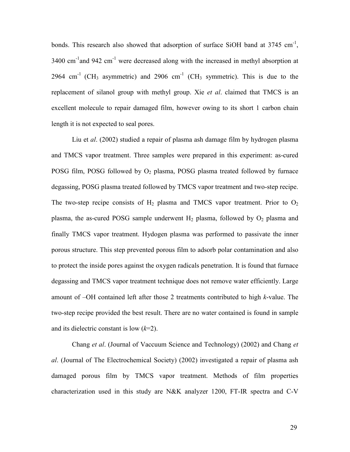bonds. This research also showed that adsorption of surface SiOH band at  $3745 \text{ cm}^{-1}$ ,  $3400 \text{ cm}^{-1}$  and  $942 \text{ cm}^{-1}$  were decreased along with the increased in methyl absorption at 2964 cm<sup>-1</sup> (CH<sub>3</sub> asymmetric) and 2906 cm<sup>-1</sup> (CH<sub>3</sub> symmetric). This is due to the replacement of silanol group with methyl group. Xie *et al.* claimed that TMCS is an excellent molecule to repair damaged film, however owing to its short 1 carbon chain length it is not expected to seal pores.

 Liu et al. (2002) studied a repair of plasma ash damage film by hydrogen plasma and TMCS vapor treatment. Three samples were prepared in this experiment: as-cured POSG film, POSG followed by  $O_2$  plasma, POSG plasma treated followed by furnace degassing, POSG plasma treated followed by TMCS vapor treatment and two-step recipe. The two-step recipe consists of  $H_2$  plasma and TMCS vapor treatment. Prior to  $O_2$ plasma, the as-cured POSG sample underwent  $H_2$  plasma, followed by  $O_2$  plasma and finally TMCS vapor treatment. Hydogen plasma was performed to passivate the inner porous structure. This step prevented porous film to adsorb polar contamination and also to protect the inside pores against the oxygen radicals penetration. It is found that furnace degassing and TMCS vapor treatment technique does not remove water efficiently. Large amount of –OH contained left after those 2 treatments contributed to high k-value. The two-step recipe provided the best result. There are no water contained is found in sample and its dielectric constant is low  $(k=2)$ .

 Chang et al. (Journal of Vaccuum Science and Technology) (2002) and Chang et al. (Journal of The Electrochemical Society) (2002) investigated a repair of plasma ash damaged porous film by TMCS vapor treatment. Methods of film properties characterization used in this study are N&K analyzer 1200, FT-IR spectra and C-V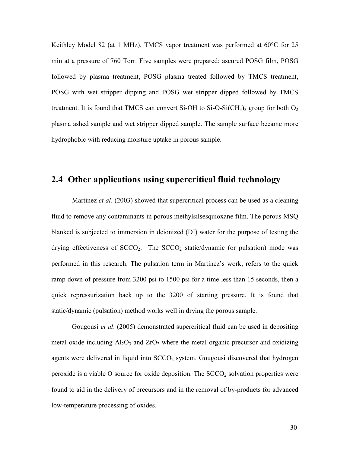Keithley Model 82 (at 1 MHz). TMCS vapor treatment was performed at 60°C for 25 min at a pressure of 760 Torr. Five samples were prepared: ascured POSG film, POSG followed by plasma treatment, POSG plasma treated followed by TMCS treatment, POSG with wet stripper dipping and POSG wet stripper dipped followed by TMCS treatment. It is found that TMCS can convert Si-OH to Si-O-Si(CH<sub>3</sub>)<sub>3</sub> group for both  $O_2$ plasma ashed sample and wet stripper dipped sample. The sample surface became more hydrophobic with reducing moisture uptake in porous sample.

# 2.4 Other applications using supercritical fluid technology

Martinez *et al.* (2003) showed that supercritical process can be used as a cleaning fluid to remove any contaminants in porous methylsilsesquioxane film. The porous MSQ blanked is subjected to immersion in deionized (DI) water for the purpose of testing the drying effectiveness of  $SCCO<sub>2</sub>$ . The  $SCCO<sub>2</sub>$  static/dynamic (or pulsation) mode was performed in this research. The pulsation term in Martinez's work, refers to the quick ramp down of pressure from 3200 psi to 1500 psi for a time less than 15 seconds, then a quick repressurization back up to the 3200 of starting pressure. It is found that static/dynamic (pulsation) method works well in drying the porous sample.

Gougousi *et al.* (2005) demonstrated supercritical fluid can be used in depositing metal oxide including  $Al_2O_3$  and  $ZrO_2$  where the metal organic precursor and oxidizing agents were delivered in liquid into  $SCCO<sub>2</sub>$  system. Gougousi discovered that hydrogen peroxide is a viable O source for oxide deposition. The  $SCCO<sub>2</sub>$  solvation properties were found to aid in the delivery of precursors and in the removal of by-products for advanced low-temperature processing of oxides.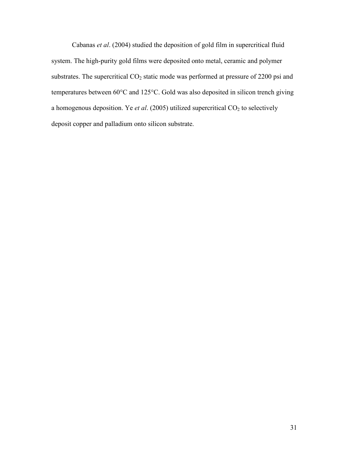Cabanas et al. (2004) studied the deposition of gold film in supercritical fluid system. The high-purity gold films were deposited onto metal, ceramic and polymer substrates. The supercritical  $CO<sub>2</sub>$  static mode was performed at pressure of 2200 psi and temperatures between 60°C and 125°C. Gold was also deposited in silicon trench giving a homogenous deposition. Ye et al. (2005) utilized supercritical  $CO<sub>2</sub>$  to selectively deposit copper and palladium onto silicon substrate.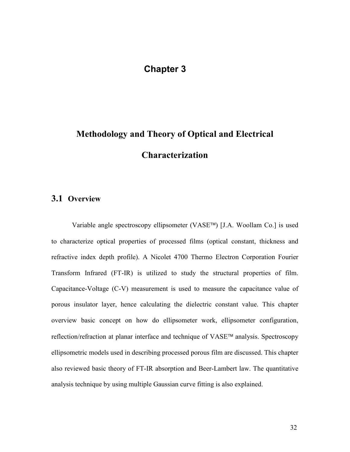# Chapter 3

# Methodology and Theory of Optical and Electrical **Characterization**

#### 3.1 Overview

Variable angle spectroscopy ellipsometer (VASE<sup>TM</sup>) [J.A. Woollam Co.] is used to characterize optical properties of processed films (optical constant, thickness and refractive index depth profile). A Nicolet 4700 Thermo Electron Corporation Fourier Transform Infrared (FT-IR) is utilized to study the structural properties of film. Capacitance-Voltage (C-V) measurement is used to measure the capacitance value of porous insulator layer, hence calculating the dielectric constant value. This chapter overview basic concept on how do ellipsometer work, ellipsometer configuration, reflection/refraction at planar interface and technique of VASE™ analysis. Spectroscopy ellipsometric models used in describing processed porous film are discussed. This chapter also reviewed basic theory of FT-IR absorption and Beer-Lambert law. The quantitative analysis technique by using multiple Gaussian curve fitting is also explained.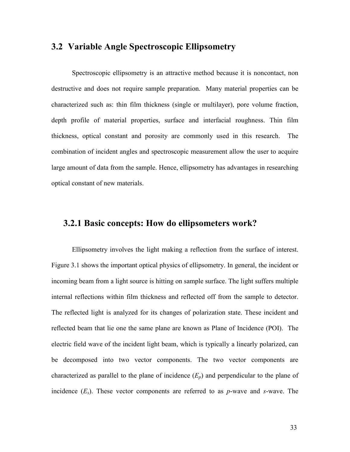# 3.2 Variable Angle Spectroscopic Ellipsometry

Spectroscopic ellipsometry is an attractive method because it is noncontact, non destructive and does not require sample preparation. Many material properties can be characterized such as: thin film thickness (single or multilayer), pore volume fraction, depth profile of material properties, surface and interfacial roughness. Thin film thickness, optical constant and porosity are commonly used in this research. The combination of incident angles and spectroscopic measurement allow the user to acquire large amount of data from the sample. Hence, ellipsometry has advantages in researching optical constant of new materials.

#### 3.2.1 Basic concepts: How do ellipsometers work?

Ellipsometry involves the light making a reflection from the surface of interest. Figure 3.1 shows the important optical physics of ellipsometry. In general, the incident or incoming beam from a light source is hitting on sample surface. The light suffers multiple internal reflections within film thickness and reflected off from the sample to detector. The reflected light is analyzed for its changes of polarization state. These incident and reflected beam that lie one the same plane are known as Plane of Incidence (POI). The electric field wave of the incident light beam, which is typically a linearly polarized, can be decomposed into two vector components. The two vector components are characterized as parallel to the plane of incidence  $(E_p)$  and perpendicular to the plane of incidence  $(E_s)$ . These vector components are referred to as p-wave and s-wave. The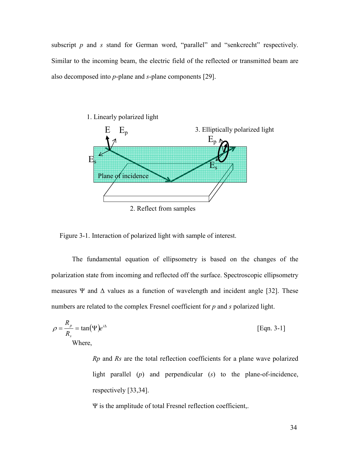subscript  $p$  and  $s$  stand for German word, "parallel" and "senkcrecht" respectively. Similar to the incoming beam, the electric field of the reflected or transmitted beam are also decomposed into p-plane and s-plane components [29].



Figure 3-1. Interaction of polarized light with sample of interest.

The fundamental equation of ellipsometry is based on the changes of the polarization state from incoming and reflected off the surface. Spectroscopic ellipsometry measures Ψ and  $\Delta$  values as a function of wavelength and incident angle [32]. These numbers are related to the complex Fresnel coefficient for p and s polarized light.

$$
\rho = \frac{R_p}{R_s} = \tan(\Psi)e^{i\Delta}
$$
 [Eqn. 3-1]  
Where,

Rp and Rs are the total reflection coefficients for a plane wave polarized light parallel  $(p)$  and perpendicular  $(s)$  to the plane-of-incidence, respectively [33,34].

Ψ is the amplitude of total Fresnel reflection coefficient,.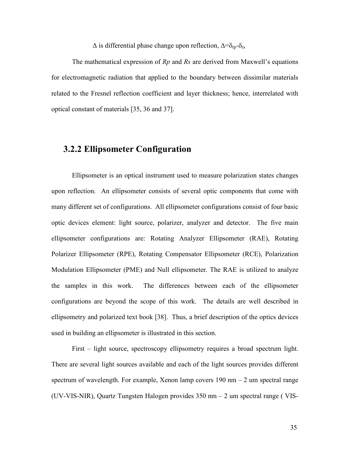$\Delta$  is differential phase change upon reflection,  $\Delta = \delta_{rp} - \delta_{rs}$ 

The mathematical expression of  $Rp$  and  $Rs$  are derived from Maxwell's equations for electromagnetic radiation that applied to the boundary between dissimilar materials related to the Fresnel reflection coefficient and layer thickness; hence, interrelated with optical constant of materials [35, 36 and 37].

# 3.2.2 Ellipsometer Configuration

Ellipsometer is an optical instrument used to measure polarization states changes upon reflection. An ellipsometer consists of several optic components that come with many different set of configurations. All ellipsometer configurations consist of four basic optic devices element: light source, polarizer, analyzer and detector. The five main ellipsometer configurations are: Rotating Analyzer Ellipsometer (RAE), Rotating Polarizer Ellipsometer (RPE), Rotating Compensator Ellipsometer (RCE), Polarization Modulation Ellipsometer (PME) and Null ellipsometer. The RAE is utilized to analyze the samples in this work. The differences between each of the ellipsometer configurations are beyond the scope of this work. The details are well described in ellipsometry and polarized text book [38]. Thus, a brief description of the optics devices used in building an ellipsometer is illustrated in this section.

 First – light source, spectroscopy ellipsometry requires a broad spectrum light. There are several light sources available and each of the light sources provides different spectrum of wavelength. For example, Xenon lamp covers  $190 \text{ nm} - 2 \text{ um spectral range}$ (UV-VIS-NIR), Quartz Tungsten Halogen provides 350 nm – 2 um spectral range ( VIS-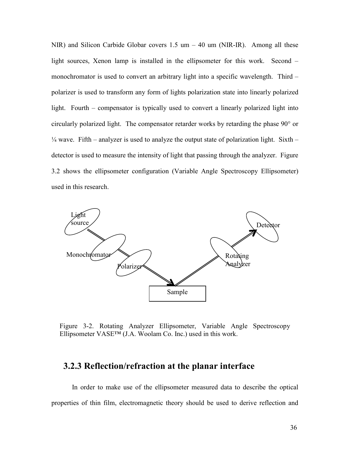NIR) and Silicon Carbide Globar covers  $1.5 \text{ um} - 40 \text{ um (NIR-IR)}$ . Among all these light sources, Xenon lamp is installed in the ellipsometer for this work. Second – monochromator is used to convert an arbitrary light into a specific wavelength. Third – polarizer is used to transform any form of lights polarization state into linearly polarized light. Fourth – compensator is typically used to convert a linearly polarized light into circularly polarized light. The compensator retarder works by retarding the phase 90° or  $\frac{1}{4}$  wave. Fifth – analyzer is used to analyze the output state of polarization light. Sixth – detector is used to measure the intensity of light that passing through the analyzer. Figure 3.2 shows the ellipsometer configuration (Variable Angle Spectroscopy Ellipsometer) used in this research.



Figure 3-2. Rotating Analyzer Ellipsometer, Variable Angle Spectroscopy Ellipsometer VASE™ (J.A. Woolam Co. Inc.) used in this work.

# 3.2.3 Reflection/refraction at the planar interface

 In order to make use of the ellipsometer measured data to describe the optical properties of thin film, electromagnetic theory should be used to derive reflection and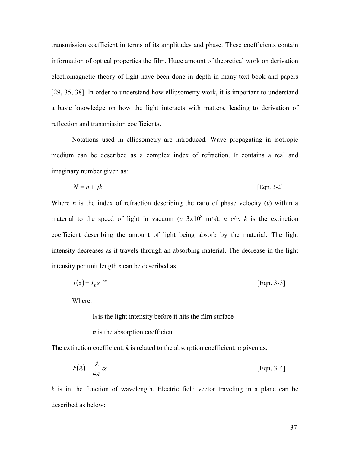transmission coefficient in terms of its amplitudes and phase. These coefficients contain information of optical properties the film. Huge amount of theoretical work on derivation electromagnetic theory of light have been done in depth in many text book and papers [29, 35, 38]. In order to understand how ellipsometry work, it is important to understand a basic knowledge on how the light interacts with matters, leading to derivation of reflection and transmission coefficients.

 Notations used in ellipsometry are introduced. Wave propagating in isotropic medium can be described as a complex index of refraction. It contains a real and imaginary number given as:

$$
N = n + jk
$$
 [Eqn. 3-2]

Where *n* is the index of refraction describing the ratio of phase velocity  $(v)$  within a material to the speed of light in vacuum ( $c=3\times10^8$  m/s),  $n=c/v$ . *k* is the extinction coefficient describing the amount of light being absorb by the material. The light intensity decreases as it travels through an absorbing material. The decrease in the light intensity per unit length z can be described as:

$$
I(z) = I_0 e^{-\alpha z} \tag{Eqn. 3-3}
$$

Where,

 $I_0$  is the light intensity before it hits the film surface

 $\alpha$  is the absorption coefficient.

The extinction coefficient, k is related to the absorption coefficient,  $\alpha$  given as:

$$
k(\lambda) = \frac{\lambda}{4\pi} \alpha
$$
 [Eqn. 3-4]

 $k$  is in the function of wavelength. Electric field vector traveling in a plane can be described as below: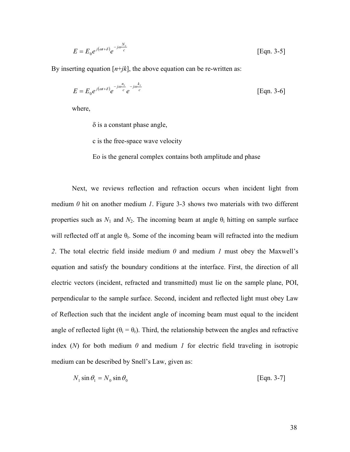$$
E = E_0 e^{j(\omega t + \delta)} e^{-j\omega \frac{N_z}{c}}
$$
 [Eqn. 3-5]

By inserting equation  $[n+jk]$ , the above equation can be re-written as:

$$
E = E_0 e^{j(\omega t + \delta)} e^{-j\omega \frac{h_z}{c}} e^{-j\omega \frac{k_z}{c}}
$$
 [Eqn. 3-6]

where,

 $\delta$  is a constant phase angle,

c is the free-space wave velocity

Eo is the general complex contains both amplitude and phase

Next, we reviews reflection and refraction occurs when incident light from medium  $\theta$  hit on another medium  $I$ . Figure 3-3 shows two materials with two different properties such as  $N_1$  and  $N_2$ . The incoming beam at angle  $\theta_i$  hitting on sample surface will reflected off at angle  $\theta_r$ . Some of the incoming beam will refracted into the medium 2. The total electric field inside medium  $0$  and medium  $1$  must obey the Maxwell's equation and satisfy the boundary conditions at the interface. First, the direction of all electric vectors (incident, refracted and transmitted) must lie on the sample plane, POI, perpendicular to the sample surface. Second, incident and reflected light must obey Law of Reflection such that the incident angle of incoming beam must equal to the incident angle of reflected light ( $\theta_i = \theta_r$ ). Third, the relationship between the angles and refractive index  $(N)$  for both medium  $0$  and medium  $1$  for electric field traveling in isotropic medium can be described by Snell's Law, given as:

$$
N_1 \sin \theta_1 = N_0 \sin \theta_0 \tag{Eqn. 3-7}
$$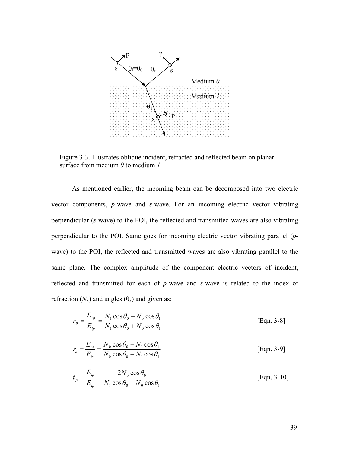

Figure 3-3. Illustrates oblique incident, refracted and reflected beam on planar surface from medium  $\theta$  to medium  $I$ .

As mentioned earlier, the incoming beam can be decomposed into two electric vector components, p-wave and s-wave. For an incoming electric vector vibrating perpendicular (s-wave) to the POI, the reflected and transmitted waves are also vibrating perpendicular to the POI. Same goes for incoming electric vector vibrating parallel (pwave) to the POI, the reflected and transmitted waves are also vibrating parallel to the same plane. The complex amplitude of the component electric vectors of incident, reflected and transmitted for each of p-wave and s-wave is related to the index of refraction  $(N_x)$  and angles  $(\theta_x)$  and given as:

$$
r_p = \frac{E_{rp}}{E_{ip}} = \frac{N_1 \cos \theta_0 - N_0 \cos \theta_1}{N_1 \cos \theta_0 + N_0 \cos \theta_1}
$$
 [Eqn. 3-8]

$$
r_s = \frac{E_{rs}}{E_{is}} = \frac{N_0 \cos \theta_0 - N_1 \cos \theta_1}{N_0 \cos \theta_0 + N_1 \cos \theta_1}
$$
 [Eqn. 3-9]

$$
t_p = \frac{E_p}{E_{ip}} = \frac{2N_0 \cos \theta_0}{N_1 \cos \theta_0 + N_0 \cos \theta_1}
$$
 [Eqn. 3-10]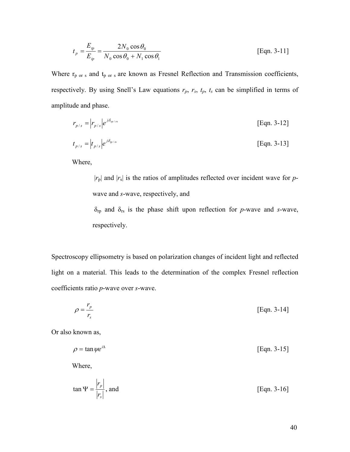$$
t_p = \frac{E_p}{E_{ip}} = \frac{2N_0 \cos \theta_0}{N_0 \cos \theta_0 + N_1 \cos \theta_1}
$$
 [Eqn. 3-11]

Where  $r_{p \text{ or } s}$  and  $t_{p \text{ or } s}$  are known as Fresnel Reflection and Transmission coefficients, respectively. By using Snell's Law equations  $r_p$ ,  $r_s$ ,  $t_p$ ,  $t_s$  can be simplified in terms of amplitude and phase.

$$
r_{p/s} = |r_{p/s}|e^{j\delta_{p/s}}
$$
 [Eqn. 3-12]

$$
t_{p/s} = |t_{p/s}|e^{j\delta_{p/s}}
$$
 [Eqn. 3-13]

Where,

 $|r_{p}|$  and  $|r_{s}|$  is the ratios of amplitudes reflected over incident wave for pwave and s-wave, respectively, and  $\delta_{rp}$  and  $\delta_{rs}$  is the phase shift upon reflection for p-wave and s-wave, respectively.

Spectroscopy ellipsometry is based on polarization changes of incident light and reflected light on a material. This leads to the determination of the complex Fresnel reflection coefficients ratio p-wave over s-wave.

$$
\rho = \frac{r_p}{r_s} \tag{Eqn. 3-14}
$$

Or also known as,

 $=$  tan  $\psi e^{i\Delta}$  $[Eqn. 3-15]$ 

Where,

$$
\tan \Psi = \frac{|r_p|}{|r_s|}, \text{ and } \text{[Eqn. 3-16]}
$$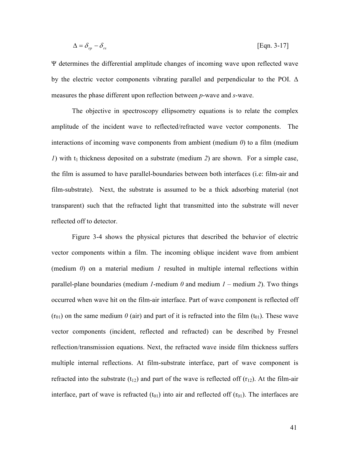$$
\Delta = \delta_{rp} - \delta_{rs} \tag{Eqn. 3-17}
$$

Ψ determines the differential amplitude changes of incoming wave upon reflected wave by the electric vector components vibrating parallel and perpendicular to the POI. ∆ measures the phase different upon reflection between *p*-wave and *s*-wave.

The objective in spectroscopy ellipsometry equations is to relate the complex amplitude of the incident wave to reflected/refracted wave vector components. The interactions of incoming wave components from ambient (medium  $\theta$ ) to a film (medium 1) with  $t_1$  thickness deposited on a substrate (medium 2) are shown. For a simple case, the film is assumed to have parallel-boundaries between both interfaces (i.e: film-air and film-substrate). Next, the substrate is assumed to be a thick adsorbing material (not transparent) such that the refracted light that transmitted into the substrate will never reflected off to detector.

Figure 3-4 shows the physical pictures that described the behavior of electric vector components within a film. The incoming oblique incident wave from ambient (medium  $\theta$ ) on a material medium *l* resulted in multiple internal reflections within parallel-plane boundaries (medium *l*-medium  $\theta$  and medium  $\theta$  – medium 2). Two things occurred when wave hit on the film-air interface. Part of wave component is reflected off  $(r_{01})$  on the same medium  $\theta$  (air) and part of it is refracted into the film  $(t_{01})$ . These wave vector components (incident, reflected and refracted) can be described by Fresnel reflection/transmission equations. Next, the refracted wave inside film thickness suffers multiple internal reflections. At film-substrate interface, part of wave component is refracted into the substrate  $(t_{12})$  and part of the wave is reflected off  $(r_{12})$ . At the film-air interface, part of wave is refracted  $(t_{01})$  into air and reflected off  $(r_{01})$ . The interfaces are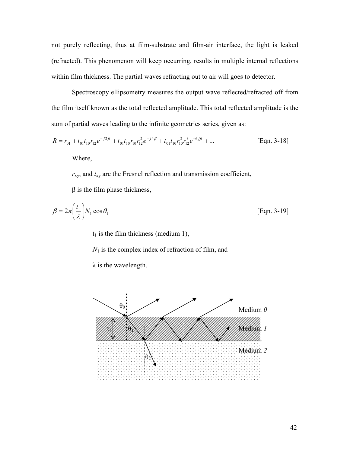not purely reflecting, thus at film-substrate and film-air interface, the light is leaked (refracted). This phenomenon will keep occurring, results in multiple internal reflections within film thickness. The partial waves refracting out to air will goes to detector.

Spectroscopy ellipsometry measures the output wave reflected/refracted off from the film itself known as the total reflected amplitude. This total reflected amplitude is the sum of partial waves leading to the infinite geometries series, given as:

$$
R = r_{01} + t_{01}t_{10}r_{12}e^{-j2\beta} + t_{01}t_{10}r_{10}r_{12}^2e^{-j4\beta} + t_{01}t_{10}r_{10}^2r_{12}^3e^{-6j\beta} + \dots
$$
 [Eqn. 3-18]  
Where,

 $r_{xy}$ , and  $t_{xy}$  are the Fresnel reflection and transmission coefficient,

 $β$  is the film phase thickness,

$$
\beta = 2\pi \left(\frac{t_1}{\lambda}\right) N_1 \cos \theta_1
$$
 [Eqn. 3-19]

 $t_1$  is the film thickness (medium 1),

 $N_1$  is the complex index of refraction of film, and

λ is the wavelength.

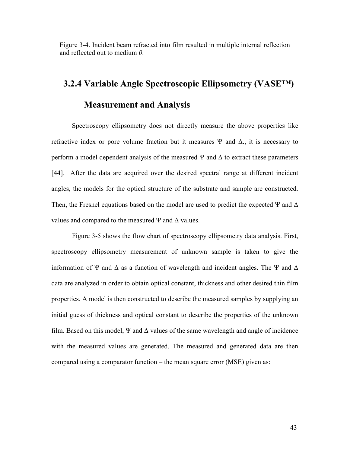Figure 3-4. Incident beam refracted into film resulted in multiple internal reflection and reflected out to medium 0.

#### 3.2.4 Variable Angle Spectroscopic Ellipsometry (VASE™)

#### Measurement and Analysis

Spectroscopy ellipsometry does not directly measure the above properties like refractive index or pore volume fraction but it measures Ψ and  $\Delta$ , it is necessary to perform a model dependent analysis of the measured  $\Psi$  and  $\Delta$  to extract these parameters [44]. After the data are acquired over the desired spectral range at different incident angles, the models for the optical structure of the substrate and sample are constructed. Then, the Fresnel equations based on the model are used to predict the expected  $\Psi$  and  $\Delta$ values and compared to the measured Ψ and  $\Delta$  values.

Figure 3-5 shows the flow chart of spectroscopy ellipsometry data analysis. First, spectroscopy ellipsometry measurement of unknown sample is taken to give the information of Ψ and  $\Delta$  as a function of wavelength and incident angles. The Ψ and  $\Delta$ data are analyzed in order to obtain optical constant, thickness and other desired thin film properties. A model is then constructed to describe the measured samples by supplying an initial guess of thickness and optical constant to describe the properties of the unknown film. Based on this model, Ψ and  $\Delta$  values of the same wavelength and angle of incidence with the measured values are generated. The measured and generated data are then compared using a comparator function – the mean square error (MSE) given as: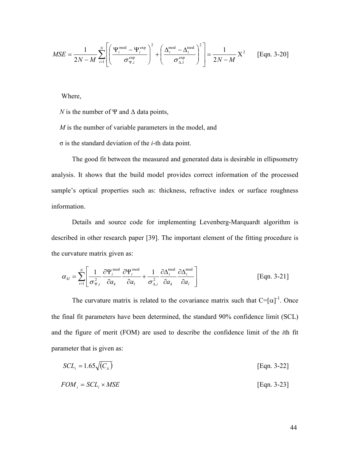$$
MSE = \frac{1}{2N - M} \sum_{i=1}^{N} \left[ \left( \frac{\Psi_i^{\text{mod}} - \Psi_i^{\text{exp}}}{\sigma_{\Psi,i}^{\text{exp}}} \right)^2 + \left( \frac{\Delta_i^{\text{mod}} - \Delta_i^{\text{mod}}}{\sigma_{\Delta,1}^{\text{exp}}} \right)^2 \right] = \frac{1}{2N - M} X^2
$$
 [Eqn. 3-20]

Where,

N is the number of  $\Psi$  and  $\Delta$  data points,

M is the number of variable parameters in the model, and

σ is the standard deviation of the i-th data point.

The good fit between the measured and generated data is desirable in ellipsometry analysis. It shows that the build model provides correct information of the processed sample's optical properties such as: thickness, refractive index or surface roughness information.

Details and source code for implementing Levenberg-Marquardt algorithm is described in other research paper [39]. The important element of the fitting procedure is the curvature matrix given as:

$$
\alpha_{kl} = \sum_{i=1}^{N} \left[ \frac{1}{\sigma_{\Psi,i}^2} \frac{\partial \Psi_i^{\text{mod}}}{\partial a_k} \frac{\partial \Psi_i^{\text{mod}}}{\partial a_l} + \frac{1}{\sigma_{\Delta,i}^2} \frac{\partial \Delta_i^{\text{mod}}}{\partial a_k} \frac{\partial \Delta_i^{\text{mod}}}{\partial a_l} \right]
$$
 [Eqn. 3-21]

The curvature matrix is related to the covariance matrix such that  $C=[\alpha]^{-1}$ . Once the final fit parameters have been determined, the standard 90% confidence limit (SCL) and the figure of merit (FOM) are used to describe the confidence limit of the ith fit parameter that is given as:

$$
SCL_i = 1.65\sqrt{(C_{ii})}
$$
 [Eqn. 3-22]

$$
FOM_i = SCL_i \times MSE
$$
 [Eqn. 3-23]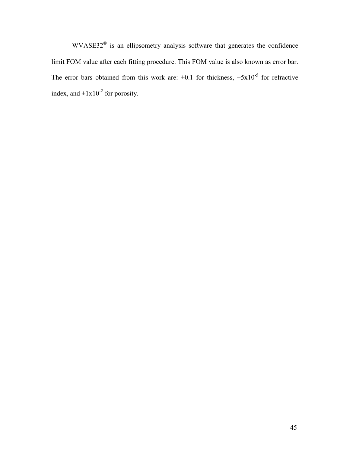$WVASE32^{\circledast}$  is an ellipsometry analysis software that generates the confidence limit FOM value after each fitting procedure. This FOM value is also known as error bar. The error bars obtained from this work are:  $\pm 0.1$  for thickness,  $\pm 5x10^{-5}$  for refractive index, and  $\pm 1x10^{-2}$  for porosity.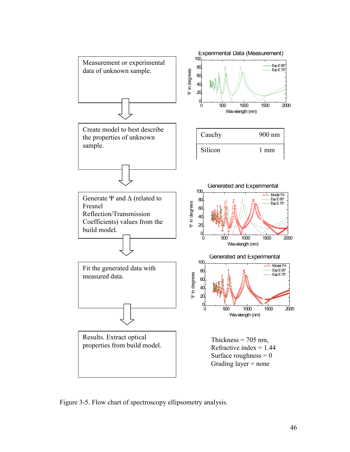

Figure 3-5. Flow chart of spectroscopy ellipsometry analysis.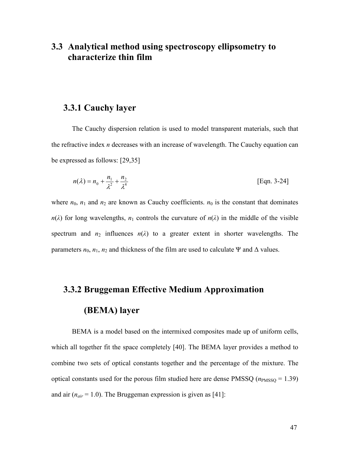# 3.3 Analytical method using spectroscopy ellipsometry to characterize thin film

#### 3.3.1 Cauchy layer

The Cauchy dispersion relation is used to model transparent materials, such that the refractive index n decreases with an increase of wavelength. The Cauchy equation can be expressed as follows: [29,35]

$$
n(\lambda) = n_0 + \frac{n_1}{\lambda^2} + \frac{n_2}{\lambda^4}
$$
 [Eqn. 3-24]

where  $n_0$ ,  $n_1$  and  $n_2$  are known as Cauchy coefficients.  $n_0$  is the constant that dominates  $n(\lambda)$  for long wavelengths,  $n_1$  controls the curvature of  $n(\lambda)$  in the middle of the visible spectrum and  $n_2$  influences  $n(\lambda)$  to a greater extent in shorter wavelengths. The parameters  $n_0$ ,  $n_1$ ,  $n_2$  and thickness of the film are used to calculate Ψ and Δ values.

# 3.3.2 Bruggeman Effective Medium Approximation

#### (BEMA) layer

BEMA is a model based on the intermixed composites made up of uniform cells, which all together fit the space completely [40]. The BEMA layer provides a method to combine two sets of optical constants together and the percentage of the mixture. The optical constants used for the porous film studied here are dense PMSSQ ( $n_{\rm PMSSQ} = 1.39$ ) and air ( $n_{air} = 1.0$ ). The Bruggeman expression is given as [41]: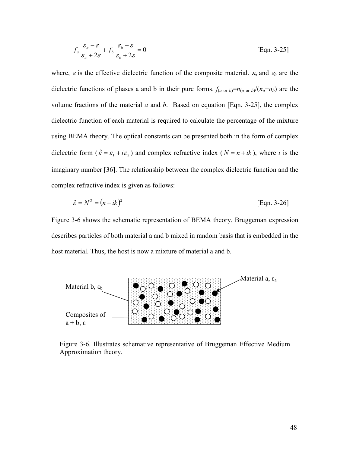$$
f_a \frac{\varepsilon_a - \varepsilon}{\varepsilon_a + 2\varepsilon} + f_b \frac{\varepsilon_b - \varepsilon}{\varepsilon_b + 2\varepsilon} = 0
$$
 [Eqn. 3-25]

where,  $\varepsilon$  is the effective dielectric function of the composite material.  $\varepsilon_a$  and  $\varepsilon_b$  are the dielectric functions of phases a and b in their pure forms.  $f_{(a \text{ or } b)} = n_{(a \text{ or } b)} / (n_a + n_b)$  are the volume fractions of the material  $a$  and  $b$ . Based on equation [Eqn. 3-25], the complex dielectric function of each material is required to calculate the percentage of the mixture using BEMA theory. The optical constants can be presented both in the form of complex dielectric form ( $\hat{\varepsilon} = \varepsilon_1 + i\varepsilon_2$ ) and complex refractive index ( $N = n + ik$ ), where i is the imaginary number [36]. The relationship between the complex dielectric function and the complex refractive index is given as follows:

$$
\hat{\varepsilon} = N^2 = (n + ik)^2
$$
 [Eqn. 3-26]

Figure 3-6 shows the schematic representation of BEMA theory. Bruggeman expression describes particles of both material a and b mixed in random basis that is embedded in the host material. Thus, the host is now a mixture of material a and b.



Figure 3-6. Illustrates schemative representative of Bruggeman Effective Medium Approximation theory.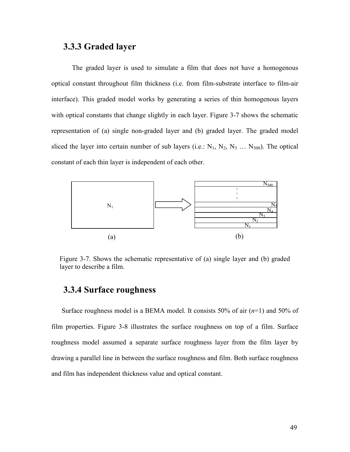## 3.3.3 Graded layer

The graded layer is used to simulate a film that does not have a homogenous optical constant throughout film thickness (i.e. from film-substrate interface to film-air interface). This graded model works by generating a series of thin homogenous layers with optical constants that change slightly in each layer. Figure 3-7 shows the schematic representation of (a) single non-graded layer and (b) graded layer. The graded model sliced the layer into certain number of sub layers (i.e.:  $N_1$ ,  $N_2$ ,  $N_3$  ...  $N_{500}$ ). The optical constant of each thin layer is independent of each other.



Figure 3-7. Shows the schematic representative of (a) single layer and (b) graded layer to describe a film.

# 3.3.4 Surface roughness

Surface roughness model is a BEMA model. It consists 50% of air  $(n=1)$  and 50% of film properties. Figure 3-8 illustrates the surface roughness on top of a film. Surface roughness model assumed a separate surface roughness layer from the film layer by drawing a parallel line in between the surface roughness and film. Both surface roughness and film has independent thickness value and optical constant.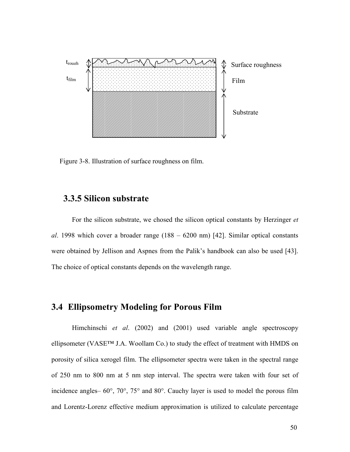

Figure 3-8. Illustration of surface roughness on film.

# 3.3.5 Silicon substrate

For the silicon substrate, we chosed the silicon optical constants by Herzinger et al. 1998 which cover a broader range  $(188 - 6200 \text{ nm})$  [42]. Similar optical constants were obtained by Jellison and Aspnes from the Palik's handbook can also be used [43]. The choice of optical constants depends on the wavelength range.

# 3.4 Ellipsometry Modeling for Porous Film

Himchinschi et al. (2002) and (2001) used variable angle spectroscopy ellipsometer (VASE™ J.A. Woollam Co.) to study the effect of treatment with HMDS on porosity of silica xerogel film. The ellipsometer spectra were taken in the spectral range of 250 nm to 800 nm at 5 nm step interval. The spectra were taken with four set of incidence angles– 60°, 70°, 75° and 80°. Cauchy layer is used to model the porous film and Lorentz-Lorenz effective medium approximation is utilized to calculate percentage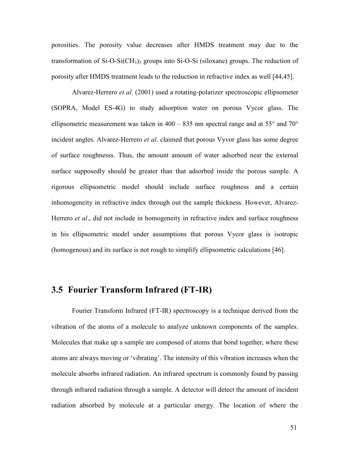porosities. The porosity value decreases after HMDS treatment may due to the transformation of  $Si-O-Si(CH<sub>3</sub>)<sub>3</sub>$  groups into  $Si-O-Si$  (siloxane) groups. The reduction of porosity after HMDS treatment leads to the reduction in refractive index as well [44,45].

 Alvarez-Herrero et al. (2001) used a rotating-polarizer spectroscopic ellipsometer (SOPRA, Model ES-4G) to study adsorption water on porous Vycor glass. The ellipsometric measurement was taken in  $400 - 835$  nm spectral range and at  $55^{\circ}$  and  $70^{\circ}$ incident angles. Alvarez-Herrero et al. claimed that porous Vyvor glass has some degree of surface roughnesss. Thus, the amount amount of water adsorbed near the external surface supposedly should be greater than that adsorbed inside the porous sample. A rigorous ellipsometric model should include surface roughness and a certain inhomogeneity in refractive index through out the sample thickness. However, Alvarez-Herrero *et al.*, did not include in homogeneity in refractive index and surface roughness in his ellipsometric model under assumptions that porous Vycor glass is isotropic (homogenous) and its surface is not rough to simplify ellipsometric calculations [46].

## 3.5 Fourier Transform Infrared (FT-IR)

Fourier Transform Infrared (FT-IR) spectroscopy is a technique derived from the vibration of the atoms of a molecule to analyze unknown components of the samples. Molecules that make up a sample are composed of atoms that bond together, where these atoms are always moving or 'vibrating'. The intensity of this vibration increases when the molecule absorbs infrared radiation. An infrared spectrum is commonly found by passing through infrared radiation through a sample. A detector will detect the amount of incident radiation absorbed by molecule at a particular energy. The location of where the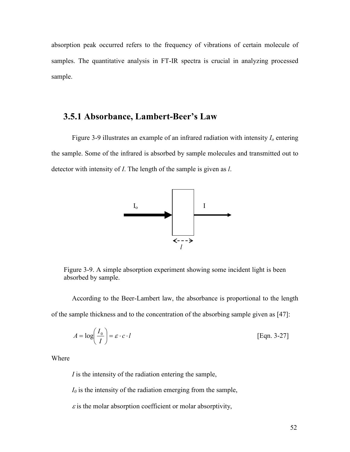absorption peak occurred refers to the frequency of vibrations of certain molecule of samples. The quantitative analysis in FT-IR spectra is crucial in analyzing processed sample.

#### 3.5.1 Absorbance, Lambert-Beer's Law

Figure 3-9 illustrates an example of an infrared radiation with intensity  $I_0$  entering the sample. Some of the infrared is absorbed by sample molecules and transmitted out to detector with intensity of *I*. The length of the sample is given as *l*.



Figure 3-9. A simple absorption experiment showing some incident light is been absorbed by sample.

According to the Beer-Lambert law, the absorbance is proportional to the length of the sample thickness and to the concentration of the absorbing sample given as [47]:

$$
A = \log\left(\frac{I_0}{I}\right) = \varepsilon \cdot c \cdot l \tag{Eqn. 3-27}
$$

Where

I is the intensity of the radiation entering the sample,

 $I_0$  is the intensity of the radiation emerging from the sample,

 $\varepsilon$  is the molar absorption coefficient or molar absorptivity,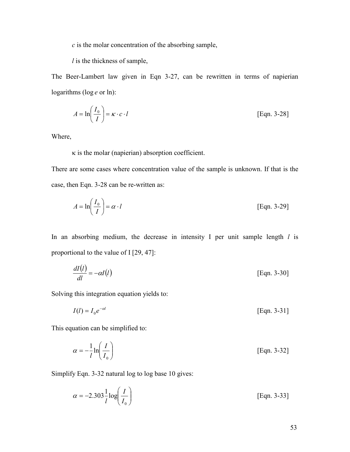$c$  is the molar concentration of the absorbing sample,

 $l$  is the thickness of sample,

The Beer-Lambert law given in Eqn 3-27, can be rewritten in terms of napierian logarithms ( $\log e$  or  $\ln$ ):

$$
A = \ln\left(\frac{I_0}{I}\right) = \kappa \cdot c \cdot l \tag{Eqn. 3-28}
$$

Where,

 $\kappa$  is the molar (napierian) absorption coefficient.

There are some cases where concentration value of the sample is unknown. If that is the case, then Eqn. 3-28 can be re-written as:

$$
A = \ln\left(\frac{I_0}{I}\right) = \alpha \cdot l \tag{Eqn. 3-29}
$$

In an absorbing medium, the decrease in intensity I per unit sample length  $l$  is proportional to the value of I [29, 47]:

$$
\frac{dI(l)}{dl} = -\alpha I(l) \tag{Eqn. 3-30}
$$

Solving this integration equation yields to:

$$
I(l) = I_0 e^{-\alpha l} \tag{Eqn. 3-31}
$$

This equation can be simplified to:

$$
\alpha = -\frac{1}{l} \ln \left( \frac{I}{I_0} \right) \tag{Eqn. 3-32}
$$

Simplify Eqn. 3-32 natural log to log base 10 gives:

$$
\alpha = -2.303 \frac{1}{l} \log \left( \frac{I}{I_0} \right) \tag{Eqn. 3-33}
$$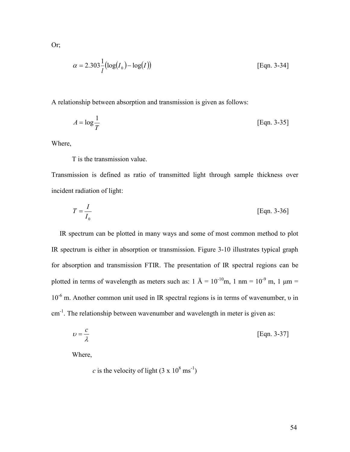Or;

$$
\alpha = 2.303 \frac{1}{l} (\log(I_0) - \log(I))
$$
 [Eqn. 3-34]

A relationship between absorption and transmission is given as follows:

$$
A = \log \frac{1}{T}
$$
 [Eqn. 3-35]

Where,

T is the transmission value.

Transmission is defined as ratio of transmitted light through sample thickness over incident radiation of light:

$$
T = \frac{I}{I_0}
$$
 [Eqn. 3-36]

IR spectrum can be plotted in many ways and some of most common method to plot IR spectrum is either in absorption or transmission. Figure 3-10 illustrates typical graph for absorption and transmission FTIR. The presentation of IR spectral regions can be plotted in terms of wavelength as meters such as:  $1 \text{ Å} = 10^{-10} \text{m}$ ,  $1 \text{ nm} = 10^{-9} \text{ m}$ ,  $1 \text{ µm} =$ 10-6 m. Another common unit used in IR spectral regions is in terms of wavenumber, υ in cm<sup>-1</sup>. The relationship between wavenumber and wavelength in meter is given as:

$$
v = \frac{c}{\lambda} \tag{Eqn. 3-37}
$$

Where,

c is the velocity of light  $(3 \times 10^8 \text{ ms}^{-1})$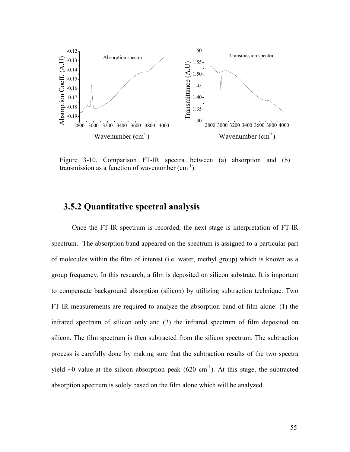

Figure 3-10. Comparison FT-IR spectra between (a) absorption and (b) transmission as a function of wavenumber  $(cm<sup>-1</sup>)$ .

## 3.5.2 Quantitative spectral analysis

Once the FT-IR spectrum is recorded, the next stage is interpretation of FT-IR spectrum. The absorption band appeared on the spectrum is assigned to a particular part of molecules within the film of interest (i.e. water, methyl group) which is known as a group frequency. In this research, a film is deposited on silicon substrate. It is important to compensate background absorption (silicon) by utilizing subtraction technique. Two FT-IR measurements are required to analyze the absorption band of film alone: (1) the infrared spectrum of silicon only and (2) the infrared spectrum of film deposited on silicon. The film spectrum is then subtracted from the silicon spectrum. The subtraction process is carefully done by making sure that the subtraction results of the two spectra yield  $\sim$ 0 value at the silicon absorption peak (620 cm<sup>-1</sup>). At this stage, the subtracted absorption spectrum is solely based on the film alone which will be analyzed.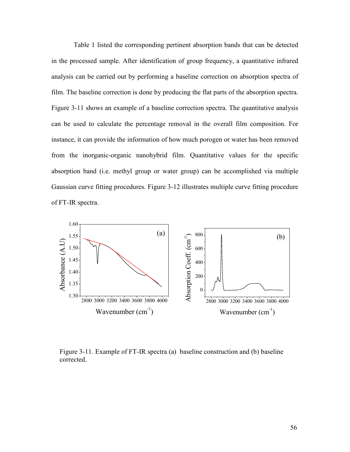Table 1 listed the corresponding pertinent absorption bands that can be detected in the processed sample. After identification of group frequency, a quantitative infrared analysis can be carried out by performing a baseline correction on absorption spectra of film. The baseline correction is done by producing the flat parts of the absorption spectra. Figure 3-11 shows an example of a baseline correction spectra. The quantitative analysis can be used to calculate the percentage removal in the overall film composition. For instance, it can provide the information of how much porogen or water has been removed from the inorganic-organic nanohybrid film. Quantitative values for the specific absorption band (i.e. methyl group or water group) can be accomplished via multiple Gaussian curve fitting procedures. Figure 3-12 illustrates multiple curve fitting procedure of FT-IR spectra.



Figure 3-11. Example of FT-IR spectra (a) baseline construction and (b) baseline corrected.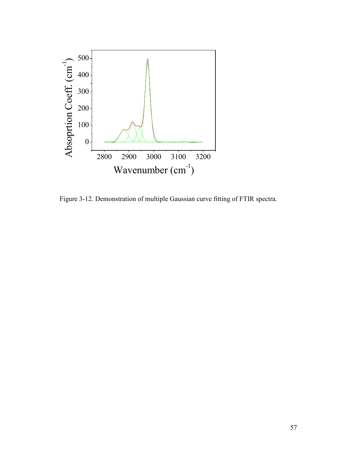

Figure 3-12. Demonstration of multiple Gaussian curve fitting of FTIR spectra.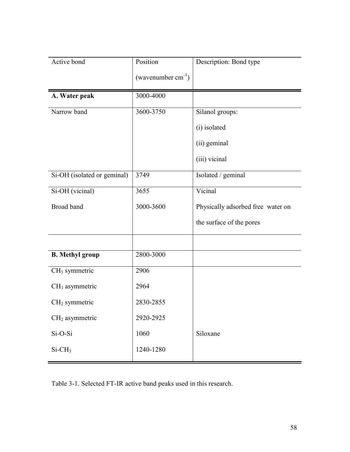| Active bond                 | Position                | Description: Bond type            |
|-----------------------------|-------------------------|-----------------------------------|
|                             | (wavenumber $cm^{-1}$ ) |                                   |
| A. Water peak               | 3000-4000               |                                   |
| Narrow band                 | 3600-3750               | Silanol groups:                   |
|                             |                         | (i) isolated                      |
|                             |                         | (ii) geminal                      |
|                             |                         | (iii) vicinal                     |
| Si-OH (isolated or geminal) | 3749                    | Isolated / geminal                |
| Si-OH (vicinal)             | 3655                    | Vicinal                           |
| <b>Broad band</b>           | 3000-3600               | Physically adsorbed free water on |
|                             |                         | the surface of the pores          |
|                             |                         |                                   |
| <b>B.</b> Methyl group      | 2800-3000               |                                   |
| CH <sub>3</sub> symmetric   | 2906                    |                                   |
| $CH3$ asymmetric            | 2964                    |                                   |
| $CH2$ symmetric             | 2830-2855               |                                   |
| $CH2$ asymmetric            | 2920-2925               |                                   |
| Si-O-Si                     | 1060                    | Siloxane                          |
| $Si-CH3$                    | 1240-1280               |                                   |

Table 3-1. Selected FT-IR active band peaks used in this research.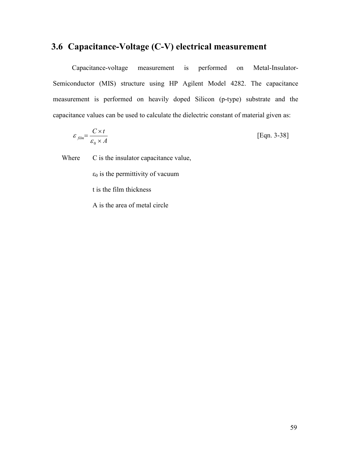# 3.6 Capacitance-Voltage (C-V) electrical measurement

Capacitance-voltage measurement is performed on Metal-Insulator-Semiconductor (MIS) structure using HP Agilent Model 4282. The capacitance measurement is performed on heavily doped Silicon (p-type) substrate and the capacitance values can be used to calculate the dielectric constant of material given as:

$$
\varepsilon_{\text{film}} = \frac{C \times t}{\varepsilon_0 \times A} \tag{Eqn. 3-38}
$$

Where C is the insulator capacitance value,

 $\varepsilon_0$  is the permittivity of vacuum

t is the film thickness

A is the area of metal circle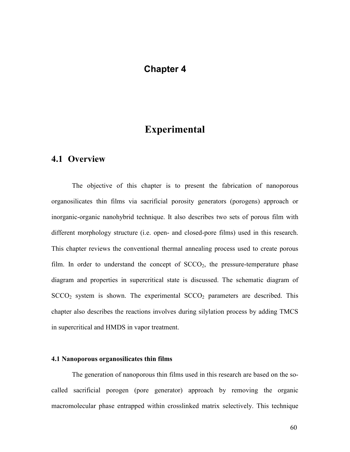## Chapter 4

# Experimental

# 4.1 Overview

The objective of this chapter is to present the fabrication of nanoporous organosilicates thin films via sacrificial porosity generators (porogens) approach or inorganic-organic nanohybrid technique. It also describes two sets of porous film with different morphology structure (i.e. open- and closed-pore films) used in this research. This chapter reviews the conventional thermal annealing process used to create porous film. In order to understand the concept of  $SCCO<sub>2</sub>$ , the pressure-temperature phase diagram and properties in supercritical state is discussed. The schematic diagram of  $SCCO<sub>2</sub>$  system is shown. The experimental  $SCCO<sub>2</sub>$  parameters are described. This chapter also describes the reactions involves during silylation process by adding TMCS in supercritical and HMDS in vapor treatment.

#### 4.1 Nanoporous organosilicates thin films

The generation of nanoporous thin films used in this research are based on the socalled sacrificial porogen (pore generator) approach by removing the organic macromolecular phase entrapped within crosslinked matrix selectively. This technique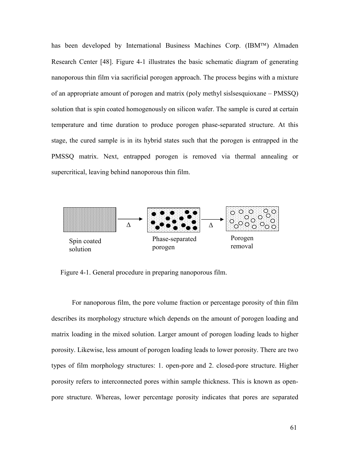has been developed by International Business Machines Corp. (IBM<sup>TM</sup>) Almaden Research Center [48]. Figure 4-1 illustrates the basic schematic diagram of generating nanoporous thin film via sacrificial porogen approach. The process begins with a mixture of an appropriate amount of porogen and matrix (poly methyl sislsesquioxane – PMSSQ) solution that is spin coated homogenously on silicon wafer. The sample is cured at certain temperature and time duration to produce porogen phase-separated structure. At this stage, the cured sample is in its hybrid states such that the porogen is entrapped in the PMSSQ matrix. Next, entrapped porogen is removed via thermal annealing or supercritical, leaving behind nanoporous thin film.



Figure 4-1. General procedure in preparing nanoporous film.

For nanoporous film, the pore volume fraction or percentage porosity of thin film describes its morphology structure which depends on the amount of porogen loading and matrix loading in the mixed solution. Larger amount of porogen loading leads to higher porosity. Likewise, less amount of porogen loading leads to lower porosity. There are two types of film morphology structures: 1. open-pore and 2. closed-pore structure. Higher porosity refers to interconnected pores within sample thickness. This is known as openpore structure. Whereas, lower percentage porosity indicates that pores are separated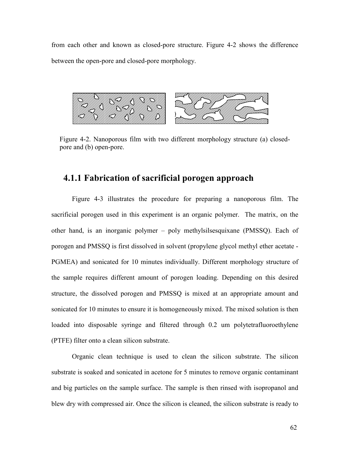from each other and known as closed-pore structure. Figure 4-2 shows the difference between the open-pore and closed-pore morphology.



Figure 4-2. Nanoporous film with two different morphology structure (a) closedpore and (b) open-pore.

#### 4.1.1 Fabrication of sacrificial porogen approach

Figure 4-3 illustrates the procedure for preparing a nanoporous film. The sacrificial porogen used in this experiment is an organic polymer. The matrix, on the other hand, is an inorganic polymer – poly methylsilsesquixane (PMSSQ). Each of porogen and PMSSQ is first dissolved in solvent (propylene glycol methyl ether acetate - PGMEA) and sonicated for 10 minutes individually. Different morphology structure of the sample requires different amount of porogen loading. Depending on this desired structure, the dissolved porogen and PMSSQ is mixed at an appropriate amount and sonicated for 10 minutes to ensure it is homogeneously mixed. The mixed solution is then loaded into disposable syringe and filtered through 0.2 um polytetrafluoroethylene (PTFE) filter onto a clean silicon substrate.

Organic clean technique is used to clean the silicon substrate. The silicon substrate is soaked and sonicated in acetone for 5 minutes to remove organic contaminant and big particles on the sample surface. The sample is then rinsed with isopropanol and blew dry with compressed air. Once the silicon is cleaned, the silicon substrate is ready to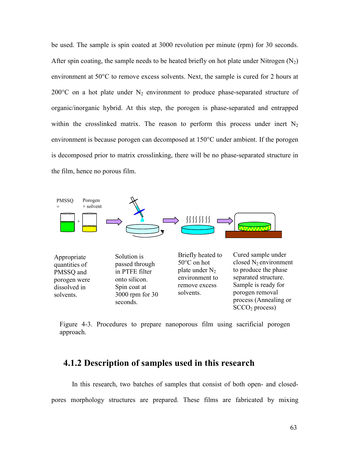be used. The sample is spin coated at 3000 revolution per minute (rpm) for 30 seconds. After spin coating, the sample needs to be heated briefly on hot plate under Nitrogen  $(N_2)$ environment at 50°C to remove excess solvents. Next, the sample is cured for 2 hours at 200 $^{\circ}$ C on a hot plate under N<sub>2</sub> environment to produce phase-separated structure of organic/inorganic hybrid. At this step, the porogen is phase-separated and entrapped within the crosslinked matrix. The reason to perform this process under inert  $N_2$ environment is because porogen can decomposed at 150°C under ambient. If the porogen is decomposed prior to matrix crosslinking, there will be no phase-separated structure in the film, hence no porous film.



Figure 4-3. Procedures to prepare nanoporous film using sacrificial porogen approach.

#### 4.1.2 Description of samples used in this research

 In this research, two batches of samples that consist of both open- and closedpores morphology structures are prepared. These films are fabricated by mixing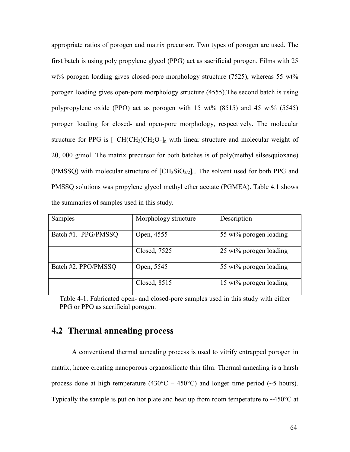appropriate ratios of porogen and matrix precursor. Two types of porogen are used. The first batch is using poly propylene glycol (PPG) act as sacrificial porogen. Films with 25 wt% porogen loading gives closed-pore morphology structure (7525), whereas 55 wt% porogen loading gives open-pore morphology structure (4555).The second batch is using polypropylene oxide (PPO) act as porogen with 15 wt% (8515) and 45 wt% (5545) porogen loading for closed- and open-pore morphology, respectively. The molecular structure for PPG is  $[-CH(CH_3)CH_2O-I_n]$  with linear structure and molecular weight of 20, 000 g/mol. The matrix precursor for both batches is of poly(methyl silsesquioxane) (PMSSQ) with molecular structure of  $\text{[CH}_3\text{SiO}_{3/2}]_n$ . The solvent used for both PPG and PMSSQ solutions was propylene glycol methyl ether acetate (PGMEA). Table 4.1 shows the summaries of samples used in this study.

| Samples             | Morphology structure | Description            |
|---------------------|----------------------|------------------------|
| Batch #1. PPG/PMSSQ | Open, 4555           | 55 wt% porogen loading |
|                     | Closed, 7525         | 25 wt% porogen loading |
| Batch #2. PPO/PMSSQ | Open, 5545           | 55 wt% porogen loading |
|                     | Closed, 8515         | 15 wt% porogen loading |

Table 4-1. Fabricated open- and closed-pore samples used in this study with either PPG or PPO as sacrificial porogen.

#### 4.2 Thermal annealing process

A conventional thermal annealing process is used to vitrify entrapped porogen in matrix, hence creating nanoporous organosilicate thin film. Thermal annealing is a harsh process done at high temperature (430 $^{\circ}$ C – 450 $^{\circ}$ C) and longer time period (~5 hours). Typically the sample is put on hot plate and heat up from room temperature to  $\sim$ 450 $\degree$ C at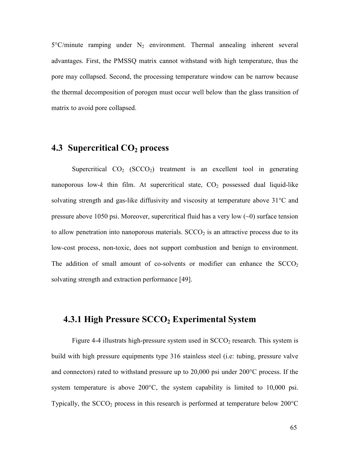$5^{\circ}$ C/minute ramping under N<sub>2</sub> environment. Thermal annealing inherent several advantages. First, the PMSSQ matrix cannot withstand with high temperature, thus the pore may collapsed. Second, the processing temperature window can be narrow because the thermal decomposition of porogen must occur well below than the glass transition of matrix to avoid pore collapsed.

#### **4.3 Supercritical**  $CO<sub>2</sub>$  **process**

Supercritical  $CO_2$  (SCCO<sub>2</sub>) treatment is an excellent tool in generating nanoporous low-k thin film. At supercritical state,  $CO<sub>2</sub>$  possessed dual liquid-like solvating strength and gas-like diffusivity and viscosity at temperature above 31°C and pressure above 1050 psi. Moreover, supercritical fluid has a very low (~0) surface tension to allow penetration into nanoporous materials.  $SCCO<sub>2</sub>$  is an attractive process due to its low-cost process, non-toxic, does not support combustion and benign to environment. The addition of small amount of co-solvents or modifier can enhance the  $SCCO<sub>2</sub>$ solvating strength and extraction performance [49].

#### 4.3.1 High Pressure  $SCCO<sub>2</sub>$  Experimental System

Figure 4-4 illustrats high-pressure system used in  $SCCO<sub>2</sub>$  research. This system is build with high pressure equipments type 316 stainless steel (i.e: tubing, pressure valve and connectors) rated to withstand pressure up to 20,000 psi under 200°C process. If the system temperature is above 200°C, the system capability is limited to 10,000 psi. Typically, the SCCO<sub>2</sub> process in this research is performed at temperature below  $200^{\circ}$ C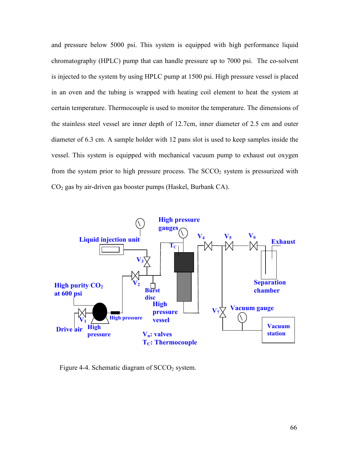and pressure below 5000 psi. This system is equipped with high performance liquid chromatography (HPLC) pump that can handle pressure up to 7000 psi. The co-solvent is injected to the system by using HPLC pump at 1500 psi. High pressure vessel is placed in an oven and the tubing is wrapped with heating coil element to heat the system at certain temperature. Thermocouple is used to monitor the temperature. The dimensions of the stainless steel vessel are inner depth of 12.7cm, inner diameter of 2.5 cm and outer diameter of 6.3 cm. A sample holder with 12 pans slot is used to keep samples inside the vessel. This system is equipped with mechanical vacuum pump to exhaust out oxygen from the system prior to high pressure process. The  $SCCO<sub>2</sub>$  system is pressurized with CO2 gas by air-driven gas booster pumps (Haskel, Burbank CA).



Figure 4-4. Schematic diagram of  $SCCO<sub>2</sub>$  system.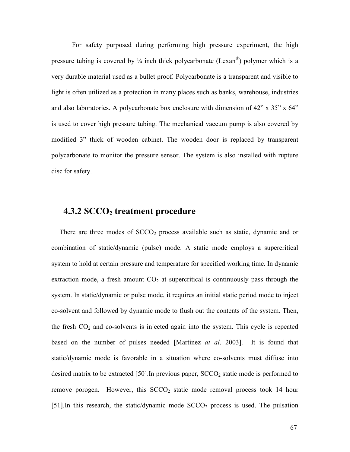For safety purposed during performing high pressure experiment, the high pressure tubing is covered by  $\frac{1}{4}$  inch thick polycarbonate (Lexan<sup>®</sup>) polymer which is a very durable material used as a bullet proof. Polycarbonate is a transparent and visible to light is often utilized as a protection in many places such as banks, warehouse, industries and also laboratories. A polycarbonate box enclosure with dimension of 42" x 35" x 64" is used to cover high pressure tubing. The mechanical vaccum pump is also covered by modified 3" thick of wooden cabinet. The wooden door is replaced by transparent polycarbonate to monitor the pressure sensor. The system is also installed with rupture disc for safety.

#### 4.3.2 SCCO<sub>2</sub> treatment procedure

There are three modes of  $SCCO<sub>2</sub>$  process available such as static, dynamic and or combination of static/dynamic (pulse) mode. A static mode employs a supercritical system to hold at certain pressure and temperature for specified working time. In dynamic extraction mode, a fresh amount  $CO<sub>2</sub>$  at supercritical is continuously pass through the system. In static/dynamic or pulse mode, it requires an initial static period mode to inject co-solvent and followed by dynamic mode to flush out the contents of the system. Then, the fresh  $CO<sub>2</sub>$  and co-solvents is injected again into the system. This cycle is repeated based on the number of pulses needed [Martinez *at al.* 2003]. It is found that static/dynamic mode is favorable in a situation where co-solvents must diffuse into desired matrix to be extracted [50]. In previous paper,  $SCCO<sub>2</sub>$  static mode is performed to remove porogen. However, this  $SCCO<sub>2</sub>$  static mode removal process took 14 hour [51]. In this research, the static/dynamic mode  $SCCO<sub>2</sub>$  process is used. The pulsation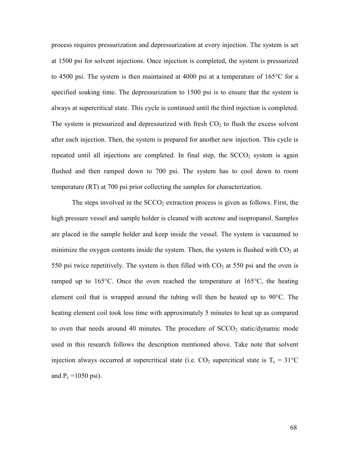process requires pressurization and depressurization at every injection. The system is set at 1500 psi for solvent injections. Once injection is completed, the system is pressurized to 4500 psi. The system is then maintained at 4000 psi at a temperature of 165°C for a specified soaking time. The depressurization to 1500 psi is to ensure that the system is always at supercritical state. This cycle is continued until the third injection is completed. The system is pressurized and depressurized with fresh  $CO<sub>2</sub>$  to flush the excess solvent after each injection. Then, the system is prepared for another new injection. This cycle is repeated until all injections are completed. In final step, the  $SCCO<sub>2</sub>$  system is again flushed and then ramped down to 700 psi. The system has to cool down to room temperature (RT) at 700 psi prior collecting the samples for characterization.

The steps involved in the  $SCCO<sub>2</sub>$  extraction process is given as follows. First, the high pressure vessel and sample holder is cleaned with acetone and isopropanol. Samples are placed in the sample holder and keep inside the vessel. The system is vacuumed to minimize the oxygen contents inside the system. Then, the system is flushed with  $CO<sub>2</sub>$  at 550 psi twice repetitively. The system is then filled with  $CO<sub>2</sub>$  at 550 psi and the oven is ramped up to 165°C. Once the oven reached the temperature at 165°C, the heating element coil that is wrapped around the tubing will then be heated up to 90°C. The heating element coil took less time with approximately 5 minutes to heat up as compared to oven that needs around 40 minutes. The procedure of  $SCCO<sub>2</sub>$  static/dynamic mode used in this research follows the description mentioned above. Take note that solvent injection always occurred at supercritical state (i.e.  $CO_2$  supercitical state is T<sub>c</sub> = 31°C and  $P_c = 1050$  psi).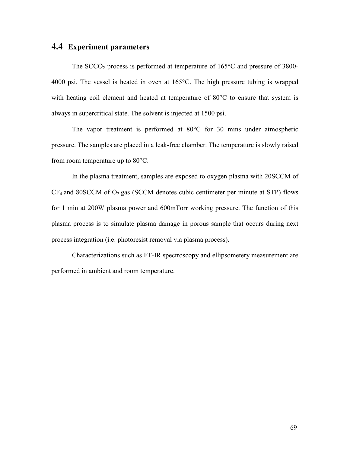#### 4.4 Experiment parameters

The  $SCCO<sub>2</sub>$  process is performed at temperature of 165 $\degree$ C and pressure of 3800-4000 psi. The vessel is heated in oven at 165°C. The high pressure tubing is wrapped with heating coil element and heated at temperature of 80<sup>o</sup>C to ensure that system is always in supercritical state. The solvent is injected at 1500 psi.

 The vapor treatment is performed at 80°C for 30 mins under atmospheric pressure. The samples are placed in a leak-free chamber. The temperature is slowly raised from room temperature up to 80°C.

 In the plasma treatment, samples are exposed to oxygen plasma with 20SCCM of  $CF_4$  and 80SCCM of  $O_2$  gas (SCCM denotes cubic centimeter per minute at STP) flows for 1 min at 200W plasma power and 600mTorr working pressure. The function of this plasma process is to simulate plasma damage in porous sample that occurs during next process integration (i.e: photoresist removal via plasma process).

Characterizations such as FT-IR spectroscopy and ellipsometery measurement are performed in ambient and room temperature.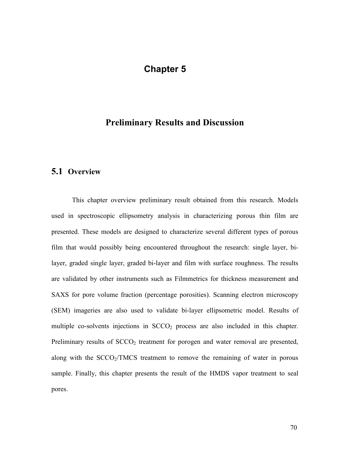#### Chapter 5

#### Preliminary Results and Discussion

#### 5.1 Overview

This chapter overview preliminary result obtained from this research. Models used in spectroscopic ellipsometry analysis in characterizing porous thin film are presented. These models are designed to characterize several different types of porous film that would possibly being encountered throughout the research: single layer, bilayer, graded single layer, graded bi-layer and film with surface roughness. The results are validated by other instruments such as Filmmetrics for thickness measurement and SAXS for pore volume fraction (percentage porosities). Scanning electron microscopy (SEM) imageries are also used to validate bi-layer ellipsometric model. Results of multiple co-solvents injections in  $SCCO<sub>2</sub>$  process are also included in this chapter. Preliminary results of  $SCCO<sub>2</sub>$  treatment for porogen and water removal are presented, along with the  $SCCO<sub>2</sub>/TMCS$  treatment to remove the remaining of water in porous sample. Finally, this chapter presents the result of the HMDS vapor treatment to seal pores.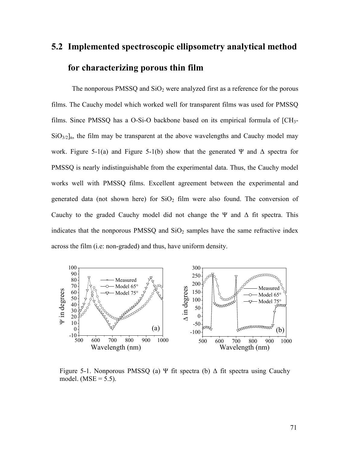## 5.2 Implemented spectroscopic ellipsometry analytical method for characterizing porous thin film

The nonporous PMSSQ and  $SiO<sub>2</sub>$  were analyzed first as a reference for the porous films. The Cauchy model which worked well for transparent films was used for PMSSQ films. Since PMSSQ has a O-Si-O backbone based on its empirical formula of [CH3-  $SiO<sub>3/2</sub>$ <sub>n</sub>, the film may be transparent at the above wavelengths and Cauchy model may work. Figure 5-1(a) and Figure 5-1(b) show that the generated Ψ and  $\Delta$  spectra for PMSSQ is nearly indistinguishable from the experimental data. Thus, the Cauchy model works well with PMSSQ films. Excellent agreement between the experimental and generated data (not shown here) for  $SiO<sub>2</sub>$  film were also found. The conversion of Cauchy to the graded Cauchy model did not change the Ψ and  $\Delta$  fit spectra. This indicates that the nonporous PMSSQ and  $SiO<sub>2</sub>$  samples have the same refractive index across the film (i.e: non-graded) and thus, have uniform density.



Figure 5-1. Nonporous PMSSQ (a) Ψ fit spectra (b)  $\Delta$  fit spectra using Cauchy model. (MSE =  $5.5$ ).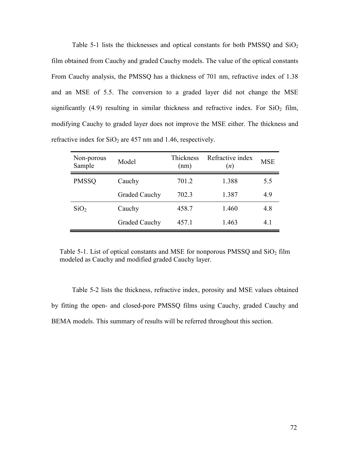Table 5-1 lists the thicknesses and optical constants for both PMSSQ and  $SiO<sub>2</sub>$ film obtained from Cauchy and graded Cauchy models. The value of the optical constants From Cauchy analysis, the PMSSQ has a thickness of 701 nm, refractive index of 1.38 and an MSE of 5.5. The conversion to a graded layer did not change the MSE significantly (4.9) resulting in similar thickness and refractive index. For  $SiO<sub>2</sub>$  film, modifying Cauchy to graded layer does not improve the MSE either. The thickness and refractive index for  $SiO<sub>2</sub>$  are 457 nm and 1.46, respectively.

| Non-porous<br>Sample | Model                | Thickness<br>(nm) | Refractive index<br>(n) | <b>MSE</b> |
|----------------------|----------------------|-------------------|-------------------------|------------|
| <b>PMSSQ</b>         | Cauchy               | 701.2             | 1.388                   | 5.5        |
|                      | <b>Graded Cauchy</b> | 702.3             | 1.387                   | 4.9        |
| SiO <sub>2</sub>     | Cauchy               | 458.7             | 1.460                   | 4.8        |
|                      | <b>Graded Cauchy</b> | 457.1             | 1.463                   | 41         |

Table 5-1. List of optical constants and MSE for nonporous PMSSO and  $SiO<sub>2</sub>$  film modeled as Cauchy and modified graded Cauchy layer.

Table 5-2 lists the thickness, refractive index, porosity and MSE values obtained by fitting the open- and closed-pore PMSSQ films using Cauchy, graded Cauchy and BEMA models. This summary of results will be referred throughout this section.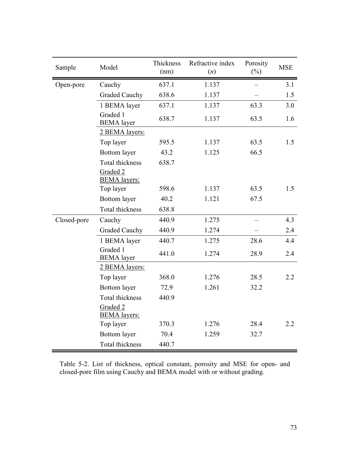| Sample      | Model                                              | Thickness<br>(nm) | Refractive index<br>(n) | Porosity<br>$(\%)$ | <b>MSE</b> |
|-------------|----------------------------------------------------|-------------------|-------------------------|--------------------|------------|
| Open-pore   | Cauchy                                             | 637.1             | 1.137                   |                    | 3.1        |
|             | <b>Graded Cauchy</b>                               | 638.6             | 1.137                   |                    | 1.5        |
|             | 1 BEMA layer                                       | 637.1             | 1.137                   | 63.3               | 3.0        |
|             | Graded 1<br><b>BEMA</b> layer                      | 638.7             | 1.137                   | 63.5               | 1.6        |
|             | 2 BEMA layers:                                     |                   |                         |                    |            |
|             | Top layer                                          | 595.5             | 1.137                   | 63.5               | 1.5        |
|             | Bottom layer                                       | 43.2              | 1.125                   | 66.5               |            |
|             | Total thickness<br>Graded 2<br><b>BEMA</b> layers: | 638.7             |                         |                    |            |
|             | Top layer                                          | 598.6             | 1.137                   | 63.5               | 1.5        |
|             | Bottom layer                                       | 40.2              | 1.121                   | 67.5               |            |
|             | Total thickness                                    | 638.8             |                         |                    |            |
| Closed-pore | Cauchy                                             | 440.9             | 1.275                   |                    | 4.3        |
|             | <b>Graded Cauchy</b>                               | 440.9             | 1.274                   |                    | 2.4        |
|             | 1 BEMA layer                                       | 440.7             | 1.275                   | 28.6               | 4.4        |
|             | Graded 1<br><b>BEMA</b> layer                      | 441.0             | 1.274                   | 28.9               | 2.4        |
|             | 2 BEMA layers:                                     |                   |                         |                    |            |
|             | Top layer                                          | 368.0             | 1.276                   | 28.5               | 2.2        |
|             | <b>Bottom</b> layer                                | 72.9              | 1.261                   | 32.2               |            |
|             | <b>Total thickness</b>                             | 440.9             |                         |                    |            |
|             | Graded 2<br><b>BEMA</b> layers:                    |                   |                         |                    |            |
|             | Top layer                                          | 370.3             | 1.276                   | 28.4               | 2.2        |
|             | Bottom layer                                       | 70.4              | 1.259                   | 32.7               |            |
|             | <b>Total thickness</b>                             | 440.7             |                         |                    |            |

Table 5-2. List of thickness, optical constant, porosity and MSE for open- and closed-pore film using Cauchy and BEMA model with or without grading.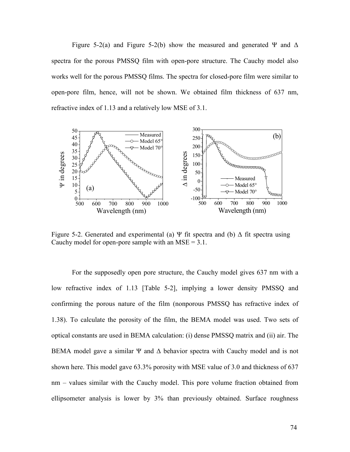Figure 5-2(a) and Figure 5-2(b) show the measured and generated Ψ and  $\Delta$ spectra for the porous PMSSQ film with open-pore structure. The Cauchy model also works well for the porous PMSSQ films. The spectra for closed-pore film were similar to open-pore film, hence, will not be shown. We obtained film thickness of 637 nm, refractive index of 1.13 and a relatively low MSE of 3.1.



Figure 5-2. Generated and experimental (a) Ψ fit spectra and (b)  $\Delta$  fit spectra using Cauchy model for open-pore sample with an  $MSE = 3.1$ .

For the supposedly open pore structure, the Cauchy model gives 637 nm with a low refractive index of 1.13 [Table 5-2], implying a lower density PMSSQ and confirming the porous nature of the film (nonporous PMSSQ has refractive index of 1.38). To calculate the porosity of the film, the BEMA model was used. Two sets of optical constants are used in BEMA calculation: (i) dense PMSSQ matrix and (ii) air. The BEMA model gave a similar  $\Psi$  and  $\Delta$  behavior spectra with Cauchy model and is not shown here. This model gave 63.3% porosity with MSE value of 3.0 and thickness of 637 nm – values similar with the Cauchy model. This pore volume fraction obtained from ellipsometer analysis is lower by 3% than previously obtained. Surface roughness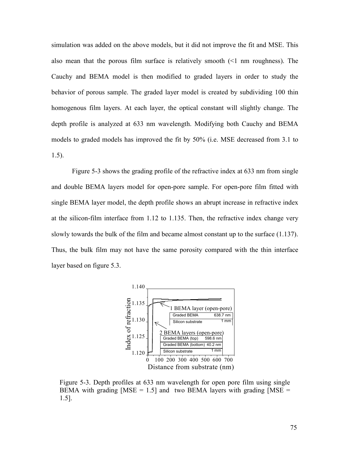simulation was added on the above models, but it did not improve the fit and MSE. This also mean that the porous film surface is relatively smooth  $\leq 1$  nm roughness). The Cauchy and BEMA model is then modified to graded layers in order to study the behavior of porous sample. The graded layer model is created by subdividing 100 thin homogenous film layers. At each layer, the optical constant will slightly change. The depth profile is analyzed at 633 nm wavelength. Modifying both Cauchy and BEMA models to graded models has improved the fit by 50% (i.e. MSE decreased from 3.1 to 1.5).

Figure 5-3 shows the grading profile of the refractive index at 633 nm from single and double BEMA layers model for open-pore sample. For open-pore film fitted with single BEMA layer model, the depth profile shows an abrupt increase in refractive index at the silicon-film interface from 1.12 to 1.135. Then, the refractive index change very slowly towards the bulk of the film and became almost constant up to the surface (1.137). Thus, the bulk film may not have the same porosity compared with the thin interface layer based on figure 5.3.



Figure 5-3. Depth profiles at 633 nm wavelength for open pore film using single BEMA with grading  $[MSE = 1.5]$  and two BEMA layers with grading  $[MSE =$ 1.5].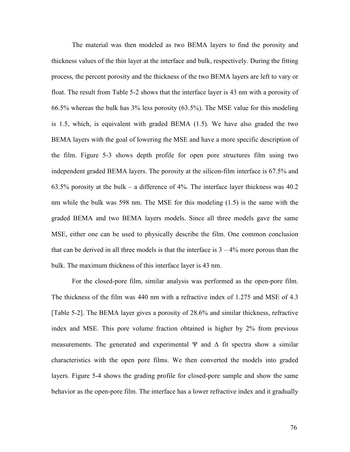The material was then modeled as two BEMA layers to find the porosity and thickness values of the thin layer at the interface and bulk, respectively. During the fitting process, the percent porosity and the thickness of the two BEMA layers are left to vary or float. The result from Table 5-2 shows that the interface layer is 43 nm with a porosity of 66.5% whereas the bulk has 3% less porosity (63.5%). The MSE value for this modeling is 1.5, which, is equivalent with graded BEMA (1.5). We have also graded the two BEMA layers with the goal of lowering the MSE and have a more specific description of the film. Figure 5-3 shows depth profile for open pore structures film using two independent graded BEMA layers. The porosity at the silicon-film interface is 67.5% and 63.5% porosity at the bulk – a difference of 4%. The interface layer thickness was 40.2 nm while the bulk was 598 nm. The MSE for this modeling (1.5) is the same with the graded BEMA and two BEMA layers models. Since all three models gave the same MSE, either one can be used to physically describe the film. One common conclusion that can be derived in all three models is that the interface is  $3 - 4\%$  more porous than the bulk. The maximum thickness of this interface layer is 43 nm.

For the closed-pore film, similar analysis was performed as the open-pore film. The thickness of the film was 440 nm with a refractive index of 1.275 and MSE of 4.3 [Table 5-2]. The BEMA layer gives a porosity of 28.6% and similar thickness, refractive index and MSE. This pore volume fraction obtained is higher by 2% from previous measurements. The generated and experimental  $\Psi$  and  $\Delta$  fit spectra show a similar characteristics with the open pore films. We then converted the models into graded layers. Figure 5-4 shows the grading profile for closed-pore sample and show the same behavior as the open-pore film. The interface has a lower refractive index and it gradually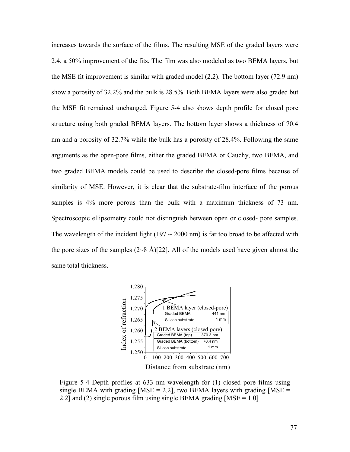increases towards the surface of the films. The resulting MSE of the graded layers were 2.4, a 50% improvement of the fits. The film was also modeled as two BEMA layers, but the MSE fit improvement is similar with graded model (2.2). The bottom layer (72.9 nm) show a porosity of 32.2% and the bulk is 28.5%. Both BEMA layers were also graded but the MSE fit remained unchanged. Figure 5-4 also shows depth profile for closed pore structure using both graded BEMA layers. The bottom layer shows a thickness of 70.4 nm and a porosity of 32.7% while the bulk has a porosity of 28.4%. Following the same arguments as the open-pore films, either the graded BEMA or Cauchy, two BEMA, and two graded BEMA models could be used to describe the closed-pore films because of similarity of MSE. However, it is clear that the substrate-film interface of the porous samples is 4% more porous than the bulk with a maximum thickness of 73 nm. Spectroscopic ellipsometry could not distinguish between open or closed- pore samples. The wavelength of the incident light ( $197 \sim 2000$  nm) is far too broad to be affected with the pore sizes of the samples  $(2~8 \text{ Å})$ [22]. All of the models used have given almost the same total thickness.



Figure 5-4 Depth profiles at 633 nm wavelength for (1) closed pore films using single BEMA with grading  $[MSE = 2.2]$ , two BEMA layers with grading  $[MSE =$ 2.2] and (2) single porous film using single BEMA grading  $[MSE = 1.0]$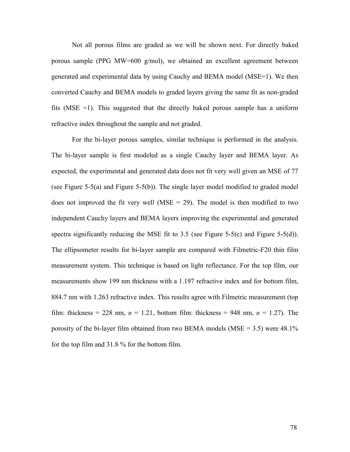Not all porous films are graded as we will be shown next. For directly baked porous sample (PPG MW=600 g/mol), we obtained an excellent agreement between generated and experimental data by using Cauchy and BEMA model (MSE=1). We then converted Cauchy and BEMA models to graded layers giving the same fit as non-graded fits (MSE =1). This suggested that the directly baked porous sample has a uniform refractive index throughout the sample and not graded.

For the bi-layer porous samples, similar technique is performed in the analysis. The bi-layer sample is first modeled as a single Cauchy layer and BEMA layer. As expected, the experimental and generated data does not fit very well given an MSE of 77 (see Figure 5-5(a) and Figure 5-5(b)). The single layer model modified to graded model does not improved the fit very well ( $MSE = 29$ ). The model is then modified to two independent Cauchy layers and BEMA layers improving the experimental and generated spectra significantly reducing the MSE fit to 3.5 (see Figure 5-5(c) and Figure 5-5(d)). The ellipsometer results for bi-layer sample are compared with Filmetric-F20 thin film measurement system. This technique is based on light reflectance. For the top film, our measurements show 199 nm thickness with a 1.197 refractive index and for bottom film, 884.7 nm with 1.263 refractive index. This results agree with Filmetric measurement (top film: thickness = 228 nm,  $n = 1.21$ , bottom film: thickness = 948 nm,  $n = 1.27$ ). The porosity of the bi-layer film obtained from two BEMA models (MSE = 3.5) were  $48.1\%$ for the top film and 31.8 % for the bottom film.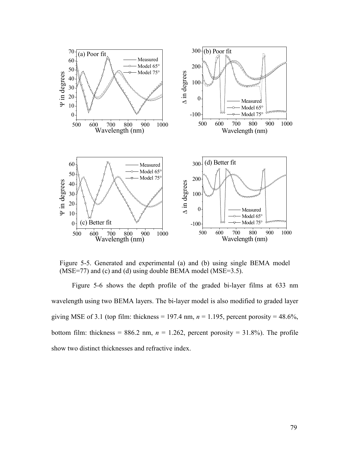

Figure 5-5. Generated and experimental (a) and (b) using single BEMA model (MSE=77) and (c) and (d) using double BEMA model (MSE=3.5).

Figure 5-6 shows the depth profile of the graded bi-layer films at 633 nm wavelength using two BEMA layers. The bi-layer model is also modified to graded layer giving MSE of 3.1 (top film: thickness = 197.4 nm,  $n = 1.195$ , percent porosity = 48.6%, bottom film: thickness = 886.2 nm,  $n = 1.262$ , percent porosity = 31.8%). The profile show two distinct thicknesses and refractive index.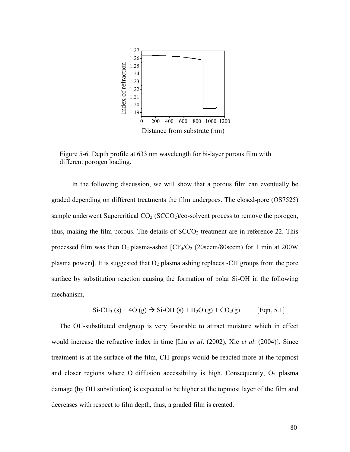

Figure 5-6. Depth profile at 633 nm wavelength for bi-layer porous film with different porogen loading.

In the following discussion, we will show that a porous film can eventually be graded depending on different treatments the film undergoes. The closed-pore (OS7525) sample underwent Supercritical  $CO<sub>2</sub>$  (SCCO<sub>2</sub>)/co-solvent process to remove the porogen, thus, making the film porous. The details of  $SCCO<sub>2</sub>$  treatment are in reference 22. This processed film was then  $O_2$  plasma-ashed  $[CF_4/O_2$  (20sccm/80sccm) for 1 min at 200W plasma power)]. It is suggested that  $O_2$  plasma ashing replaces -CH groups from the pore surface by substitution reaction causing the formation of polar Si-OH in the following mechanism,

$$
\text{Si-CH}_3\text{ (s)} + 4\text{O (g)} \to \text{Si-OH (s)} + \text{H}_2\text{O (g)} + \text{CO}_2\text{(g)} \qquad \text{[Eqn. 5.1]}
$$

The OH-substituted endgroup is very favorable to attract moisture which in effect would increase the refractive index in time [Liu *et al.* (2002), Xie *et al.* (2004)]. Since treatment is at the surface of the film, CH groups would be reacted more at the topmost and closer regions where O diffusion accessibility is high. Consequently,  $O_2$  plasma damage (by OH substitution) is expected to be higher at the topmost layer of the film and decreases with respect to film depth, thus, a graded film is created.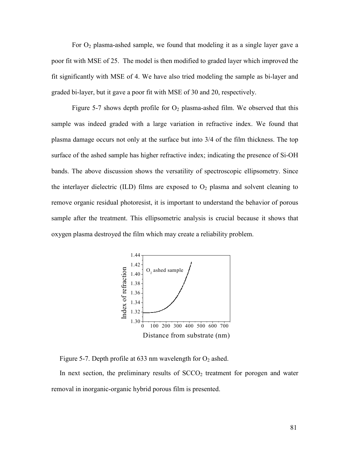For  $O_2$  plasma-ashed sample, we found that modeling it as a single layer gave a poor fit with MSE of 25. The model is then modified to graded layer which improved the fit significantly with MSE of 4. We have also tried modeling the sample as bi-layer and graded bi-layer, but it gave a poor fit with MSE of 30 and 20, respectively.

Figure 5-7 shows depth profile for  $O_2$  plasma-ashed film. We observed that this sample was indeed graded with a large variation in refractive index. We found that plasma damage occurs not only at the surface but into 3/4 of the film thickness. The top surface of the ashed sample has higher refractive index; indicating the presence of Si-OH bands. The above discussion shows the versatility of spectroscopic ellipsometry. Since the interlayer dielectric (ILD) films are exposed to  $O<sub>2</sub>$  plasma and solvent cleaning to remove organic residual photoresist, it is important to understand the behavior of porous sample after the treatment. This ellipsometric analysis is crucial because it shows that oxygen plasma destroyed the film which may create a reliability problem.



Figure 5-7. Depth profile at 633 nm wavelength for  $O_2$  ashed.

In next section, the preliminary results of  $SCCO<sub>2</sub>$  treatment for porogen and water removal in inorganic-organic hybrid porous film is presented.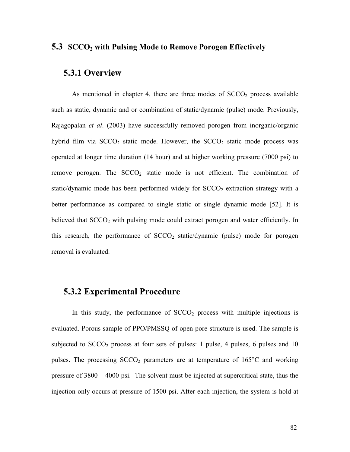#### 5.3 SCCO<sub>2</sub> with Pulsing Mode to Remove Porogen Effectively

#### 5.3.1 Overview

As mentioned in chapter 4, there are three modes of  $SCCO<sub>2</sub>$  process available such as static, dynamic and or combination of static/dynamic (pulse) mode. Previously, Rajagopalan *et al.* (2003) have successfully removed porogen from inorganic/organic hybrid film via  $SCCO<sub>2</sub>$  static mode. However, the  $SCCO<sub>2</sub>$  static mode process was operated at longer time duration (14 hour) and at higher working pressure (7000 psi) to remove porogen. The  $SCCO<sub>2</sub>$  static mode is not efficient. The combination of static/dynamic mode has been performed widely for  $SCCO<sub>2</sub>$  extraction strategy with a better performance as compared to single static or single dynamic mode [52]. It is believed that  $SCCO<sub>2</sub>$  with pulsing mode could extract porogen and water efficiently. In this research, the performance of  $SCCO<sub>2</sub>$  static/dynamic (pulse) mode for porogen removal is evaluated.

#### 5.3.2 Experimental Procedure

In this study, the performance of  $SCCO<sub>2</sub>$  process with multiple injections is evaluated. Porous sample of PPO/PMSSQ of open-pore structure is used. The sample is subjected to  $SCCO<sub>2</sub>$  process at four sets of pulses: 1 pulse, 4 pulses, 6 pulses and 10 pulses. The processing  $SCCO<sub>2</sub>$  parameters are at temperature of  $165^{\circ}$ C and working pressure of 3800 – 4000 psi. The solvent must be injected at supercritical state, thus the injection only occurs at pressure of 1500 psi. After each injection, the system is hold at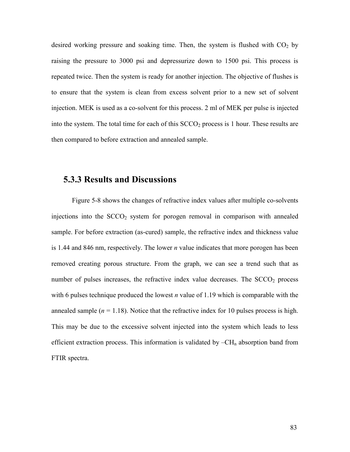desired working pressure and soaking time. Then, the system is flushed with  $CO<sub>2</sub>$  by raising the pressure to 3000 psi and depressurize down to 1500 psi. This process is repeated twice. Then the system is ready for another injection. The objective of flushes is to ensure that the system is clean from excess solvent prior to a new set of solvent injection. MEK is used as a co-solvent for this process. 2 ml of MEK per pulse is injected into the system. The total time for each of this  $SCCO<sub>2</sub>$  process is 1 hour. These results are then compared to before extraction and annealed sample.

#### 5.3.3 Results and Discussions

 Figure 5-8 shows the changes of refractive index values after multiple co-solvents injections into the  $SCCO<sub>2</sub>$  system for porogen removal in comparison with annealed sample. For before extraction (as-cured) sample, the refractive index and thickness value is 1.44 and 846 nm, respectively. The lower  $n$  value indicates that more porogen has been removed creating porous structure. From the graph, we can see a trend such that as number of pulses increases, the refractive index value decreases. The  $SCCO<sub>2</sub>$  process with 6 pulses technique produced the lowest *n* value of 1.19 which is comparable with the annealed sample ( $n = 1.18$ ). Notice that the refractive index for 10 pulses process is high. This may be due to the excessive solvent injected into the system which leads to less efficient extraction process. This information is validated by  $-CH_n$  absorption band from FTIR spectra.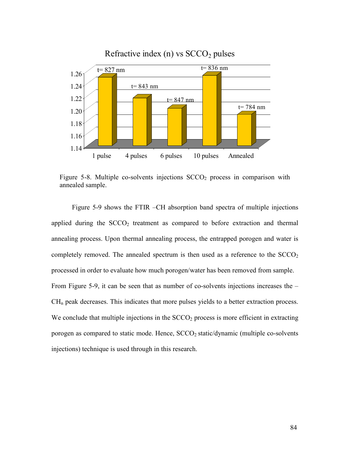

#### Refractive index (n) vs  $SCCO<sub>2</sub>$  pulses

Figure 5-8. Multiple co-solvents injections  $SCCO<sub>2</sub>$  process in comparison with annealed sample.

 Figure 5-9 shows the FTIR –CH absorption band spectra of multiple injections applied during the  $SCCO<sub>2</sub>$  treatment as compared to before extraction and thermal annealing process. Upon thermal annealing process, the entrapped porogen and water is completely removed. The annealed spectrum is then used as a reference to the  $SCCO<sub>2</sub>$ processed in order to evaluate how much porogen/water has been removed from sample. From Figure 5-9, it can be seen that as number of co-solvents injections increases the –  $CH<sub>n</sub>$  peak decreases. This indicates that more pulses yields to a better extraction process. We conclude that multiple injections in the  $SCCO<sub>2</sub>$  process is more efficient in extracting porogen as compared to static mode. Hence,  $SCCO<sub>2</sub>$  static/dynamic (multiple co-solvents injections) technique is used through in this research.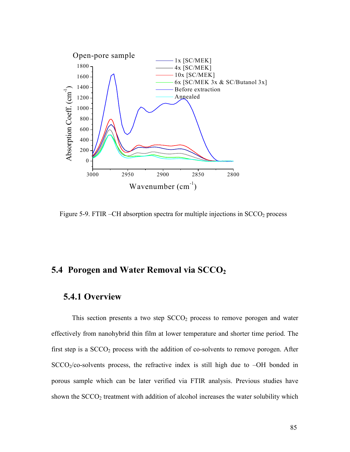

Figure 5-9. FTIR  $-CH$  absorption spectra for multiple injections in  $SCCO<sub>2</sub>$  process

#### 5.4 Porogen and Water Removal via  $SCCO<sub>2</sub>$

#### 5.4.1 Overview

This section presents a two step  $SCCO<sub>2</sub>$  process to remove porogen and water effectively from nanohybrid thin film at lower temperature and shorter time period. The first step is a  $SCCO<sub>2</sub>$  process with the addition of co-solvents to remove porogen. After  $SCCO<sub>2</sub>/co-solvents$  process, the refractive index is still high due to  $-OH$  bonded in porous sample which can be later verified via FTIR analysis. Previous studies have shown the  $SCCO<sub>2</sub>$  treatment with addition of alcohol increases the water solubility which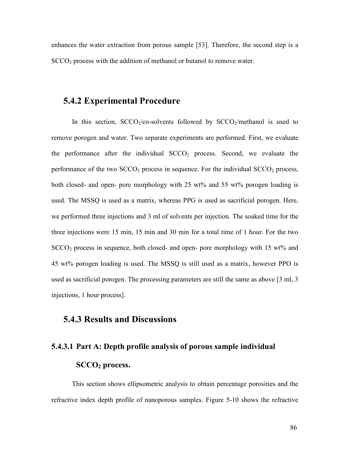enhances the water extraction from porous sample [53]. Therefore, the second step is a SCCO<sub>2</sub> process with the addition of methanol or butanol to remove water.

#### 5.4.2 Experimental Procedure

In this section,  $SCCO<sub>2</sub>/co-solvents$  followed by  $SCCO<sub>2</sub>/methanol$  is used to remove porogen and water. Two separate experiments are performed. First, we evaluate the performance after the individual  $SCCO<sub>2</sub>$  process. Second, we evaluate the performance of the two  $SCCO<sub>2</sub>$  process in sequence. For the individual  $SCCO<sub>2</sub>$  process, both closed- and open- pore morphology with 25 wt% and 55 wt% porogen loading is used. The MSSQ is used as a matrix, whereas PPG is used as sacrificial porogen. Here, we performed three injections and 3 ml of solvents per injection. The soaked time for the three injections were 15 min, 15 min and 30 min for a total time of 1 hour. For the two SCCO2 process in sequence, both closed- and open- pore morphology with 15 wt% and 45 wt% porogen loading is used. The MSSQ is still used as a matrix, however PPO is used as sacrificial porogen. The processing parameters are still the same as above [3 ml, 3 injections, 1 hour process].

#### 5.4.3 Results and Discussions

### 5.4.3.1 Part A: Depth profile analysis of porous sample individual SCCO<sub>2</sub> process.

 This section shows ellipsometric analysis to obtain percentage porosities and the refractive index depth profile of nanoporous samples. Figure 5-10 shows the refractive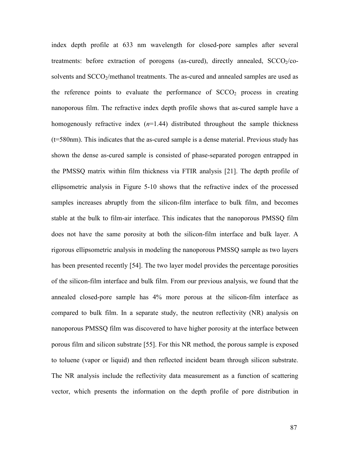index depth profile at 633 nm wavelength for closed-pore samples after several treatments: before extraction of porogens (as-cured), directly annealed,  $SCCO<sub>2</sub>/CO$ solvents and SCCO<sub>2</sub>/methanol treatments. The as-cured and annealed samples are used as the reference points to evaluate the performance of  $SCCO<sub>2</sub>$  process in creating nanoporous film. The refractive index depth profile shows that as-cured sample have a homogenously refractive index  $(n=1.44)$  distributed throughout the sample thickness (t=580nm). This indicates that the as-cured sample is a dense material. Previous study has shown the dense as-cured sample is consisted of phase-separated porogen entrapped in the PMSSQ matrix within film thickness via FTIR analysis [21]. The depth profile of ellipsometric analysis in Figure 5-10 shows that the refractive index of the processed samples increases abruptly from the silicon-film interface to bulk film, and becomes stable at the bulk to film-air interface. This indicates that the nanoporous PMSSQ film does not have the same porosity at both the silicon-film interface and bulk layer. A rigorous ellipsometric analysis in modeling the nanoporous PMSSQ sample as two layers has been presented recently [54]. The two layer model provides the percentage porosities of the silicon-film interface and bulk film. From our previous analysis, we found that the annealed closed-pore sample has 4% more porous at the silicon-film interface as compared to bulk film. In a separate study, the neutron reflectivity (NR) analysis on nanoporous PMSSQ film was discovered to have higher porosity at the interface between porous film and silicon substrate [55]. For this NR method, the porous sample is exposed to toluene (vapor or liquid) and then reflected incident beam through silicon substrate. The NR analysis include the reflectivity data measurement as a function of scattering vector, which presents the information on the depth profile of pore distribution in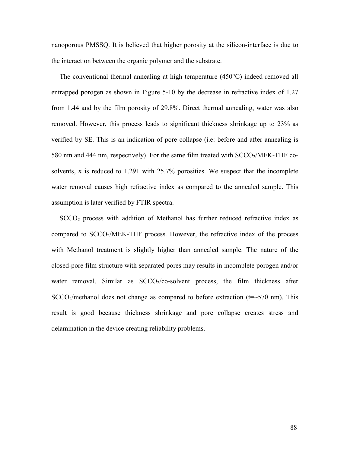nanoporous PMSSQ. It is believed that higher porosity at the silicon-interface is due to the interaction between the organic polymer and the substrate.

The conventional thermal annealing at high temperature (450°C) indeed removed all entrapped porogen as shown in Figure 5-10 by the decrease in refractive index of 1.27 from 1.44 and by the film porosity of 29.8%. Direct thermal annealing, water was also removed. However, this process leads to significant thickness shrinkage up to 23% as verified by SE. This is an indication of pore collapse (i.e: before and after annealing is 580 nm and 444 nm, respectively). For the same film treated with SCCO<sub>2</sub>/MEK-THF cosolvents,  $n$  is reduced to 1.291 with 25.7% porosities. We suspect that the incomplete water removal causes high refractive index as compared to the annealed sample. This assumption is later verified by FTIR spectra.

 $SCCO<sub>2</sub>$  process with addition of Methanol has further reduced refractive index as compared to  $SCCO<sub>2</sub>/MEK-THF$  process. However, the refractive index of the process with Methanol treatment is slightly higher than annealed sample. The nature of the closed-pore film structure with separated pores may results in incomplete porogen and/or water removal. Similar as  $SCCO<sub>2</sub>/CO<sub>-</sub>$ solvent process, the film thickness after  $SCCO<sub>2</sub>/methanol does not change as compared to before extraction (t=~570 nm). This$ result is good because thickness shrinkage and pore collapse creates stress and delamination in the device creating reliability problems.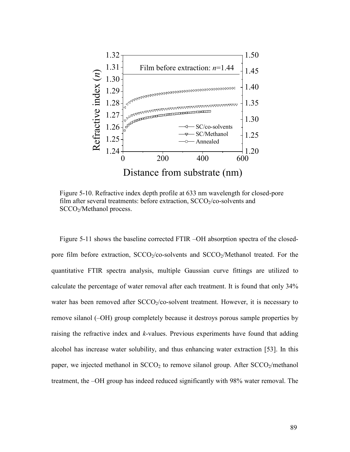

Figure 5-10. Refractive index depth profile at 633 nm wavelength for closed-pore film after several treatments: before extraction,  $SCCO<sub>2</sub>/CO$ -solvents and SCCO<sub>2</sub>/Methanol process.

Figure 5-11 shows the baseline corrected FTIR –OH absorption spectra of the closedpore film before extraction,  $SCCO<sub>2</sub>/CO<sub>2</sub>$  solvents and  $SCCO<sub>2</sub>/Method$  freated. For the quantitative FTIR spectra analysis, multiple Gaussian curve fittings are utilized to calculate the percentage of water removal after each treatment. It is found that only 34% water has been removed after  $SCCO<sub>2</sub>/CO<sub>3</sub>$  solvent treatment. However, it is necessary to remove silanol (–OH) group completely because it destroys porous sample properties by raising the refractive index and  $k$ -values. Previous experiments have found that adding alcohol has increase water solubility, and thus enhancing water extraction [53]. In this paper, we injected methanol in  $SCCO<sub>2</sub>$  to remove silanol group. After  $SCCO<sub>2</sub>/methanol$ treatment, the –OH group has indeed reduced significantly with 98% water removal. The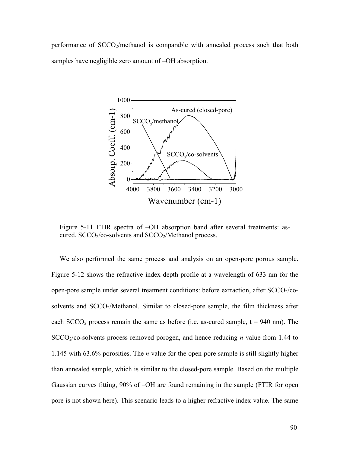performance of  $SCCO<sub>2</sub>/methanol$  is comparable with annealed process such that both samples have negligible zero amount of –OH absorption.



Figure 5-11 FTIR spectra of –OH absorption band after several treatments: ascured, SCCO<sub>2</sub>/co-solvents and SCCO<sub>2</sub>/Methanol process.

We also performed the same process and analysis on an open-pore porous sample. Figure 5-12 shows the refractive index depth profile at a wavelength of 633 nm for the open-pore sample under several treatment conditions: before extraction, after  $SCCO<sub>2</sub>/co$ solvents and SCCO<sub>2</sub>/Methanol. Similar to closed-pore sample, the film thickness after each  $SCCO<sub>2</sub>$  process remain the same as before (i.e. as-cured sample,  $t = 940$  nm). The  $SCCO<sub>2</sub>/co-solvents$  process removed porogen, and hence reducing *n* value from 1.44 to 1.145 with 63.6% porosities. The *n* value for the open-pore sample is still slightly higher than annealed sample, which is similar to the closed-pore sample. Based on the multiple Gaussian curves fitting, 90% of –OH are found remaining in the sample (FTIR for open pore is not shown here). This scenario leads to a higher refractive index value. The same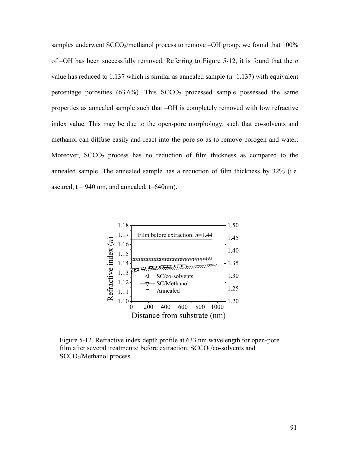samples underwent  $SCCO_2/methanol$  process to remove  $-OH$  group, we found that  $100\%$ of  $-OH$  has been successfully removed. Referring to Figure 5-12, it is found that the *n* value has reduced to 1.137 which is similar as annealed sample  $(n=1.137)$  with equivalent percentage porosities  $(63.6\%)$ . This  $SCCO<sub>2</sub>$  processed sample possessed the same properties as annealed sample such that –OH is completely removed with low refractive index value. This may be due to the open-pore morphology, such that co-solvents and methanol can diffuse easily and react into the pore so as to remove porogen and water. Moreover,  $SCCO<sub>2</sub>$  process has no reduction of film thickness as compared to the annealed sample. The annealed sample has a reduction of film thickness by 32% (i.e. ascured,  $t = 940$  nm, and annealed,  $t = 640$ nm).



Figure 5-12. Refractive index depth profile at 633 nm wavelength for open-pore film after several treatments: before extraction,  $SCCO<sub>2</sub>/CO-$ solvents and SCCO<sub>2</sub>/Methanol process.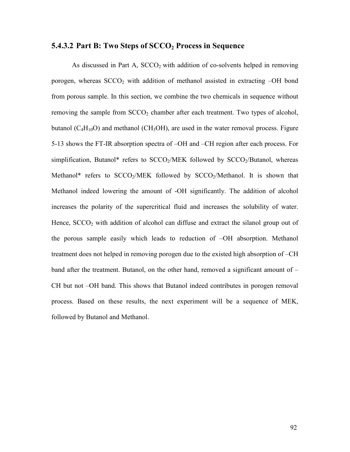#### 5.4.3.2 Part B: Two Steps of  $SCCO<sub>2</sub>$  Process in Sequence

As discussed in Part A,  $SCCO<sub>2</sub>$  with addition of co-solvents helped in removing porogen, whereas  $SCCO<sub>2</sub>$  with addition of methanol assisted in extracting  $-OH$  bond from porous sample. In this section, we combine the two chemicals in sequence without removing the sample from  $SCCO<sub>2</sub>$  chamber after each treatment. Two types of alcohol, butanol  $(C_4H_{10}O)$  and methanol (CH<sub>3</sub>OH), are used in the water removal process. Figure 5-13 shows the FT-IR absorption spectra of –OH and –CH region after each process. For simplification, Butanol\* refers to  $SCCO<sub>2</sub>/MEK$  followed by  $SCCO<sub>2</sub>/Butanol$ , whereas Methanol\* refers to  $SCCO<sub>2</sub>/MEK$  followed by  $SCCO<sub>2</sub>/Methanol$ . It is shown that Methanol indeed lowering the amount of -OH significantly. The addition of alcohol increases the polarity of the supercritical fluid and increases the solubility of water. Hence,  $SCCO<sub>2</sub>$  with addition of alcohol can diffuse and extract the silanol group out of the porous sample easily which leads to reduction of –OH absorption. Methanol treatment does not helped in removing porogen due to the existed high absorption of –CH band after the treatment. Butanol, on the other hand, removed a significant amount of – CH but not –OH band. This shows that Butanol indeed contributes in porogen removal process. Based on these results, the next experiment will be a sequence of MEK, followed by Butanol and Methanol.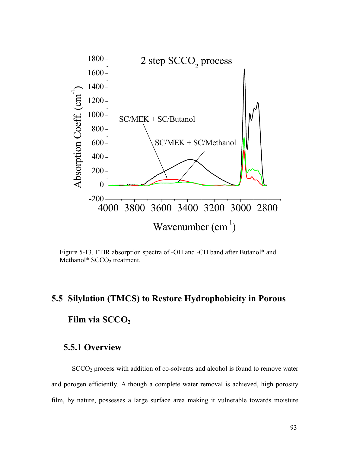

Figure 5-13. FTIR absorption spectra of -OH and -CH band after Butanol\* and Methanol\* SCCO<sub>2</sub> treatment.

# 5.5 Silylation (TMCS) to Restore Hydrophobicity in Porous

# Film via SCCO<sub>2</sub>

#### 5.5.1 Overview

SCCO<sub>2</sub> process with addition of co-solvents and alcohol is found to remove water and porogen efficiently. Although a complete water removal is achieved, high porosity film, by nature, possesses a large surface area making it vulnerable towards moisture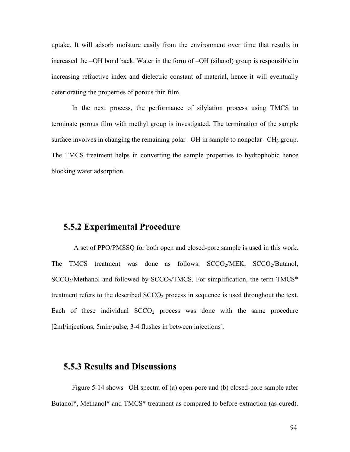uptake. It will adsorb moisture easily from the environment over time that results in increased the –OH bond back. Water in the form of –OH (silanol) group is responsible in increasing refractive index and dielectric constant of material, hence it will eventually deteriorating the properties of porous thin film.

In the next process, the performance of silylation process using TMCS to terminate porous film with methyl group is investigated. The termination of the sample surface involves in changing the remaining polar  $-OH$  in sample to nonpolar  $-CH_3$  group. The TMCS treatment helps in converting the sample properties to hydrophobic hence blocking water adsorption.

#### 5.5.2 Experimental Procedure

 A set of PPO/PMSSQ for both open and closed-pore sample is used in this work. The TMCS treatment was done as follows: SCCO<sub>2</sub>/MEK, SCCO<sub>2</sub>/Butanol,  $SCCO<sub>2</sub>/Methods$  and followed by  $SCCO<sub>2</sub>/TMCS$ . For simplification, the term TMCS\* treatment refers to the described  $SCCO<sub>2</sub>$  process in sequence is used throughout the text. Each of these individual  $SCCO<sub>2</sub>$  process was done with the same procedure [2ml/injections, 5min/pulse, 3-4 flushes in between injections].

#### 5.5.3 Results and Discussions

Figure 5-14 shows –OH spectra of (a) open-pore and (b) closed-pore sample after Butanol\*, Methanol\* and TMCS\* treatment as compared to before extraction (as-cured).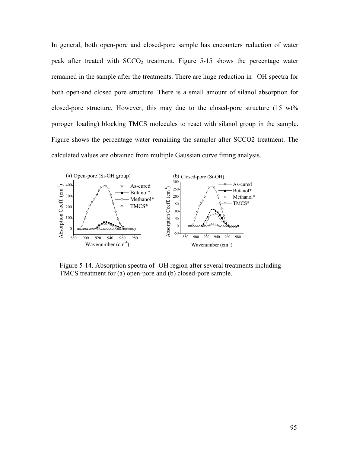In general, both open-pore and closed-pore sample has encounters reduction of water peak after treated with  $SCCO<sub>2</sub>$  treatment. Figure 5-15 shows the percentage water remained in the sample after the treatments. There are huge reduction in –OH spectra for both open-and closed pore structure. There is a small amount of silanol absorption for closed-pore structure. However, this may due to the closed-pore structure (15 wt% porogen loading) blocking TMCS molecules to react with silanol group in the sample. Figure shows the percentage water remaining the sampler after SCCO2 treatment. The calculated values are obtained from multiple Gaussian curve fitting analysis.



Figure 5-14. Absorption spectra of -OH region after several treatments including TMCS treatment for (a) open-pore and (b) closed-pore sample.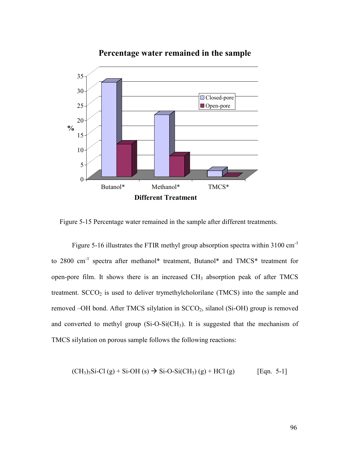

Percentage water remained in the sample

Figure 5-15 Percentage water remained in the sample after different treatments.

Figure 5-16 illustrates the FTIR methyl group absorption spectra within 3100 cm<sup>-1</sup> to 2800 cm<sup>-1</sup> spectra after methanol\* treatment, Butanol\* and TMCS\* treatment for open-pore film. It shows there is an increased  $CH<sub>3</sub>$  absorption peak of after TMCS treatment.  $SCCO<sub>2</sub>$  is used to deliver trymethylcholorilane (TMCS) into the sample and removed -OH bond. After TMCS silylation in SCCO<sub>2</sub>, silanol (Si-OH) group is removed and converted to methyl group  $(Si-O-Si(CH_3)$ . It is suggested that the mechanism of TMCS silylation on porous sample follows the following reactions:

$$
(CH3)3Si-Cl (g) + Si-OH (s) \to Si-O-Si(CH3) (g) + HCl (g)
$$
 [Eqn. 5-1]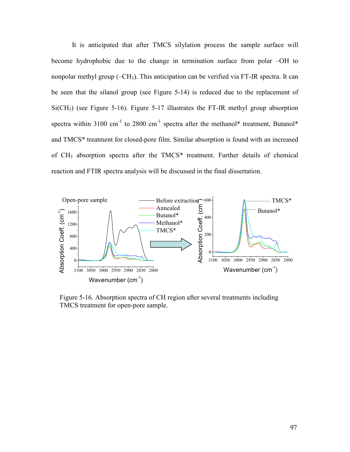It is anticipated that after TMCS silylation process the sample surface will become hydrophobic due to the change in termination surface from polar –OH to nonpolar methyl group  $(-CH_3)$ . This anticipation can be verified via FT-IR spectra. It can be seen that the silanol group (see Figure 5-14) is reduced due to the replacement of  $Si(CH_3)$  (see Figure 5-16). Figure 5-17 illustrates the FT-IR methyl group absorption spectra within 3100 cm<sup>-1</sup> to 2800 cm<sup>-1</sup> spectra after the methanol\* treatment, Butanol\* and TMCS\* treatment for closed-pore film. Similar absorption is found with an increased of CH3 absorption spectra after the TMCS\* treatment. Further details of chemical reaction and FTIR spectra analysis will be discussed in the final dissertation.



Figure 5-16. Absorption spectra of CH region after several treatments including TMCS treatment for open-pore sample.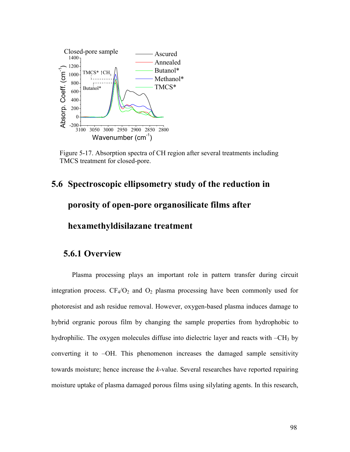

Figure 5-17. Absorption spectra of CH region after several treatments including TMCS treatment for closed-pore.

# 5.6 Spectroscopic ellipsometry study of the reduction in porosity of open-pore organosilicate films after hexamethyldisilazane treatment

#### 5.6.1 Overview

 Plasma processing plays an important role in pattern transfer during circuit integration process.  $CF_4/O_2$  and  $O_2$  plasma processing have been commonly used for photoresist and ash residue removal. However, oxygen-based plasma induces damage to hybrid orgranic porous film by changing the sample properties from hydrophobic to hydrophilic. The oxygen molecules diffuse into dielectric layer and reacts with  $-CH_3$  by converting it to –OH. This phenomenon increases the damaged sample sensitivity towards moisture; hence increase the k-value. Several researches have reported repairing moisture uptake of plasma damaged porous films using silylating agents. In this research,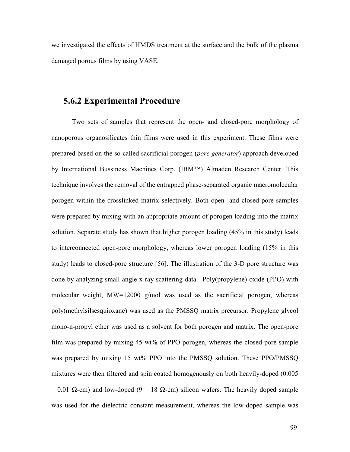we investigated the effects of HMDS treatment at the surface and the bulk of the plasma damaged porous films by using VASE.

#### 5.6.2 Experimental Procedure

Two sets of samples that represent the open- and closed-pore morphology of nanoporous organosilicates thin films were used in this experiment. These films were prepared based on the so-called sacrificial porogen (pore generator) approach developed by International Bussiness Machines Corp. (IBM™) Almaden Research Center. This technique involves the removal of the entrapped phase-separated organic macromolecular porogen within the crosslinked matrix selectively. Both open- and closed-pore samples were prepared by mixing with an appropriate amount of porogen loading into the matrix solution. Separate study has shown that higher porogen loading (45% in this study) leads to interconnected open-pore morphology, whereas lower porogen loading (15% in this study) leads to closed-pore structure [56]. The illustration of the 3-D pore structure was done by analyzing small-angle x-ray scattering data. Poly(propylene) oxide (PPO) with molecular weight, MW=12000 g/mol was used as the sacrificial porogen, whereas poly(methylsilsesquioxane) was used as the PMSSQ matrix precursor. Propylene glycol mono-n-propyl ether was used as a solvent for both porogen and matrix. The open-pore film was prepared by mixing 45 wt% of PPO porogen, whereas the closed-pore sample was prepared by mixing 15 wt% PPO into the PMSSQ solution. These PPO/PMSSQ mixtures were then filtered and spin coated homogenously on both heavily-doped (0.005 – 0.01 Ω-cm) and low-doped (9 – 18 Ω-cm) silicon wafers. The heavily doped sample was used for the dielectric constant measurement, whereas the low-doped sample was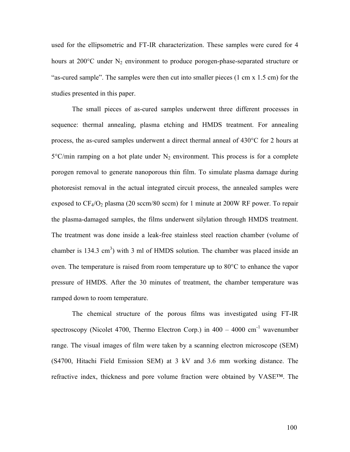used for the ellipsometric and FT-IR characterization. These samples were cured for 4 hours at 200°C under N<sub>2</sub> environment to produce porogen-phase-separated structure or "as-cured sample". The samples were then cut into smaller pieces (1 cm x 1.5 cm) for the studies presented in this paper.

The small pieces of as-cured samples underwent three different processes in sequence: thermal annealing, plasma etching and HMDS treatment. For annealing process, the as-cured samples underwent a direct thermal anneal of 430°C for 2 hours at  $5^{\circ}$ C/min ramping on a hot plate under N<sub>2</sub> environment. This process is for a complete porogen removal to generate nanoporous thin film. To simulate plasma damage during photoresist removal in the actual integrated circuit process, the annealed samples were exposed to  $CF_4/O_2$  plasma (20 sccm/80 sccm) for 1 minute at 200W RF power. To repair the plasma-damaged samples, the films underwent silylation through HMDS treatment. The treatment was done inside a leak-free stainless steel reaction chamber (volume of chamber is 134.3 cm<sup>3</sup>) with 3 ml of HMDS solution. The chamber was placed inside an oven. The temperature is raised from room temperature up to 80°C to enhance the vapor pressure of HMDS. After the 30 minutes of treatment, the chamber temperature was ramped down to room temperature.

 The chemical structure of the porous films was investigated using FT-IR spectroscopy (Nicolet 4700, Thermo Electron Corp.) in  $400 - 4000$  cm<sup>-1</sup> wavenumber range. The visual images of film were taken by a scanning electron microscope (SEM) (S4700, Hitachi Field Emission SEM) at 3 kV and 3.6 mm working distance. The refractive index, thickness and pore volume fraction were obtained by VASE™. The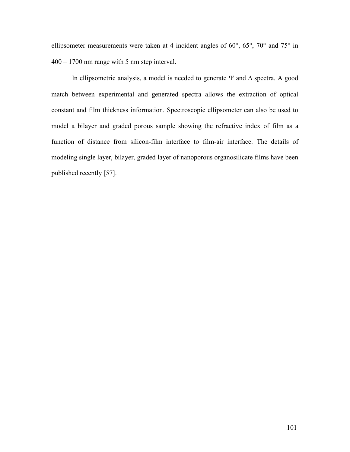ellipsometer measurements were taken at 4 incident angles of 60°, 65°, 70° and 75° in 400 – 1700 nm range with 5 nm step interval.

In ellipsometric analysis, a model is needed to generate Ψ and ∆ spectra. A good match between experimental and generated spectra allows the extraction of optical constant and film thickness information. Spectroscopic ellipsometer can also be used to model a bilayer and graded porous sample showing the refractive index of film as a function of distance from silicon-film interface to film-air interface. The details of modeling single layer, bilayer, graded layer of nanoporous organosilicate films have been published recently [57].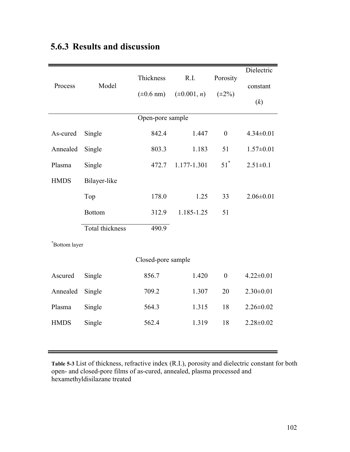| Process            | Model           | Thickness         | R.I.             | Porosity         | Dielectric      |  |  |  |  |
|--------------------|-----------------|-------------------|------------------|------------------|-----------------|--|--|--|--|
|                    |                 | $(\pm 0.6$ nm)    | $(\pm 0.001, n)$ | $(\pm 2\%)$      | constant        |  |  |  |  |
|                    |                 |                   |                  |                  | (k)             |  |  |  |  |
| Open-pore sample   |                 |                   |                  |                  |                 |  |  |  |  |
| As-cured           | Single          | 842.4             | 1.447            | $\boldsymbol{0}$ | $4.34 \pm 0.01$ |  |  |  |  |
| Annealed           | Single          | 803.3             | 1.183            | 51               | $1.57 \pm 0.01$ |  |  |  |  |
| Plasma             | Single          | 472.7             | 1.177-1.301      | $51^*$           | $2.51 \pm 0.1$  |  |  |  |  |
| <b>HMDS</b>        | Bilayer-like    |                   |                  |                  |                 |  |  |  |  |
|                    | Top             | 178.0             | 1.25             | 33               | $2.06 \pm 0.01$ |  |  |  |  |
|                    | <b>Bottom</b>   | 312.9             | 1.185-1.25       | 51               |                 |  |  |  |  |
|                    | Total thickness | $\frac{490.9}{ }$ |                  |                  |                 |  |  |  |  |
| *Bottom layer      |                 |                   |                  |                  |                 |  |  |  |  |
| Closed-pore sample |                 |                   |                  |                  |                 |  |  |  |  |
| Ascured            | Single          | 856.7             | 1.420            | $\boldsymbol{0}$ | $4.22 \pm 0.01$ |  |  |  |  |
| Annealed           | Single          | 709.2             | 1.307            | 20               | $2.30 \pm 0.01$ |  |  |  |  |
| Plasma             | Single          | 564.3             | 1.315            | 18               | $2.26 \pm 0.02$ |  |  |  |  |
| <b>HMDS</b>        | Single          | 562.4             | 1.319            | 18               | $2.28 \pm 0.02$ |  |  |  |  |
|                    |                 |                   |                  |                  |                 |  |  |  |  |
|                    |                 |                   |                  |                  |                 |  |  |  |  |

## 5.6.3 Results and discussion

Table 5-3 List of thickness, refractive index (R.I.), porosity and dielectric constant for both open- and closed-pore films of as-cured, annealed, plasma processed and hexamethyldisilazane treated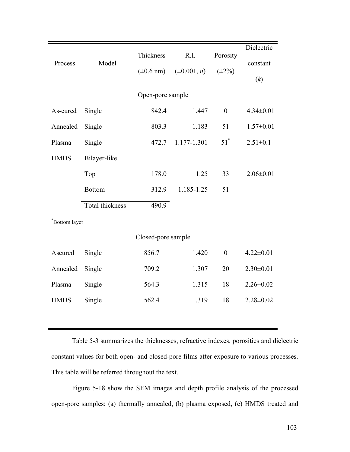| Process            | Model                  | Thickness         | R.I.             | Porosity         | Dielectric      |  |  |  |  |
|--------------------|------------------------|-------------------|------------------|------------------|-----------------|--|--|--|--|
|                    |                        |                   |                  |                  | constant        |  |  |  |  |
|                    |                        | $(\pm 0.6$ nm)    | $(\pm 0.001, n)$ | $(\pm 2\%)$      | (k)             |  |  |  |  |
| Open-pore sample   |                        |                   |                  |                  |                 |  |  |  |  |
| As-cured           | Single                 | 842.4             | 1.447            | $\overline{0}$   | $4.34 \pm 0.01$ |  |  |  |  |
| Annealed           | Single                 | 803.3             | 1.183            | 51               | $1.57 \pm 0.01$ |  |  |  |  |
| Plasma             | Single                 | 472.7             | 1.177-1.301      | $51^*$           | $2.51 \pm 0.1$  |  |  |  |  |
| <b>HMDS</b>        | Bilayer-like           |                   |                  |                  |                 |  |  |  |  |
|                    | Top                    | 178.0             | 1.25             | 33               | $2.06 \pm 0.01$ |  |  |  |  |
|                    | <b>Bottom</b>          | 312.9             | 1.185-1.25       | 51               |                 |  |  |  |  |
|                    | <b>Total thickness</b> | $\frac{490.9}{ }$ |                  |                  |                 |  |  |  |  |
| *Bottom layer      |                        |                   |                  |                  |                 |  |  |  |  |
| Closed-pore sample |                        |                   |                  |                  |                 |  |  |  |  |
| Ascured            | Single                 | 856.7             | 1.420            | $\boldsymbol{0}$ | $4.22 \pm 0.01$ |  |  |  |  |
| Annealed           | Single                 | 709.2             | 1.307            | 20               | $2.30 \pm 0.01$ |  |  |  |  |
| Plasma             | Single                 | 564.3             | 1.315            | 18               | $2.26 \pm 0.02$ |  |  |  |  |
| <b>HMDS</b>        | Single                 | 562.4             | 1.319            | 18               | $2.28 \pm 0.02$ |  |  |  |  |
|                    |                        |                   |                  |                  |                 |  |  |  |  |

Table 5-3 summarizes the thicknesses, refractive indexes, porosities and dielectric constant values for both open- and closed-pore films after exposure to various processes. This table will be referred throughout the text.

Figure 5-18 show the SEM images and depth profile analysis of the processed open-pore samples: (a) thermally annealed, (b) plasma exposed, (c) HMDS treated and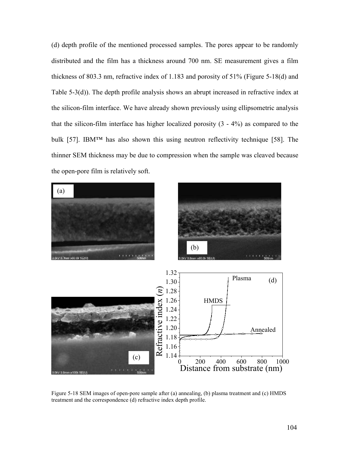(d) depth profile of the mentioned processed samples. The pores appear to be randomly distributed and the film has a thickness around 700 nm. SE measurement gives a film thickness of 803.3 nm, refractive index of 1.183 and porosity of 51% (Figure 5-18(d) and Table 5-3(d)). The depth profile analysis shows an abrupt increased in refractive index at the silicon-film interface. We have already shown previously using ellipsometric analysis that the silicon-film interface has higher localized porosity (3 - 4%) as compared to the bulk [57]. IBM™ has also shown this using neutron reflectivity technique [58]. The thinner SEM thickness may be due to compression when the sample was cleaved because the open-pore film is relatively soft.



Figure 5-18 SEM images of open-pore sample after (a) annealing, (b) plasma treatment and (c) HMDS treatment and the correspondence (d) refractive index depth profile.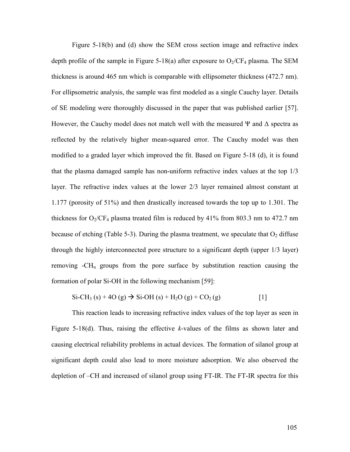Figure 5-18(b) and (d) show the SEM cross section image and refractive index depth profile of the sample in Figure 5-18(a) after exposure to  $O_2/CF_4$  plasma. The SEM thickness is around 465 nm which is comparable with ellipsometer thickness (472.7 nm). For ellipsometric analysis, the sample was first modeled as a single Cauchy layer. Details of SE modeling were thoroughly discussed in the paper that was published earlier [57]. However, the Cauchy model does not match well with the measured  $\Psi$  and  $\Delta$  spectra as reflected by the relatively higher mean-squared error. The Cauchy model was then modified to a graded layer which improved the fit. Based on Figure 5-18 (d), it is found that the plasma damaged sample has non-uniform refractive index values at the top 1/3 layer. The refractive index values at the lower 2/3 layer remained almost constant at 1.177 (porosity of 51%) and then drastically increased towards the top up to 1.301. The thickness for  $O_2/CF_4$  plasma treated film is reduced by 41% from 803.3 nm to 472.7 nm because of etching (Table 5-3). During the plasma treatment, we speculate that  $O_2$  diffuse through the highly interconnected pore structure to a significant depth (upper 1/3 layer) removing  $-CH_n$  groups from the pore surface by substitution reaction causing the formation of polar Si-OH in the following mechanism [59]:

$$
\text{Si-CH}_3\left(s\right) + 4\text{O}\left(g\right) \to \text{Si-OH}\left(s\right) + \text{H}_2\text{O}\left(g\right) + \text{CO}_2\left(g\right) \tag{1}
$$

This reaction leads to increasing refractive index values of the top layer as seen in Figure 5-18(d). Thus, raising the effective k-values of the films as shown later and causing electrical reliability problems in actual devices. The formation of silanol group at significant depth could also lead to more moisture adsorption. We also observed the depletion of –CH and increased of silanol group using FT-IR. The FT-IR spectra for this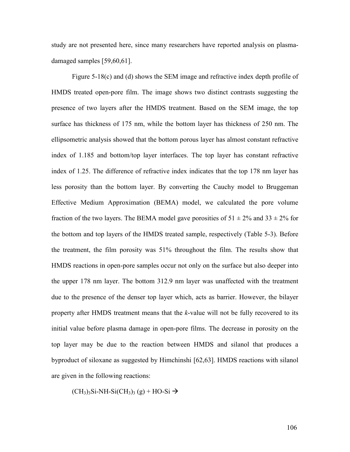study are not presented here, since many researchers have reported analysis on plasmadamaged samples [59,60,61].

Figure 5-18(c) and (d) shows the SEM image and refractive index depth profile of HMDS treated open-pore film. The image shows two distinct contrasts suggesting the presence of two layers after the HMDS treatment. Based on the SEM image, the top surface has thickness of 175 nm, while the bottom layer has thickness of 250 nm. The ellipsometric analysis showed that the bottom porous layer has almost constant refractive index of 1.185 and bottom/top layer interfaces. The top layer has constant refractive index of 1.25. The difference of refractive index indicates that the top 178 nm layer has less porosity than the bottom layer. By converting the Cauchy model to Bruggeman Effective Medium Approximation (BEMA) model, we calculated the pore volume fraction of the two layers. The BEMA model gave porosities of  $51 \pm 2\%$  and  $33 \pm 2\%$  for the bottom and top layers of the HMDS treated sample, respectively (Table 5-3). Before the treatment, the film porosity was 51% throughout the film. The results show that HMDS reactions in open-pore samples occur not only on the surface but also deeper into the upper 178 nm layer. The bottom 312.9 nm layer was unaffected with the treatment due to the presence of the denser top layer which, acts as barrier. However, the bilayer property after HMDS treatment means that the k-value will not be fully recovered to its initial value before plasma damage in open-pore films. The decrease in porosity on the top layer may be due to the reaction between HMDS and silanol that produces a byproduct of siloxane as suggested by Himchinshi [62,63]. HMDS reactions with silanol are given in the following reactions:

 $(CH<sub>3</sub>)<sub>3</sub>Si-NH-Si(CH<sub>3</sub>)<sub>3</sub>(g) + HO-Si \rightarrow$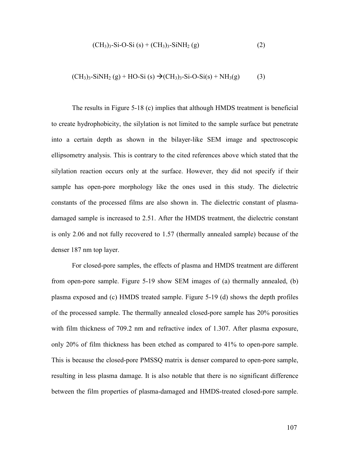$$
(CH3)3-Si-O-Si (s) + (CH3)3-SiNH2 (g)
$$
 (2)

$$
(CH3)3-SiNH2(g) + HO-Si (s) \rightarrow (CH3)3-Si-O-Si(s) + NH3(g)
$$
 (3)

The results in Figure 5-18 (c) implies that although HMDS treatment is beneficial to create hydrophobicity, the silylation is not limited to the sample surface but penetrate into a certain depth as shown in the bilayer-like SEM image and spectroscopic ellipsometry analysis. This is contrary to the cited references above which stated that the silylation reaction occurs only at the surface. However, they did not specify if their sample has open-pore morphology like the ones used in this study. The dielectric constants of the processed films are also shown in. The dielectric constant of plasmadamaged sample is increased to 2.51. After the HMDS treatment, the dielectric constant is only 2.06 and not fully recovered to 1.57 (thermally annealed sample) because of the denser 187 nm top layer.

For closed-pore samples, the effects of plasma and HMDS treatment are different from open-pore sample. Figure 5-19 show SEM images of (a) thermally annealed, (b) plasma exposed and (c) HMDS treated sample. Figure 5-19 (d) shows the depth profiles of the processed sample. The thermally annealed closed-pore sample has 20% porosities with film thickness of 709.2 nm and refractive index of 1.307. After plasma exposure, only 20% of film thickness has been etched as compared to 41% to open-pore sample. This is because the closed-pore PMSSQ matrix is denser compared to open-pore sample, resulting in less plasma damage. It is also notable that there is no significant difference between the film properties of plasma-damaged and HMDS-treated closed-pore sample.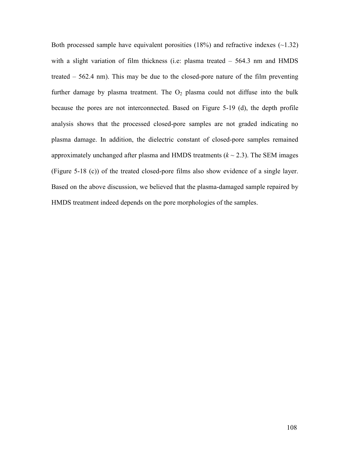Both processed sample have equivalent porosities  $(18%)$  and refractive indexes  $(-1.32)$ with a slight variation of film thickness (i.e: plasma treated – 564.3 nm and HMDS treated – 562.4 nm). This may be due to the closed-pore nature of the film preventing further damage by plasma treatment. The  $O<sub>2</sub>$  plasma could not diffuse into the bulk because the pores are not interconnected. Based on Figure 5-19 (d), the depth profile analysis shows that the processed closed-pore samples are not graded indicating no plasma damage. In addition, the dielectric constant of closed-pore samples remained approximately unchanged after plasma and HMDS treatments  $(k \sim 2.3)$ . The SEM images (Figure 5-18 (c)) of the treated closed-pore films also show evidence of a single layer. Based on the above discussion, we believed that the plasma-damaged sample repaired by HMDS treatment indeed depends on the pore morphologies of the samples.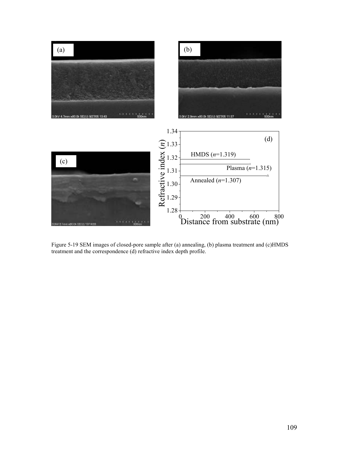

Figure 5-19 SEM images of closed-pore sample after (a) annealing, (b) plasma treatment and (c)HMDS treatment and the correspondence (d) refractive index depth profile.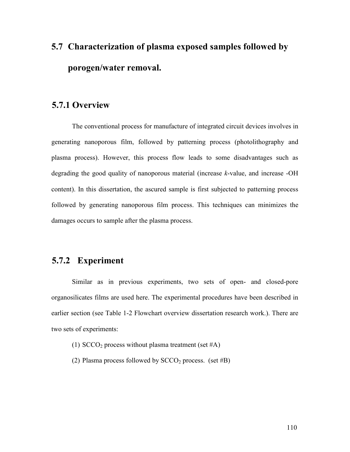## 5.7 Characterization of plasma exposed samples followed by porogen/water removal.

### 5.7.1 Overview

The conventional process for manufacture of integrated circuit devices involves in generating nanoporous film, followed by patterning process (photolithography and plasma process). However, this process flow leads to some disadvantages such as degrading the good quality of nanoporous material (increase k-value, and increase -OH content). In this dissertation, the ascured sample is first subjected to patterning process followed by generating nanoporous film process. This techniques can minimizes the damages occurs to sample after the plasma process.

### 5.7.2 Experiment

Similar as in previous experiments, two sets of open- and closed-pore organosilicates films are used here. The experimental procedures have been described in earlier section (see Table 1-2 Flowchart overview dissertation research work.). There are two sets of experiments:

- (1)  $SCCO<sub>2</sub>$  process without plasma treatment (set #A)
- (2) Plasma process followed by  $SCCO<sub>2</sub>$  process. (set #B)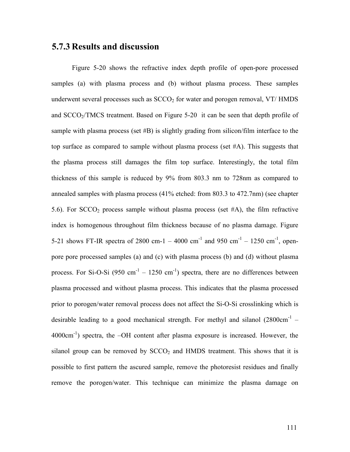#### 5.7.3 Results and discussion

Figure 5-20 shows the refractive index depth profile of open-pore processed samples (a) with plasma process and (b) without plasma process. These samples underwent several processes such as  $SCCO<sub>2</sub>$  for water and porogen removal, VT/ HMDS and SCCO<sub>2</sub>/TMCS treatment. Based on Figure 5-20 it can be seen that depth profile of sample with plasma process (set #B) is slightly grading from silicon/film interface to the top surface as compared to sample without plasma process (set  $#A$ ). This suggests that the plasma process still damages the film top surface. Interestingly, the total film thickness of this sample is reduced by 9% from 803.3 nm to 728nm as compared to annealed samples with plasma process (41% etched: from 803.3 to 472.7nm) (see chapter 5.6). For  $SCCO<sub>2</sub>$  process sample without plasma process (set #A), the film refractive index is homogenous throughout film thickness because of no plasma damage. Figure 5-21 shows FT-IR spectra of 2800 cm-1 – 4000 cm<sup>-1</sup> and 950 cm<sup>-1</sup> – 1250 cm<sup>-1</sup>, openpore pore processed samples (a) and (c) with plasma process (b) and (d) without plasma process. For Si-O-Si (950 cm<sup>-1</sup> – 1250 cm<sup>-1</sup>) spectra, there are no differences between plasma processed and without plasma process. This indicates that the plasma processed prior to porogen/water removal process does not affect the Si-O-Si crosslinking which is desirable leading to a good mechanical strength. For methyl and silanol  $(2800 \text{cm}^{-1} 4000 \text{cm}^{-1}$ ) spectra, the  $-OH$  content after plasma exposure is increased. However, the silanol group can be removed by  $SCCO<sub>2</sub>$  and HMDS treatment. This shows that it is possible to first pattern the ascured sample, remove the photoresist residues and finally remove the porogen/water. This technique can minimize the plasma damage on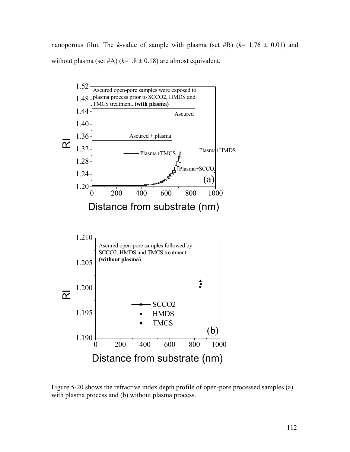nanoporous film. The k-value of sample with plasma (set #B)  $(k= 1.76 \pm 0.01)$  and without plasma (set #A)  $(k=1.8 \pm 0.18)$  are almost equivalent.



Figure 5-20 shows the refractive index depth profile of open-pore processed samples (a) with plasma process and (b) without plasma process.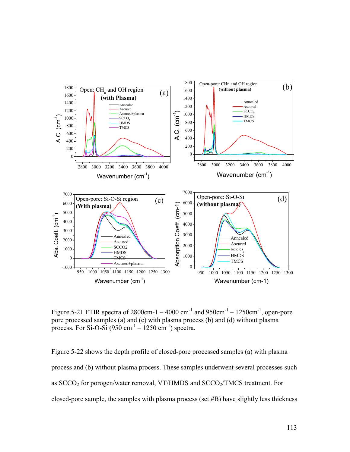

Figure 5-21 FTIR spectra of 2800cm-1 – 4000 cm<sup>-1</sup> and 950cm<sup>-1</sup> – 1250cm<sup>-1</sup>, open-pore pore processed samples (a) and (c) with plasma process (b) and (d) without plasma process. For Si-O-Si  $(950 \text{ cm}^{-1} - 1250 \text{ cm}^{-1})$  spectra.

Figure 5-22 shows the depth profile of closed-pore processed samples (a) with plasma process and (b) without plasma process. These samples underwent several processes such as  $SCCO<sub>2</sub>$  for porogen/water removal, VT/HMDS and  $SCCO<sub>2</sub>/TMCS$  treatment. For closed-pore sample, the samples with plasma process (set #B) have slightly less thickness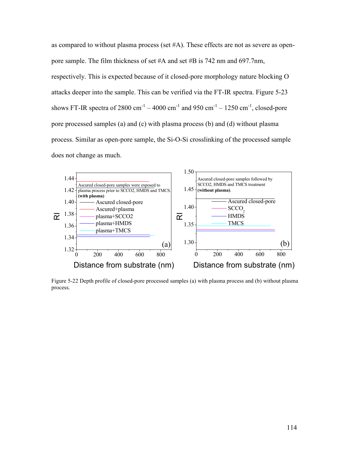as compared to without plasma process (set #A). These effects are not as severe as openpore sample. The film thickness of set #A and set #B is 742 nm and 697.7nm, respectively. This is expected because of it closed-pore morphology nature blocking O attacks deeper into the sample. This can be verified via the FT-IR spectra. Figure 5-23 shows FT-IR spectra of 2800 cm<sup>-1</sup> – 4000 cm<sup>-1</sup> and 950 cm<sup>-1</sup> – 1250 cm<sup>-1</sup>, closed-pore pore processed samples (a) and (c) with plasma process (b) and (d) without plasma process. Similar as open-pore sample, the Si-O-Si crosslinking of the processed sample does not change as much.



Figure 5-22 Depth profile of closed-pore processed samples (a) with plasma process and (b) without plasma process.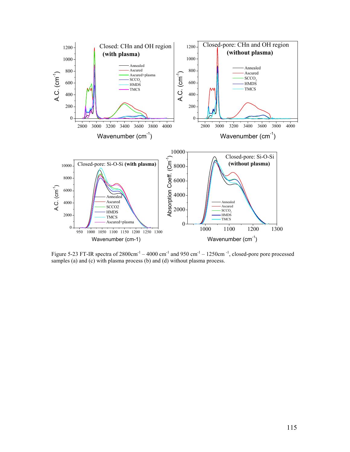

Figure 5-23 FT-IR spectra of  $2800 \text{cm}^{-1} - 4000 \text{cm}^{-1}$  and  $950 \text{cm}^{-1} - 1250 \text{cm}^{-1}$ , closed-pore processed samples (a) and (c) with plasma process (b) and (d) without plasma process.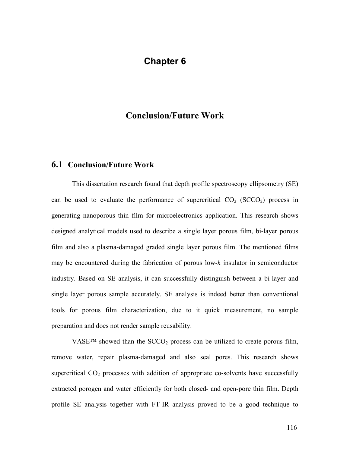### Chapter 6

#### Conclusion/Future Work

#### 6.1 Conclusion/Future Work

This dissertation research found that depth profile spectroscopy ellipsometry (SE) can be used to evaluate the performance of supercritical  $CO<sub>2</sub>$  (SCCO<sub>2</sub>) process in generating nanoporous thin film for microelectronics application. This research shows designed analytical models used to describe a single layer porous film, bi-layer porous film and also a plasma-damaged graded single layer porous film. The mentioned films may be encountered during the fabrication of porous low-k insulator in semiconductor industry. Based on SE analysis, it can successfully distinguish between a bi-layer and single layer porous sample accurately. SE analysis is indeed better than conventional tools for porous film characterization, due to it quick measurement, no sample preparation and does not render sample reusability.

VASE<sup>TM</sup> showed than the  $SCCO<sub>2</sub>$  process can be utilized to create porous film, remove water, repair plasma-damaged and also seal pores. This research shows supercritical  $CO<sub>2</sub>$  processes with addition of appropriate co-solvents have successfully extracted porogen and water efficiently for both closed- and open-pore thin film. Depth profile SE analysis together with FT-IR analysis proved to be a good technique to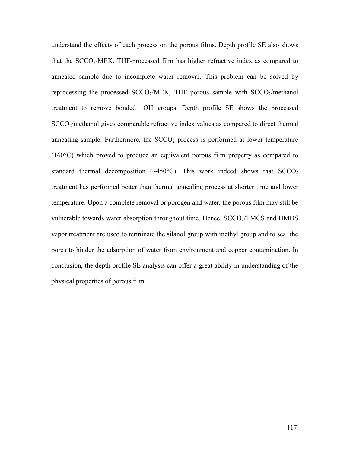understand the effects of each process on the porous films. Depth profile SE also shows that the SCCO<sub>2</sub>/MEK, THF-processed film has higher refractive index as compared to annealed sample due to incomplete water removal. This problem can be solved by reprocessing the processed  $SCCO<sub>2</sub>/MEK$ , THF porous sample with  $SCCO<sub>2</sub>/methanol$ treatment to remove bonded –OH groups. Depth profile SE shows the processed SCCO2/methanol gives comparable refractive index values as compared to direct thermal annealing sample. Furthermore, the  $SCCO<sub>2</sub>$  process is performed at lower temperature (160°C) which proved to produce an equivalent porous film property as compared to standard thermal decomposition  $(\sim450^{\circ}C)$ . This work indeed shows that  $SCCO<sub>2</sub>$ treatment has performed better than thermal annealing process at shorter time and lower temperature. Upon a complete removal or porogen and water, the porous film may still be vulnerable towards water absorption throughout time. Hence,  $SCCO<sub>2</sub>/TMCS$  and  $HMDS$ vapor treatment are used to terminate the silanol group with methyl group and to seal the pores to hinder the adsorption of water from environment and copper contamination. In conclusion, the depth profile SE analysis can offer a great ability in understanding of the physical properties of porous film.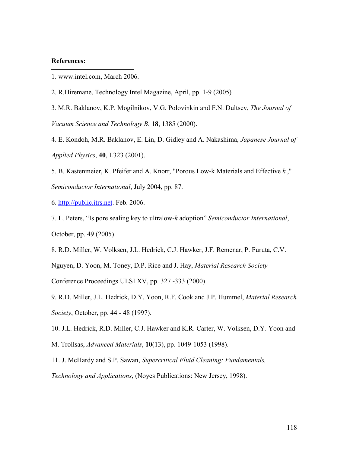#### References:

 $\overline{a}$ 

- 1. www.intel.com, March 2006.
- 2. R.Hiremane, Technology Intel Magazine, April, pp. 1-9 (2005)

3. M.R. Baklanov, K.P. Mogilnikov, V.G. Polovinkin and F.N. Dultsev, The Journal of Vacuum Science and Technology B, 18, 1385 (2000).

4. E. Kondoh, M.R. Baklanov, E. Lin, D. Gidley and A. Nakashima, *Japanese Journal of* Applied Physics, 40, L323 (2001).

5. B. Kastenmeier, K. Pfeifer and A. Knorr, "Porous Low-k Materials and Effective k ," Semiconductor International, July 2004, pp. 87.

6. http://public.itrs.net. Feb. 2006.

7. L. Peters, "Is pore sealing key to ultralow-k adoption" Semiconductor International, October, pp. 49 (2005).

8. R.D. Miller, W. Volksen, J.L. Hedrick, C.J. Hawker, J.F. Remenar, P. Furuta, C.V. Nguyen, D. Yoon, M. Toney, D.P. Rice and J. Hay, *Material Research Society* Conference Proceedings ULSI XV, pp. 327 -333 (2000).

9. R.D. Miller, J.L. Hedrick, D.Y. Yoon, R.F. Cook and J.P. Hummel, Material Research Society, October, pp. 44 - 48 (1997).

10. J.L. Hedrick, R.D. Miller, C.J. Hawker and K.R. Carter, W. Volksen, D.Y. Yoon and

M. Trollsas, Advanced Materials, 10(13), pp. 1049-1053 (1998).

11. J. McHardy and S.P. Sawan, Supercritical Fluid Cleaning: Fundamentals,

Technology and Applications, (Noyes Publications: New Jersey, 1998).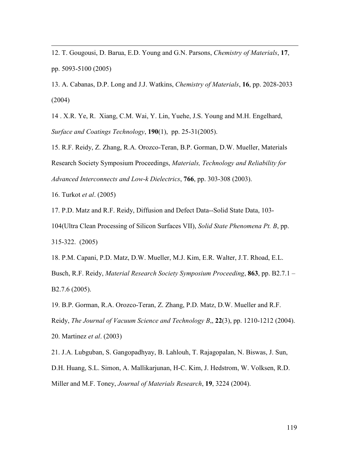12. T. Gougousi, D. Barua, E.D. Young and G.N. Parsons, Chemistry of Materials, 17, pp. 5093-5100 (2005)

13. A. Cabanas, D.P. Long and J.J. Watkins, Chemistry of Materials, 16, pp. 2028-2033 (2004)

14 . X.R. Ye, R. Xiang, C.M. Wai, Y. Lin, Yuehe, J.S. Young and M.H. Engelhard, Surface and Coatings Technology, 190(1), pp. 25-31(2005).

15. R.F. Reidy, Z. Zhang, R.A. Orozco-Teran, B.P. Gorman, D.W. Mueller, Materials Research Society Symposium Proceedings, Materials, Technology and Reliability for Advanced Interconnects and Low-k Dielectrics, 766, pp. 303-308 (2003).

16. Turkot et al. (2005)

 $\overline{a}$ 

17. P.D. Matz and R.F. Reidy, Diffusion and Defect Data--Solid State Data, 103-

104(Ultra Clean Processing of Silicon Surfaces VII), Solid State Phenomena Pt. B, pp. 315-322. (2005)

18. P.M. Capani, P.D. Matz, D.W. Mueller, M.J. Kim, E.R. Walter, J.T. Rhoad, E.L.

Busch, R.F. Reidy, Material Research Society Symposium Proceeding, 863, pp. B2.7.1 – B2.7.6 (2005).

19. B.P. Gorman, R.A. Orozco-Teran, Z. Zhang, P.D. Matz, D.W. Mueller and R.F.

Reidy, The Journal of Vacuum Science and Technology B., 22(3), pp. 1210-1212 (2004).

20. Martinez et al. (2003)

21. J.A. Lubguban, S. Gangopadhyay, B. Lahlouh, T. Rajagopalan, N. Biswas, J. Sun,

D.H. Huang, S.L. Simon, A. Mallikarjunan, H-C. Kim, J. Hedstrom, W. Volksen, R.D.

Miller and M.F. Toney, Journal of Materials Research, 19, 3224 (2004).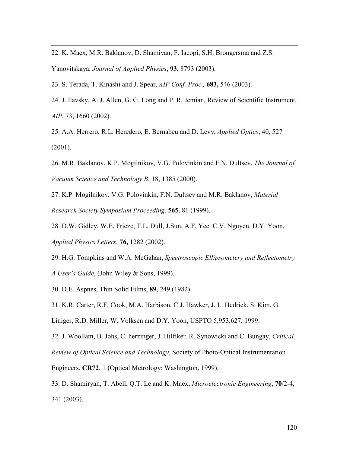22. K. Maex, M.R. Baklanov, D. Shamiyan, F. Iacopi, S.H. Brongersma and Z.S. Yanovitskaya, Journal of Applied Physics, 93, 8793 (2003).

23. S. Terada, T. Kinashi and J. Spear, AIP Conf. Proc., 683, 546 (2003).

 $\overline{a}$ 

- 24. J. Ilavsky, A. J. Allen, G. G. Long and P. R. Jemian, Review of Scientific Instrument, AIP, 73, 1660 (2002).
- 25. A.A. Herrero, R.L. Heredero, E. Bernabeu and D. Levy, Applied Optics, 40, 527 (2001).
- 26. M.R. Baklanov, K.P. Mogilnikov, V.G. Polovinkin and F.N. Dultsev, The Journal of Vacuum Science and Technology B, 18, 1385 (2000).
- 27. K.P. Mogilnikov, V.G. Polovinkin, F.N. Dultsev and M.R. Baklanov, Material Research Society Symposium Proceeding, 565, 81 (1999).
- 28. D.W. Gidley, W.E. Frieze, T.L. Dull, J.Sun, A.F. Yee. C.V. Nguyen. D.Y. Yoon, Applied Physics Letters, 76, 1282 (2002).
- 29. H.G. Tompkins and W.A. McGahan, Spectroscopic Ellipsometery and Reflectometry A User's Guide, (John Wiley & Sons, 1999).
- 30. D.E. Aspnes, Thin Solid Films, 89, 249 (1982).
- 31. K.R. Carter, R.F. Cook, M.A. Harbison, C.J. Hawker, J. L. Hedrick, S. Kim, G.
- Liniger, R.D. Miller, W. Volksen and D.Y. Yoon, USPTO 5,953,627, 1999.

32. J. Woollam, B. Johs, C. herzinger, J. Hilfiker. R. Synowicki and C. Bungay, Critical

Review of Optical Science and Technology, Society of Photo-Optical Instrumentation

Engineers, CR72, 1 (Optical Metrology: Washington, 1999).

33. D. Shamiryan, T. Abell, Q.T. Le and K. Maex, Microelectronic Engineering, 70/2-4, 341 (2003).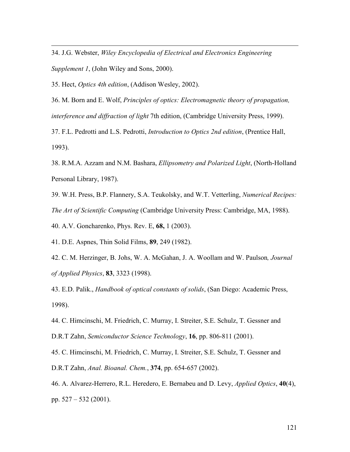34. J.G. Webster, Wiley Encyclopedia of Electrical and Electronics Engineering Supplement 1, (John Wiley and Sons, 2000).

35. Hect, Optics 4th edition, (Addison Wesley, 2002).

 $\overline{a}$ 

36. M. Born and E. Wolf, Principles of optics: Electromagnetic theory of propagation, interference and diffraction of light 7th edition, (Cambridge University Press, 1999).

37. F.L. Pedrotti and L.S. Pedrotti, Introduction to Optics 2nd edition, (Prentice Hall, 1993).

38. R.M.A. Azzam and N.M. Bashara, Ellipsometry and Polarized Light, (North-Holland Personal Library, 1987).

39. W.H. Press, B.P. Flannery, S.A. Teukolsky, and W.T. Vetterling, Numerical Recipes: The Art of Scientific Computing (Cambridge University Press: Cambridge, MA, 1988).

40. A.V. Goncharenko, Phys. Rev. E, 68, 1 (2003).

41. D.E. Aspnes, Thin Solid Films, 89, 249 (1982).

42. C. M. Herzinger, B. Johs, W. A. McGahan, J. A. Woollam and W. Paulson, Journal of Applied Physics, 83, 3323 (1998).

43. E.D. Palik., Handbook of optical constants of solids, (San Diego: Academic Press, 1998).

44. C. Himcinschi, M. Friedrich, C. Murray, I. Streiter, S.E. Schulz, T. Gessner and

D.R.T Zahn, Semiconductor Science Technology, 16, pp. 806-811 (2001).

45. C. Himcinschi, M. Friedrich, C. Murray, I. Streiter, S.E. Schulz, T. Gessner and D.R.T Zahn, Anal. Bioanal. Chem., 374, pp. 654-657 (2002).

46. A. Alvarez-Herrero, R.L. Heredero, E. Bernabeu and D. Levy, *Applied Optics*, 40(4), pp. 527 – 532 (2001).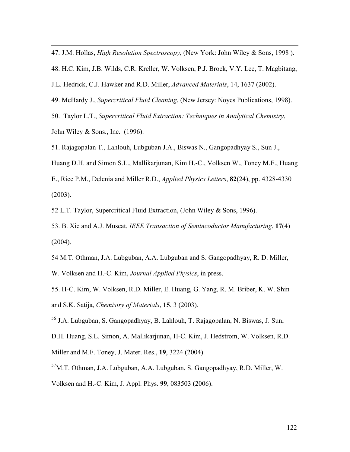47. J.M. Hollas, *High Resolution Spectroscopy*, (New York: John Wiley & Sons, 1998).

48. H.C. Kim, J.B. Wilds, C.R. Kreller, W. Volksen, P.J. Brock, V.Y. Lee, T. Magbitang,

J.L. Hedrick, C.J. Hawker and R.D. Miller, Advanced Materials, 14, 1637 (2002).

49. McHardy J., Supercritical Fluid Cleaning, (New Jersey: Noyes Publications, 1998).

50. Taylor L.T., Supercritical Fluid Extraction: Techniques in Analytical Chemistry,

John Wiley & Sons., Inc. (1996).

 $\overline{a}$ 

51. Rajagopalan T., Lahlouh, Lubguban J.A., Biswas N., Gangopadhyay S., Sun J.,

Huang D.H. and Simon S.L., Mallikarjunan, Kim H.-C., Volksen W., Toney M.F., Huang

E., Rice P.M., Delenia and Miller R.D., *Applied Physics Letters*, 82(24), pp. 4328-4330 (2003).

52 L.T. Taylor, Supercritical Fluid Extraction, (John Wiley & Sons, 1996).

53. B. Xie and A.J. Muscat, IEEE Transaction of Semincoductor Manufacturing, 17(4) (2004).

54 M.T. Othman, J.A. Lubguban, A.A. Lubguban and S. Gangopadhyay, R. D. Miller,

W. Volksen and H.-C. Kim, Journal Applied Physics, in press.

55. H-C. Kim, W. Volksen, R.D. Miller, E. Huang, G. Yang, R. M. Briber, K. W. Shin and S.K. Satija, Chemistry of Materials, 15, 3 (2003).

<sup>56</sup> J.A. Lubguban, S. Gangopadhyay, B. Lahlouh, T. Rajagopalan, N. Biswas, J. Sun,

D.H. Huang, S.L. Simon, A. Mallikarjunan, H-C. Kim, J. Hedstrom, W. Volksen, R.D.

Miller and M.F. Toney, J. Mater. Res., 19, 3224 (2004).

 $57$ M.T. Othman, J.A. Lubguban, A.A. Lubguban, S. Gangopadhyay, R.D. Miller, W.

Volksen and H.-C. Kim, J. Appl. Phys. 99, 083503 (2006).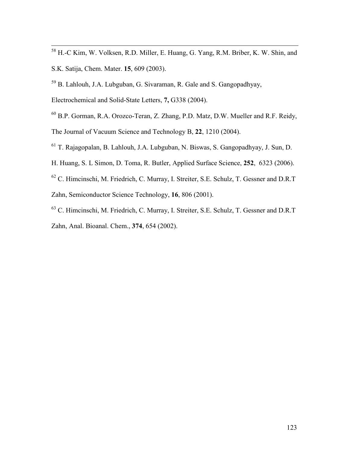- <sup>58</sup> H.-C Kim, W. Volksen, R.D. Miller, E. Huang, G. Yang, R.M. Briber, K. W. Shin, and S.K. Satija, Chem. Mater. 15, 609 (2003).
- <sup>59</sup> B. Lahlouh, J.A. Lubguban, G. Sivaraman, R. Gale and S. Gangopadhyay,
- Electrochemical and Solid-State Letters, 7, G338 (2004).

 $\overline{a}$ 

- <sup>60</sup> B.P. Gorman, R.A. Orozco-Teran, Z. Zhang, P.D. Matz, D.W. Mueller and R.F. Reidy, The Journal of Vacuum Science and Technology B, 22, 1210 (2004).
- <sup>61</sup> T. Rajagopalan, B. Lahlouh, J.A. Lubguban, N. Biswas, S. Gangopadhyay, J. Sun, D.
- H. Huang, S. L Simon, D. Toma, R. Butler, Applied Surface Science, 252, 6323 (2006).
- <sup>62</sup> C. Himcinschi, M. Friedrich, C. Murray, I. Streiter, S.E. Schulz, T. Gessner and D.R.T Zahn, Semiconductor Science Technology, 16, 806 (2001).
- <sup>63</sup> C. Himcinschi, M. Friedrich, C. Murray, I. Streiter, S.E. Schulz, T. Gessner and D.R.T Zahn, Anal. Bioanal. Chem., 374, 654 (2002).